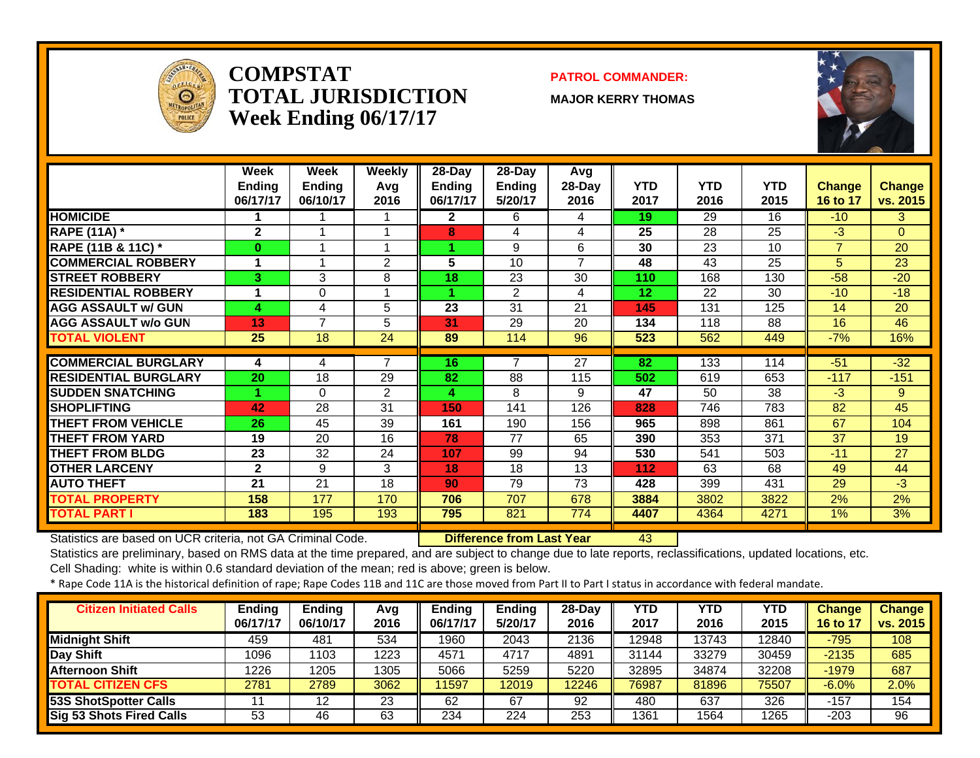

#### **COMPSTATTOTAL JURISDICTIONWeek Ending 06/17/17**

#### **PATROL COMMANDER:**

**MAJOR KERRY THOMAS**



|                               | Week<br><b>Ending</b><br>06/17/17 | Week<br><b>Ending</b><br>06/10/17 | Weekly<br>Avg<br>2016 | $28$ -Day<br><b>Ending</b><br>06/17/17 | 28-Day<br><b>Ending</b><br>5/20/17 | Avg<br>28-Day<br>2016 | <b>YTD</b><br>2017 | <b>YTD</b><br>2016 | <b>YTD</b><br>2015 | Change<br>16 to 17 | <b>Change</b><br>vs. 2015 |
|-------------------------------|-----------------------------------|-----------------------------------|-----------------------|----------------------------------------|------------------------------------|-----------------------|--------------------|--------------------|--------------------|--------------------|---------------------------|
| <b>HOMICIDE</b>               |                                   |                                   |                       | $\mathbf{2}$                           | 6                                  | 4                     | 19                 | 29                 | 16                 | $-10$              | 3                         |
| <b>RAPE (11A) *</b>           | $\overline{2}$                    | 1                                 |                       | 8                                      | 4                                  | 4                     | 25                 | 28                 | 25                 | $-3$               | $\overline{0}$            |
| <b>RAPE (11B &amp; 11C)</b> * | 0                                 | 1                                 |                       |                                        | 9                                  | 6                     | 30                 | 23                 | 10                 | $\overline{7}$     | 20                        |
| <b>COMMERCIAL ROBBERY</b>     | 1                                 | 1                                 | $\overline{2}$        | $5\phantom{1}$                         | 10                                 | $\overline{ }$        | 48                 | 43                 | 25                 | 5 <sup>1</sup>     | 23                        |
| <b>STREET ROBBERY</b>         | 3                                 | 3                                 | 8                     | 18                                     | 23                                 | 30                    | 110                | 168                | 130                | $-58$              | $-20$                     |
| <b>RESIDENTIAL ROBBERY</b>    | 1                                 | 0                                 |                       |                                        | $\overline{2}$                     | 4                     | 12                 | 22                 | 30                 | $-10$              | $-18$                     |
| <b>AGG ASSAULT w/ GUN</b>     | 4                                 | 4                                 | 5                     | 23                                     | 31                                 | 21                    | 145                | 131                | 125                | 14                 | 20                        |
| <b>AGG ASSAULT w/o GUN</b>    | 13                                | 7                                 | 5                     | 31                                     | 29                                 | 20                    | 134                | 118                | 88                 | 16                 | 46                        |
| <b>TOTAL VIOLENT</b>          | 25                                | 18                                | 24                    | 89                                     | 114                                | 96                    | 523                | 562                | 449                | $-7%$              | 16%                       |
|                               |                                   |                                   |                       |                                        |                                    |                       |                    |                    |                    |                    |                           |
| <b>COMMERCIAL BURGLARY</b>    | 4                                 | 4                                 | 7                     | 16                                     | 7                                  | 27                    | 82                 | 133                | 114                | $-51$              | $-32$                     |
| <b>RESIDENTIAL BURGLARY</b>   | 20                                | 18                                | 29                    | 82                                     | 88                                 | 115                   | 502                | 619                | 653                | $-117$             | $-151$                    |
| <b>ISUDDEN SNATCHING</b>      |                                   | $\Omega$                          | 2                     | 4                                      | 8                                  | 9                     | 47                 | 50                 | 38                 | $-3$               | 9                         |
| <b>SHOPLIFTING</b>            | 42                                | 28                                | 31                    | 150                                    | 141                                | 126                   | 828                | 746                | 783                | 82                 | 45                        |
| <b>THEFT FROM VEHICLE</b>     | 26                                | 45                                | 39                    | 161                                    | 190                                | 156                   | 965                | 898                | 861                | 67                 | 104                       |
| <b>THEFT FROM YARD</b>        | 19                                | 20                                | 16                    | 78                                     | 77                                 | 65                    | 390                | 353                | 371                | 37                 | 19                        |
| <b>THEFT FROM BLDG</b>        | 23                                | 32                                | 24                    | 107                                    | 99                                 | 94                    | 530                | 541                | 503                | $-11$              | 27                        |
| <b>OTHER LARCENY</b>          | $\mathbf{2}$                      | 9                                 | 3                     | 18                                     | 18                                 | 13                    | 112                | 63                 | 68                 | 49                 | 44                        |
| <b>AUTO THEFT</b>             | 21                                | 21                                | 18                    | 90                                     | 79                                 | 73                    | 428                | 399                | 431                | 29                 | $-3$                      |
| <b>TOTAL PROPERTY</b>         | 158                               | 177                               | 170                   | 706                                    | 707                                | 678                   | 3884               | 3802               | 3822               | 2%                 | 2%                        |
| <b>TOTAL PART I</b>           | 183                               | 195                               | 193                   | 795                                    | 821                                | 774                   | 4407               | 4364               | 4271               | 1%                 | 3%                        |

Statistics are based on UCR criteria, not GA Criminal Code. **Difference from Last Year** 43

Statistics are preliminary, based on RMS data at the time prepared, and are subject to change due to late reports, reclassifications, updated locations, etc.

Cell Shading: white is within 0.6 standard deviation of the mean; red is above; green is below.

| <b>Citizen Initiated Calls</b> | <b>Ending</b><br>06/17/17 | <b>Endina</b><br>06/10/17 | Avq<br>2016 | <b>Ending</b><br>06/17/17 | <b>Ending</b><br>5/20/17 | $28-Dav$<br>2016 | YTD<br>2017 | <b>YTD</b><br>2016 | YTD<br>2015 | <b>Change</b><br>$16$ to | <b>Change</b><br>vs. 2015 |
|--------------------------------|---------------------------|---------------------------|-------------|---------------------------|--------------------------|------------------|-------------|--------------------|-------------|--------------------------|---------------------------|
| <b>Midnight Shift</b>          | 459                       | 481                       | 534         | 1960                      | 2043                     | 2136             | 12948       | 13743              | 12840       | $-795$                   | 108                       |
| Day Shift                      | 1096                      | 103                       | 1223        | 4571                      | 4717                     | 4891             | 31144       | 33279              | 30459       | $-2135$                  | 685                       |
| <b>Afternoon Shift</b>         | 1226                      | 1205                      | 1305        | 5066                      | 5259                     | 5220             | 32895       | 34874              | 32208       | $-1979$                  | 687                       |
| <b>TOTAL CITIZEN CFS</b>       | 2781                      | 2789                      | 3062        | 11597                     | 12019                    | 12246            | 76987       | 81896              | 75507       | $-6.0%$                  | 2.0%                      |
| 53S ShotSpotter Calls          |                           | 12                        | 23          | 62                        | 67                       | 92               | 480         | 637                | 326         | $-157$                   | 154                       |
| Sig 53 Shots Fired Calls       | 53                        | 46                        | 63          | 234                       | 224                      | 253              | 1361        | 1564               | 1265        | $-203$                   | 96                        |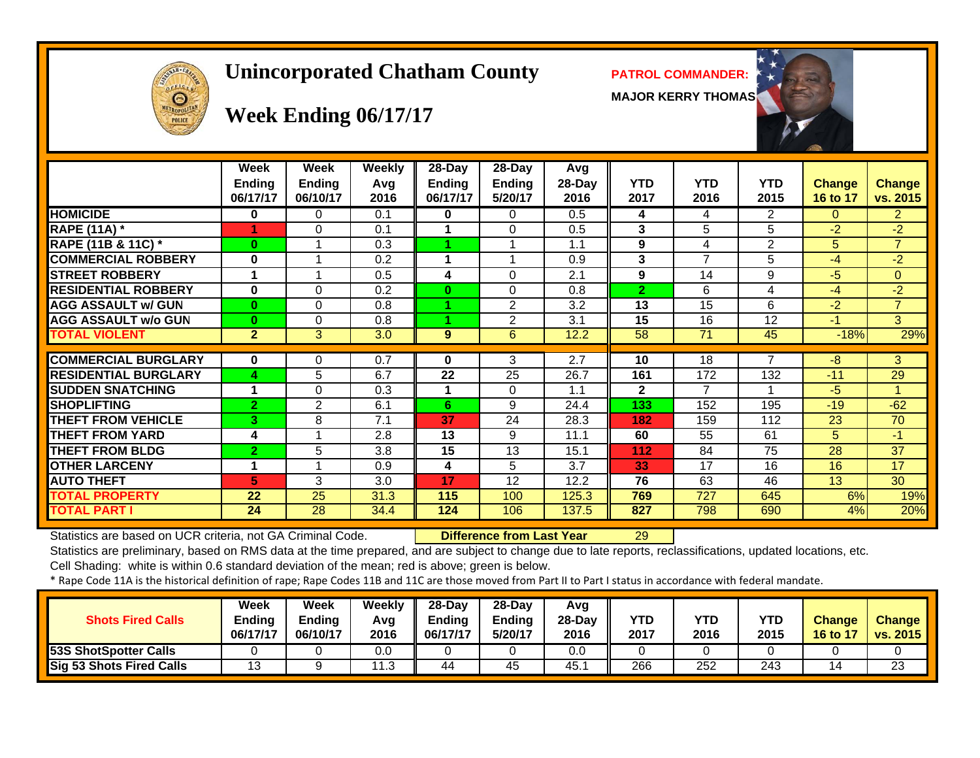# Θ

## **Unincorporated Chatham County PATROL COMMANDER:**

**MAJOR KERRY THOMAS**



# **Week Ending 06/17/17**

|                               | Week<br><b>Ending</b><br>06/17/17 | Week<br><b>Ending</b><br>06/10/17 | <b>Weekly</b><br>Avq<br>2016 | 28-Day<br>Ending<br>06/17/17 | $28$ -Day<br><b>Ending</b><br>5/20/17 | Avg<br>28-Day<br>2016 | <b>YTD</b><br>2017 | <b>YTD</b><br>2016 | <b>YTD</b><br>2015 | <b>Change</b><br>16 to 17 | <b>Change</b><br>vs. 2015 |
|-------------------------------|-----------------------------------|-----------------------------------|------------------------------|------------------------------|---------------------------------------|-----------------------|--------------------|--------------------|--------------------|---------------------------|---------------------------|
| <b>HOMICIDE</b>               | 0                                 | 0                                 | 0.1                          | 0                            | 0                                     | 0.5                   | 4                  | 4                  | 2                  | 0                         | $\mathbf{2}$              |
| <b>RAPE (11A)</b> *           |                                   | 0                                 | 0.1                          |                              | $\Omega$                              | 0.5                   | 3                  | 5                  | 5                  | $-2$                      | $-2$                      |
| <b>RAPE (11B &amp; 11C) *</b> | $\bf{0}$                          |                                   | 0.3                          |                              |                                       | 1.1                   | 9                  | 4                  | 2                  | 5.                        | $\overline{7}$            |
| <b>COMMERCIAL ROBBERY</b>     | $\bf{0}$                          |                                   | 0.2                          |                              |                                       | 0.9                   | 3                  | 7                  | 5                  | -4                        | $-2$                      |
| <b>STREET ROBBERY</b>         | 1                                 |                                   | 0.5                          | 4                            | $\Omega$                              | 2.1                   | 9                  | 14                 | 9                  | -5                        | $\Omega$                  |
| <b>RESIDENTIAL ROBBERY</b>    | $\bf{0}$                          | 0                                 | 0.2                          | $\bf{0}$                     | $\Omega$                              | 0.8                   | $\overline{2}$     | 6                  | 4                  | -4                        | $-2$                      |
| <b>AGG ASSAULT w/ GUN</b>     | $\bf{0}$                          | 0                                 | 0.8                          | 4                            | $\overline{2}$                        | 3.2                   | 13                 | 15                 | 6                  | $-2$                      | $\overline{7}$            |
| <b>AGG ASSAULT w/o GUN</b>    | $\bf{0}$                          | 0                                 | 0.8                          | 4.                           | $\overline{2}$                        | 3.1                   | 15                 | 16                 | 12                 | -1                        | 3                         |
| <b>TOTAL VIOLENT</b>          | $\mathbf{2}$                      | 3                                 | 3.0                          | 9                            | 6                                     | 12.2                  | 58                 | 71                 | 45                 | $-18%$                    | 29%                       |
|                               |                                   |                                   |                              |                              |                                       |                       |                    |                    |                    |                           |                           |
| <b>COMMERCIAL BURGLARY</b>    | 0                                 | 0                                 | 0.7                          | 0                            | 3                                     | 2.7                   | 10                 | 18                 |                    | -8                        | 3                         |
| <b>RESIDENTIAL BURGLARY</b>   | 4                                 | 5                                 | 6.7                          | 22                           | 25                                    | 26.7                  | 161                | 172                | 132                | $-11$                     | 29                        |
| <b>SUDDEN SNATCHING</b>       | 1                                 | 0                                 | 0.3                          |                              | 0                                     | 1.1                   | $\mathbf{2}$       | 7                  | 4                  | $-5$                      |                           |
| <b>ISHOPLIFTING</b>           | $\overline{2}$                    | 2                                 | 6.1                          | 6                            | 9                                     | 24.4                  | 133                | 152                | 195                | $-19$                     | $-62$                     |
| <b>THEFT FROM VEHICLE</b>     | 3                                 | 8                                 | 7.1                          | 37                           | 24                                    | 28.3                  | 182                | 159                | 112                | 23                        | 70                        |
| <b>THEFT FROM YARD</b>        | 4                                 |                                   | 2.8                          | 13                           | 9                                     | 11.1                  | 60                 | 55                 | 61                 | 5                         | $-1$                      |
| <b>THEFT FROM BLDG</b>        | $\overline{2}$                    | 5                                 | 3.8                          | 15                           | 13                                    | 15.1                  | 112                | 84                 | 75                 | 28                        | 37                        |
| <b>OTHER LARCENY</b>          | 1                                 |                                   | 0.9                          | 4                            | 5                                     | 3.7                   | 33                 | 17                 | 16                 | 16                        | 17                        |
| <b>AUTO THEFT</b>             | 5                                 | 3                                 | 3.0                          | 17                           | 12                                    | 12.2                  | 76                 | 63                 | 46                 | 13                        | 30                        |
| <b>TOTAL PROPERTY</b>         | 22                                | 25                                | 31.3                         | 115                          | 100                                   | 125.3                 | 769                | 727                | 645                | 6%                        | 19%                       |
| <b>TOTAL PART I</b>           | 24                                | 28                                | 34.4                         | 124                          | 106                                   | 137.5                 | 827                | 798                | 690                | 4%                        | 20%                       |

Statistics are based on UCR criteria, not GA Criminal Code. **Difference from Last Year** 29

Statistics are preliminary, based on RMS data at the time prepared, and are subject to change due to late reports, reclassifications, updated locations, etc.

Cell Shading: white is within 0.6 standard deviation of the mean; red is above; green is below.

| <b>Shots Fired Calls</b>        | Week<br><b>Ending</b><br>06/17/17 | Week<br><b>Ending</b><br>06/10/17 | Weekly<br>Avg<br>2016 | $28-Dav$<br><b>Ending</b><br>06/17/17 | $28-Dav$<br><b>Endina</b><br>5/20/17 | Avg<br>$28-Dav$<br>2016 | <b>YTD</b><br>2017 | <b>YTD</b><br>2016 | <b>YTD</b><br>2015 | <b>Change</b><br>16 to 17 | <b>Change</b><br>vs. 2015 |
|---------------------------------|-----------------------------------|-----------------------------------|-----------------------|---------------------------------------|--------------------------------------|-------------------------|--------------------|--------------------|--------------------|---------------------------|---------------------------|
| 53S ShotSpotter Calls           |                                   |                                   | 0.0                   |                                       |                                      | 0.0                     |                    |                    |                    |                           |                           |
| <b>Sig 53 Shots Fired Calls</b> | ט ו                               |                                   | ີ<br>ن. ا             | 44                                    | 45                                   | 45.                     | 266                | 252                | 243                |                           | 23                        |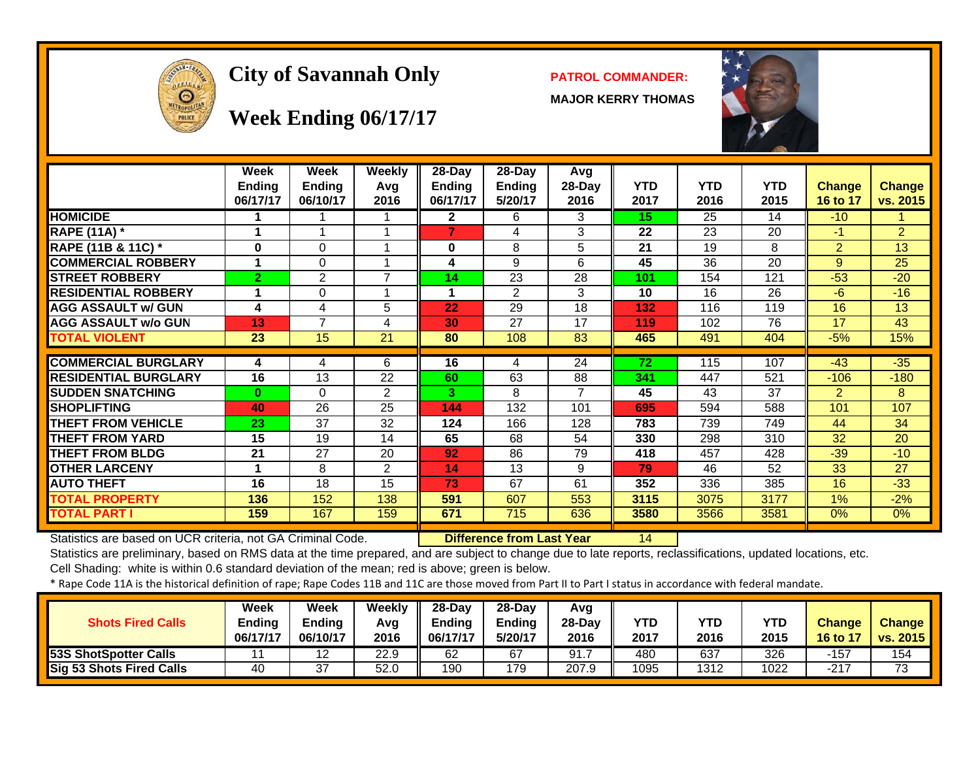

# City of Savannah Only **PATROL COMMANDER:**

**MAJOR KERRY THOMAS**



# **Week Ending 06/17/17**

|                             | Week<br><b>Ending</b><br>06/17/17 | Week<br><b>Ending</b><br>06/10/17 | <b>Weekly</b><br>Avg<br>2016 | $28$ -Day<br><b>Ending</b><br>06/17/17 | $28$ -Day<br><b>Ending</b><br>5/20/17 | Avg<br>$28-Day$<br>2016 | YTD<br>2017 | <b>YTD</b><br>2016 | <b>YTD</b><br>2015 | <b>Change</b><br>16 to 17 | <b>Change</b><br>vs. 2015 |
|-----------------------------|-----------------------------------|-----------------------------------|------------------------------|----------------------------------------|---------------------------------------|-------------------------|-------------|--------------------|--------------------|---------------------------|---------------------------|
| <b>HOMICIDE</b>             |                                   |                                   |                              | $\mathbf{2}$                           | 6                                     | 3                       | 15          | 25                 | 14                 | $-10$                     |                           |
| <b>RAPE (11A) *</b>         |                                   |                                   |                              | 7                                      | 4                                     | 3                       | 22          | 23                 | 20                 | $-1$                      | $\overline{2}$            |
| RAPE (11B & 11C) *          | $\bf{0}$                          | $\Omega$                          |                              | 0                                      | 8                                     | 5                       | 21          | 19                 | 8                  | 2                         | 13                        |
| <b>COMMERCIAL ROBBERY</b>   |                                   | $\Omega$                          |                              | 4                                      | 9                                     | 6                       | 45          | 36                 | $\overline{20}$    | 9                         | 25                        |
| <b>STREET ROBBERY</b>       | $\overline{2}$                    | $\overline{2}$                    | $\overline{7}$               | 14                                     | $\overline{23}$                       | $\overline{28}$         | 101         | 154                | 121                | $-53$                     | $-20$                     |
| <b>RESIDENTIAL ROBBERY</b>  |                                   | 0                                 |                              | 1                                      | 2                                     | 3                       | 10          | 16                 | 26                 | $-6$                      | $-16$                     |
| <b>AGG ASSAULT w/ GUN</b>   | 4                                 | 4                                 | 5                            | 22                                     | 29                                    | 18                      | 132         | 116                | 119                | 16                        | 13                        |
| <b>AGG ASSAULT w/o GUN</b>  | 13                                | 7                                 | 4                            | 30                                     | 27                                    | 17                      | 119         | 102                | 76                 | 17                        | 43                        |
| <b>TOTAL VIOLENT</b>        | 23                                | 15                                | 21                           | 80                                     | 108                                   | 83                      | 465         | 491                | 404                | $-5%$                     | 15%                       |
|                             |                                   |                                   |                              |                                        |                                       |                         |             |                    |                    |                           |                           |
| <b>COMMERCIAL BURGLARY</b>  | 4                                 | 4                                 | 6                            | 16                                     | 4                                     | 24                      | 72          | 115                | 107                | $-43$                     | $-35$                     |
| <b>RESIDENTIAL BURGLARY</b> | 16                                | 13                                | 22                           | 60                                     | 63                                    | 88                      | 341         | 447                | 521                | $-106$                    | $-180$                    |
| <b>SUDDEN SNATCHING</b>     | $\bf{0}$                          | $\Omega$                          | $\overline{2}$               | 3.                                     | 8                                     |                         | 45          | 43                 | 37                 | $\overline{2}$            | 8                         |
| <b>SHOPLIFTING</b>          | 40                                | 26                                | 25                           | 144                                    | 132                                   | 101                     | 695         | 594                | 588                | 101                       | 107                       |
| <b>THEFT FROM VEHICLE</b>   | 23                                | 37                                | 32                           | 124                                    | 166                                   | 128                     | 783         | 739                | 749                | 44                        | 34                        |
| <b>THEFT FROM YARD</b>      | 15                                | 19                                | 14                           | 65                                     | 68                                    | 54                      | 330         | 298                | 310                | 32                        | 20                        |
| <b>THEFT FROM BLDG</b>      | 21                                | 27                                | 20                           | 92                                     | 86                                    | 79                      | 418         | 457                | 428                | $-39$                     | $-10$                     |
| <b>OTHER LARCENY</b>        |                                   | 8                                 | 2                            | 14                                     | 13                                    | 9                       | 79          | 46                 | 52                 | 33                        | 27                        |
| <b>AUTO THEFT</b>           | 16                                | 18                                | 15                           | 73                                     | 67                                    | 61                      | 352         | 336                | 385                | 16                        | $-33$                     |
| <b>TOTAL PROPERTY</b>       | 136                               | 152                               | 138                          | 591                                    | 607                                   | 553                     | 3115        | 3075               | 3177               | 1%                        | $-2%$                     |
| <b>TOTAL PART I</b>         | 159                               | 167                               | 159                          | 671                                    | 715                                   | 636                     | 3580        | 3566               | 3581               | $0\%$                     | $0\%$                     |

Statistics are based on UCR criteria, not GA Criminal Code. **Difference from Last Year** 14

Statistics are preliminary, based on RMS data at the time prepared, and are subject to change due to late reports, reclassifications, updated locations, etc.

Cell Shading: white is within 0.6 standard deviation of the mean; red is above; green is below.

| <b>Shots Fired Calls</b>     | Week<br>Ending<br>06/17/17 | <b>Week</b><br><b>Ending</b><br>06/10/17 | Weekly<br>Avq<br>2016 | 28-Dav<br>Ending<br>06/17/17 | $28-Dav$<br><b>Ending</b><br>5/20/17 | Avg<br>$28-Dav$<br>2016 | YTD<br>2017 | <b>YTD</b><br>2016 | YTD<br>2015 | <b>Change</b><br>$16$ to $17$ | <b>Change</b><br>vs. 2015 |
|------------------------------|----------------------------|------------------------------------------|-----------------------|------------------------------|--------------------------------------|-------------------------|-------------|--------------------|-------------|-------------------------------|---------------------------|
| <b>53S ShotSpotter Calls</b> |                            | 12                                       | 22.9                  | 62                           | -67                                  | 91.                     | 480         | 637                | 326         | -157                          | 154                       |
| Sig 53 Shots Fired Calls     | 40                         | 37                                       | 52.0                  | 190                          | 179                                  | 207.9                   | 1095        | 1312               | 1022        | $-217$                        | 73                        |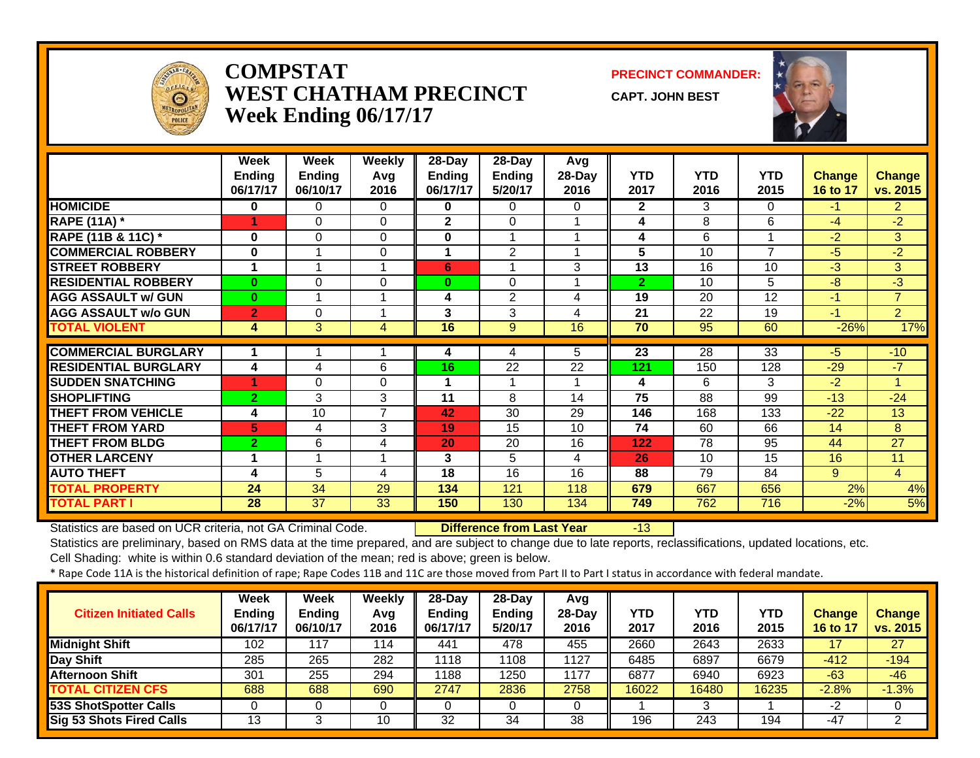

#### **COMPSTATWEST CHATHAM PRECINCTWeek Ending 06/17/17**

**PRECINCT COMMANDER:**

**CAPT. JOHN BEST**



|                             | Week           | Week           | <b>Weekly</b> | $28 - Day$     | $28 - Day$              | Avg              |                |            |                |                 |                |
|-----------------------------|----------------|----------------|---------------|----------------|-------------------------|------------------|----------------|------------|----------------|-----------------|----------------|
|                             | <b>Ending</b>  | Ending         | Avg           | <b>Ending</b>  | Ending                  | 28-Day           | <b>YTD</b>     | <b>YTD</b> | <b>YTD</b>     | <b>Change</b>   | <b>Change</b>  |
|                             | 06/17/17       | 06/10/17       | 2016          | 06/17/17       | 5/20/17                 | 2016             | 2017           | 2016       | 2015           | <b>16 to 17</b> | vs. 2015       |
| <b>HOMICIDE</b>             | 0              | 0              | 0             | 0              | 0                       | 0                | $\mathbf{2}$   | 3          | 0              | $-1$            | $\overline{2}$ |
| <b>RAPE (11A) *</b>         | 1              | $\Omega$       | $\Omega$      | $\overline{2}$ | $\Omega$                |                  | 4              | 8          | 6              | $-4$            | $-2$           |
| RAPE (11B & 11C) *          | 0              | $\Omega$       | $\Omega$      | 0              | $\overline{\mathbf{A}}$ |                  | 4              | 6          |                | $-2$            | 3              |
| <b>COMMERCIAL ROBBERY</b>   | $\bf{0}$       | $\overline{ }$ | 0             | 4              | $\overline{2}$          |                  | 5              | 10         | $\overline{7}$ | $-5$            | $-2$           |
| <b>STREET ROBBERY</b>       | 1              | $\overline{ }$ | 1             | 6              |                         | 3                | 13             | 16         | 10             | $-3$            | 3              |
| <b>RESIDENTIAL ROBBERY</b>  | $\bf{0}$       | $\Omega$       | $\Omega$      | $\bf{0}$       | $\Omega$                |                  | $\overline{2}$ | 10         | 5              | $-8$            | $-3$           |
| <b>AGG ASSAULT w/ GUN</b>   | $\bf{0}$       |                | 1             | 4              | $\overline{2}$          | 4                | 19             | 20         | 12             | $-1$            | $\overline{7}$ |
| <b>AGG ASSAULT w/o GUN</b>  | $\overline{2}$ | $\Omega$       | 4             | 3              | 3                       | 4                | 21             | 22         | 19             | $-1$            | $\overline{2}$ |
| <b>TOTAL VIOLENT</b>        | 4              | $\overline{3}$ | 4             | 16             | $\overline{9}$          | 16               | 70             | 95         | 60             | $-26%$          | 17%            |
|                             |                |                |               |                |                         |                  |                |            |                |                 |                |
| <b>COMMERCIAL BURGLARY</b>  |                |                |               | 4              | 4                       | 5.               | 23             | 28         | 33             | $-5$            | $-10$          |
| <b>RESIDENTIAL BURGLARY</b> | 4              | 4              | 6             | 16             | 22                      | 22               | 121            | 150        | 128            | $-29$           | $-7$           |
| <b>SUDDEN SNATCHING</b>     | 4              | 0              | 0             |                |                         |                  | 4              | 6          | 3              | $-2$            |                |
| <b>SHOPLIFTING</b>          | $\overline{2}$ | 3              | 3             | 11             | 8                       | 14               | 75             | 88         | 99             | $-13$           | $-24$          |
| <b>THEFT FROM VEHICLE</b>   | 4              | 10             | 7             | 42             | 30                      | 29               | 146            | 168        | 133            | $-22$           | 13             |
| <b>THEFT FROM YARD</b>      | 5              | 4              | 3             | 19             | 15                      | 10               | 74             | 60         | 66             | 14              | 8              |
| <b>THEFT FROM BLDG</b>      | $\overline{2}$ | 6              | 4             | 20             | 20                      | 16               | 122            | 78         | 95             | 44              | 27             |
| <b>OTHER LARCENY</b>        | 1              | 1              | 1             | 3              | 5                       | 4                | 26             | 10         | 15             | 16              | 11             |
| <b>AUTO THEFT</b>           | 4              | 5              | 4             | 18             | 16                      | 16               | 88             | 79         | 84             | 9               | $\overline{4}$ |
| <b>TOTAL PROPERTY</b>       | 24             | 34             | 29            | 134            | 121                     | 118              | 679            | 667        | 656            | 2%              | 4%             |
| <b>TOTAL PART I</b>         | 28             | 37             | 33            | 150            | 130                     | $\overline{134}$ | 749            | 762        | 716            | $-2%$           | 5%             |

Statistics are based on UCR criteria, not GA Criminal Code. **Difference from Last Year** -13

Statistics are preliminary, based on RMS data at the time prepared, and are subject to change due to late reports, reclassifications, updated locations, etc.

Cell Shading: white is within 0.6 standard deviation of the mean; red is above; green is below.

| <b>Citizen Initiated Calls</b> | Week<br><b>Ending</b><br>06/17/17 | <b>Week</b><br><b>Ending</b><br>06/10/17 | Weekly<br>Avq<br>2016 | $28-Dav$<br><b>Ending</b><br>06/17/17 | $28-Dav$<br><b>Ending</b><br>5/20/17 | Avg<br>28-Day<br>2016 | YTD<br>2017 | YTD<br>2016 | YTD<br>2015 | <b>Change</b><br>16 to 17 | <b>Change</b><br>vs. 2015 |
|--------------------------------|-----------------------------------|------------------------------------------|-----------------------|---------------------------------------|--------------------------------------|-----------------------|-------------|-------------|-------------|---------------------------|---------------------------|
| <b>Midnight Shift</b>          | 102                               | 117                                      | 114                   | 441                                   | 478                                  | 455                   | 2660        | 2643        | 2633        |                           | 27                        |
| Day Shift                      | 285                               | 265                                      | 282                   | 1118                                  | 108                                  | 1127                  | 6485        | 6897        | 6679        | $-412$                    | $-194$                    |
| <b>Afternoon Shift</b>         | 301                               | 255                                      | 294                   | 1188                                  | 1250                                 | 1177                  | 6877        | 6940        | 6923        | $-63$                     | $-46$                     |
| <b>TOTAL CITIZEN CFS</b>       | 688                               | 688                                      | 690                   | 2747                                  | 2836                                 | 2758                  | 16022       | 16480       | 16235       | $-2.8%$                   | $-1.3%$                   |
| <b>53S ShotSpotter Calls</b>   |                                   |                                          |                       |                                       |                                      |                       |             |             |             | -2                        |                           |
| Sig 53 Shots Fired Calls       | 13                                |                                          | 10                    | 32                                    | 34                                   | 38                    | 196         | 243         | 194         | -47                       | ົ                         |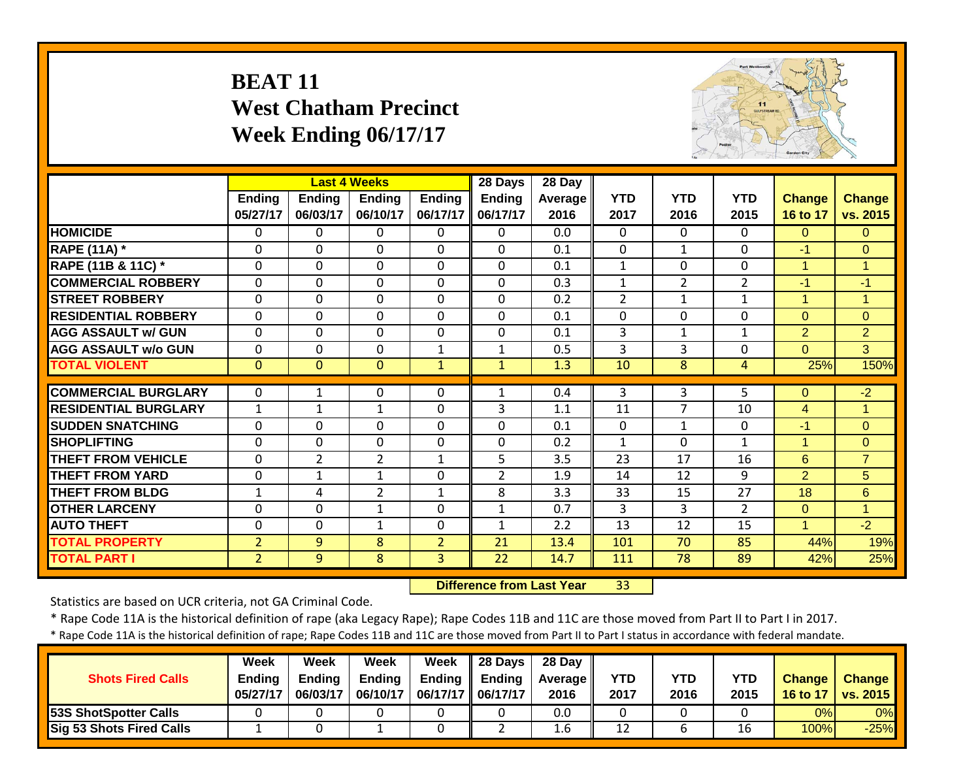# **BEAT 11 West Chatham Precinct Week Ending 06/17/17**



|                             |                |                | <b>Last 4 Weeks</b> |                | 28 Days        | 28 Day  |                |                |                |                |                |
|-----------------------------|----------------|----------------|---------------------|----------------|----------------|---------|----------------|----------------|----------------|----------------|----------------|
|                             | <b>Ending</b>  | <b>Ending</b>  | <b>Ending</b>       | <b>Ending</b>  | <b>Ending</b>  | Average | <b>YTD</b>     | <b>YTD</b>     | <b>YTD</b>     | Change         | <b>Change</b>  |
|                             | 05/27/17       | 06/03/17       | 06/10/17            | 06/17/17       | 06/17/17       | 2016    | 2017           | 2016           | 2015           | 16 to 17       | vs. 2015       |
| <b>HOMICIDE</b>             | 0              | 0              | 0                   | 0              | $\Omega$       | 0.0     | $\Omega$       | $\Omega$       | 0              | $\overline{0}$ | $\overline{0}$ |
| <b>RAPE (11A)</b> *         | 0              | 0              | $\Omega$            | $\mathbf{0}$   | $\Omega$       | 0.1     | $\Omega$       | $\mathbf{1}$   | 0              | $-1$           | $\Omega$       |
| RAPE (11B & 11C) *          | 0              | 0              | $\Omega$            | $\mathbf{0}$   | $\Omega$       | 0.1     | $\mathbf{1}$   | $\Omega$       | 0              | $\mathbf{1}$   | 1              |
| <b>COMMERCIAL ROBBERY</b>   | $\mathbf{0}$   | $\Omega$       | $\mathbf 0$         | $\mathbf 0$    | $\mathbf{0}$   | 0.3     | $\mathbf{1}$   | $\overline{2}$ | $\overline{2}$ | $-1$           | $-1$           |
| <b>STREET ROBBERY</b>       | $\mathbf{0}$   | 0              | $\Omega$            | $\mathbf{0}$   | $\mathbf{0}$   | 0.2     | $\overline{2}$ | $\mathbf{1}$   | $\mathbf{1}$   | $\mathbf{1}$   | $\mathbf{1}$   |
| <b>RESIDENTIAL ROBBERY</b>  | $\mathbf{0}$   | $\mathbf 0$    | $\mathbf 0$         | $\mathbf 0$    | $\mathbf{0}$   | 0.1     | $\mathbf 0$    | $\mathbf{0}$   | 0              | $\overline{0}$ | $\overline{0}$ |
| <b>AGG ASSAULT w/ GUN</b>   | $\mathbf{0}$   | $\Omega$       | $\mathbf 0$         | $\mathbf 0$    | $\Omega$       | 0.1     | 3              | $\mathbf{1}$   | 1              | $\overline{2}$ | $\overline{2}$ |
| <b>AGG ASSAULT w/o GUN</b>  | $\mathbf{0}$   | 0              | $\mathbf 0$         | $\mathbf{1}$   | $\mathbf{1}$   | 0.5     | 3              | 3              | 0              | $\overline{0}$ | 3              |
| <b>TOTAL VIOLENT</b>        | $\mathbf{0}$   | $\mathbf{0}$   | $\mathbf{0}$        | $\mathbf{1}$   | $\mathbf{1}$   | 1.3     | 10             | 8              | $\overline{4}$ | 25%            | 150%           |
|                             |                |                |                     |                |                |         |                |                |                |                |                |
| <b>COMMERCIAL BURGLARY</b>  | $\mathbf{0}$   | 1              | 0                   | $\mathbf{0}$   | 1              | 0.4     | 3              | 3              | 5              | $\Omega$       | $-2$           |
| <b>RESIDENTIAL BURGLARY</b> | $\mathbf{1}$   | $\mathbf 1$    | $\mathbf 1$         | $\mathbf 0$    | $\overline{3}$ | 1.1     | 11             | $\overline{7}$ | 10             | $\overline{4}$ | $\mathbf{1}$   |
| <b>SUDDEN SNATCHING</b>     | $\mathbf{0}$   | 0              | $\mathbf 0$         | $\mathbf{0}$   | $\Omega$       | 0.1     | $\Omega$       | $\mathbf{1}$   | $\Omega$       | $-1$           | $\overline{0}$ |
| <b>SHOPLIFTING</b>          | $\mathbf 0$    | 0              | 0                   | $\mathbf 0$    | $\mathbf 0$    | 0.2     | $\mathbf{1}$   | $\Omega$       | $\mathbf{1}$   | $\mathbf{1}$   | $\overline{0}$ |
| <b>THEFT FROM VEHICLE</b>   | $\mathbf 0$    | $\overline{2}$ | $\overline{2}$      | $\mathbf{1}$   | 5              | 3.5     | 23             | 17             | 16             | 6              | $\overline{7}$ |
| <b>THEFT FROM YARD</b>      | 0              | $\mathbf{1}$   | $\mathbf 1$         | 0              | $\overline{2}$ | 1.9     | 14             | 12             | 9              | $\overline{2}$ | 5              |
| <b>THEFT FROM BLDG</b>      | $\mathbf{1}$   | 4              | $\overline{2}$      | $\mathbf{1}$   | 8              | 3.3     | 33             | 15             | 27             | 18             | 6              |
| <b>OTHER LARCENY</b>        | $\mathbf{0}$   | 0              | $\mathbf{1}$        | $\mathbf{0}$   | $\mathbf{1}$   | 0.7     | 3              | 3              | $\overline{2}$ | $\Omega$       | $\overline{1}$ |
| <b>AUTO THEFT</b>           | 0              | 0              | $\mathbf{1}$        | $\mathbf 0$    | 1              | 2.2     | 13             | 12             | 15             | 1              | $-2$           |
| <b>TOTAL PROPERTY</b>       | $\overline{2}$ | 9              | 8                   | $\overline{2}$ | 21             | 13.4    | 101            | 70             | 85             | 44%            | 19%            |
| <b>TOTAL PART I</b>         | $\overline{2}$ | 9              | 8                   | $\overline{3}$ | 22             | 14.7    | 111            | 78             | 89             | 42%            | 25%            |

 **Difference from Last Year**r 33

Statistics are based on UCR criteria, not GA Criminal Code.

\* Rape Code 11A is the historical definition of rape (aka Legacy Rape); Rape Codes 11B and 11C are those moved from Part II to Part I in 2017.

| <b>Shots Fired Calls</b>        | Week<br><b>Endina</b><br>05/27/17 | Week<br><b>Ending</b><br>06/03/17 | Week<br><b>Ending</b><br>06/10/17 | Week<br><b>Ending</b><br>06/17/17    06/17/17 | $\parallel$ 28 Davs<br><b>Ending</b> | 28 Dav<br><b>Average II</b><br>2016 | <b>YTD</b><br>2017 | YTD<br>2016 | <b>YTD</b><br>2015 | <b>Change</b><br>16 to 17 | <b>Change</b><br>vs. 2015 |
|---------------------------------|-----------------------------------|-----------------------------------|-----------------------------------|-----------------------------------------------|--------------------------------------|-------------------------------------|--------------------|-------------|--------------------|---------------------------|---------------------------|
| 53S ShotSpotter Calls           |                                   |                                   |                                   |                                               |                                      | 0.0                                 |                    |             |                    | 0%                        | 0%                        |
| <b>Sig 53 Shots Fired Calls</b> |                                   |                                   |                                   |                                               |                                      | 1.6                                 | 12                 |             | 16                 | 100%                      | $-25%$                    |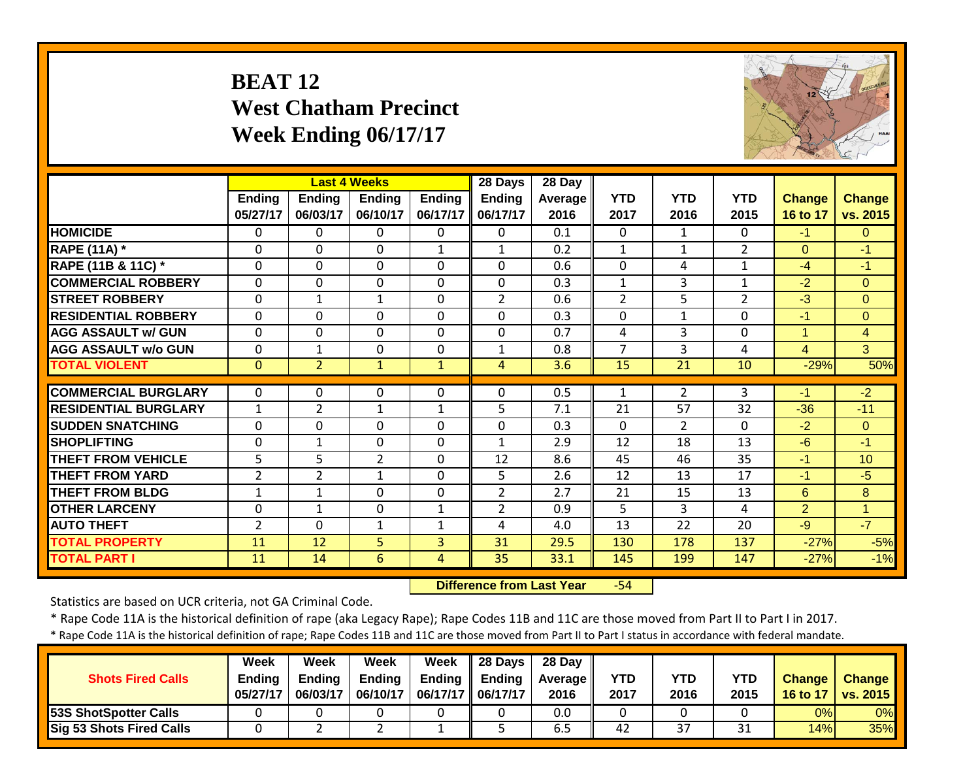# **BEAT 12 West Chatham Precinct Week Ending 06/17/17**



|                             |                           |                           | <b>Last 4 Weeks</b>       |                           | 28 Days                   | 28 Day          |                    |                    |                    |                           |                           |
|-----------------------------|---------------------------|---------------------------|---------------------------|---------------------------|---------------------------|-----------------|--------------------|--------------------|--------------------|---------------------------|---------------------------|
|                             | <b>Ending</b><br>05/27/17 | <b>Endina</b><br>06/03/17 | <b>Ending</b><br>06/10/17 | <b>Ending</b><br>06/17/17 | <b>Ending</b><br>06/17/17 | Average<br>2016 | <b>YTD</b><br>2017 | <b>YTD</b><br>2016 | <b>YTD</b><br>2015 | <b>Change</b><br>16 to 17 | <b>Change</b><br>vs. 2015 |
| <b>HOMICIDE</b>             | 0                         | 0                         | 0                         | $\Omega$                  | $\Omega$                  | 0.1             | $\Omega$           | 1                  | 0                  | $-1$                      | $\Omega$                  |
| <b>RAPE (11A) *</b>         | 0                         | $\mathbf 0$               | $\mathbf 0$               | $\mathbf{1}$              | $\mathbf{1}$              | 0.2             | $\mathbf{1}$       | $\mathbf{1}$       | $\overline{2}$     | $\Omega$                  | $-1$                      |
| RAPE (11B & 11C) *          | $\mathbf{0}$              | $\Omega$                  | $\mathbf 0$               | $\mathbf 0$               | $\mathbf 0$               | 0.6             | $\mathbf 0$        | 4                  | $\mathbf{1}$       | $-4$                      | $-1$                      |
| <b>COMMERCIAL ROBBERY</b>   | $\mathbf{0}$              | $\mathbf 0$               | $\mathbf 0$               | $\mathbf 0$               | $\mathbf 0$               | 0.3             | $\mathbf 1$        | 3                  | $\mathbf{1}$       | $-2$                      | $\overline{0}$            |
| <b>STREET ROBBERY</b>       | $\mathbf{0}$              | $\mathbf{1}$              | $\mathbf{1}$              | $\mathbf{0}$              | $\overline{2}$            | 0.6             | $\overline{2}$     | 5                  | $\overline{2}$     | $-3$                      | $\Omega$                  |
| <b>RESIDENTIAL ROBBERY</b>  | $\mathbf{0}$              | 0                         | $\mathbf 0$               | $\mathbf{0}$              | $\Omega$                  | 0.3             | $\Omega$           | $\mathbf{1}$       | 0                  | $-1$                      | $\Omega$                  |
| <b>AGG ASSAULT w/ GUN</b>   | $\mathbf{0}$              | 0                         | $\mathbf 0$               | $\mathbf{0}$              | $\mathbf 0$               | 0.7             | 4                  | 3                  | 0                  | $\mathbf{1}$              | $\overline{4}$            |
| <b>AGG ASSAULT w/o GUN</b>  | $\mathbf{0}$              | $\mathbf{1}$              | $\mathbf 0$               | $\mathbf{0}$              | $\mathbf{1}$              | 0.8             | $\overline{7}$     | 3                  | 4                  | $\overline{4}$            | 3                         |
| <b>TOTAL VIOLENT</b>        | $\mathbf{0}$              | $\overline{2}$            | $\mathbf{1}$              | $\mathbf{1}$              | $\overline{4}$            | 3.6             | 15                 | 21                 | 10                 | $-29%$                    | 50%                       |
| <b>COMMERCIAL BURGLARY</b>  | $\mathbf{0}$              | 0                         | 0                         | $\mathbf 0$               | $\Omega$                  | 0.5             | 1                  | 2                  | 3                  | $-1$                      | $-2$                      |
| <b>RESIDENTIAL BURGLARY</b> | $\mathbf{1}$              | $\overline{2}$            | $\mathbf{1}$              | $\mathbf{1}$              | 5                         | 7.1             | 21                 | 57                 | 32                 | $-36$                     | $-11$                     |
| <b>ISUDDEN SNATCHING</b>    | $\mathbf{0}$              | $\Omega$                  | 0                         | $\mathbf 0$               | $\Omega$                  | 0.3             | $\Omega$           | $\overline{2}$     | $\Omega$           | $-2$                      | $\Omega$                  |
| <b>ISHOPLIFTING</b>         | 0                         | $\mathbf 1$               | 0                         | $\mathbf{0}$              | 1                         | 2.9             | 12                 | 18                 | 13                 | $-6$                      | $-1$                      |
| <b>THEFT FROM VEHICLE</b>   | 5                         | 5                         | $\overline{2}$            | $\mathbf 0$               | 12                        | 8.6             | 45                 | 46                 | 35                 | $-1$                      | 10                        |
| <b>THEFT FROM YARD</b>      | $\overline{2}$            | $\overline{2}$            | $\mathbf 1$               | $\mathbf 0$               | 5                         | 2.6             | 12                 | 13                 | 17                 | $-1$                      | $-5$                      |
| <b>THEFT FROM BLDG</b>      | $\mathbf{1}$              | $\mathbf{1}$              | $\mathbf 0$               | $\mathbf 0$               | $\overline{2}$            | 2.7             | 21                 | 15                 | 13                 | 6                         | 8                         |
| <b>OTHER LARCENY</b>        | 0                         | $\mathbf 1$               | 0                         | $\mathbf{1}$              | $\overline{2}$            | 0.9             | 5                  | 3                  | 4                  | $\overline{2}$            | $\overline{1}$            |
| <b>AUTO THEFT</b>           | 2                         | $\Omega$                  | 1                         | $\mathbf{1}$              | 4                         | 4.0             | 13                 | 22                 | 20                 | $-9$                      | $-7$                      |
| <b>TOTAL PROPERTY</b>       | 11                        | 12                        | 5 <sup>1</sup>            | 3                         | 31                        | 29.5            | 130                | 178                | 137                | $-27%$                    | $-5%$                     |
| <b>TOTAL PART I</b>         | 11                        | 14                        | 6                         | 4                         | 35                        | 33.1            | 145                | 199                | 147                | $-27%$                    | $-1%$                     |

 **Difference from Last Year**‐54

Statistics are based on UCR criteria, not GA Criminal Code.

\* Rape Code 11A is the historical definition of rape (aka Legacy Rape); Rape Codes 11B and 11C are those moved from Part II to Part I in 2017.

| <b>Shots Fired Calls</b>     | Week<br><b>Endina</b><br>05/27/17 | Week<br><b>Ending</b><br>06/03/17 | Week<br><b>Ending</b><br>06/10/17 | Week<br><b>Ending</b><br>06/17/17   06/17/17 | $\parallel$ 28 Days<br><b>Ending</b> | 28 Day<br><b>Average II</b><br>2016 | YTD<br>2017 | YTD<br>2016 | <b>YTD</b><br>2015 | <b>Change</b><br>16 to 17 | <b>Change</b><br><b>vs. 2015</b> |
|------------------------------|-----------------------------------|-----------------------------------|-----------------------------------|----------------------------------------------|--------------------------------------|-------------------------------------|-------------|-------------|--------------------|---------------------------|----------------------------------|
| <b>53S ShotSpotter Calls</b> |                                   |                                   |                                   |                                              |                                      | 0.0                                 |             |             |                    | 0%                        | 0%                               |
| Sig 53 Shots Fired Calls     |                                   |                                   |                                   |                                              |                                      | 6.5                                 | 42          | 37          | 21<br>⊥ر           | 14%                       | $35\%$                           |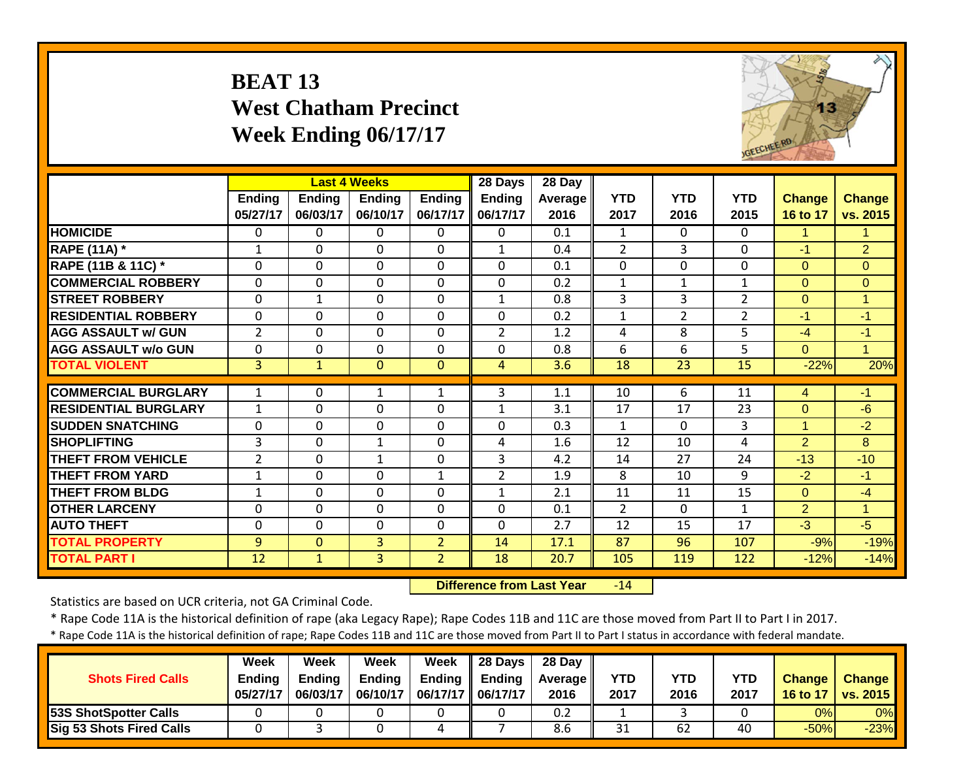# **BEAT 13 West Chatham Precinct Week Ending 06/17/17**



|                             |                |              | <b>Last 4 Weeks</b> |                | 28 Days        | 28 Day  |                |                |                |                |                |
|-----------------------------|----------------|--------------|---------------------|----------------|----------------|---------|----------------|----------------|----------------|----------------|----------------|
|                             | Ending         | Ending       | <b>Ending</b>       | <b>Ending</b>  | Ending         | Average | <b>YTD</b>     | <b>YTD</b>     | <b>YTD</b>     | Change         | <b>Change</b>  |
|                             | 05/27/17       | 06/03/17     | 06/10/17            | 06/17/17       | 06/17/17       | 2016    | 2017           | 2016           | 2015           | 16 to 17       | vs. 2015       |
| <b>HOMICIDE</b>             | 0              | 0            | 0                   | $\Omega$       | $\Omega$       | 0.1     | 1              | $\Omega$       | 0              | 1              | 1              |
| <b>RAPE (11A) *</b>         | 1              | 0            | $\Omega$            | $\mathbf{0}$   | $\mathbf{1}$   | 0.4     | $\overline{2}$ | 3              | $\Omega$       | $-1$           | $\overline{2}$ |
| RAPE (11B & 11C) *          | 0              | $\Omega$     | $\Omega$            | $\mathbf{0}$   | $\Omega$       | 0.1     | 0              | $\Omega$       | 0              | $\overline{0}$ | $\Omega$       |
| <b>COMMERCIAL ROBBERY</b>   | $\mathbf{0}$   | $\Omega$     | $\Omega$            | $\mathbf{0}$   | $\mathbf{0}$   | 0.2     | $\mathbf{1}$   | $\mathbf{1}$   | $\mathbf{1}$   | $\Omega$       | $\Omega$       |
| <b>STREET ROBBERY</b>       | 0              | $\mathbf{1}$ | $\mathbf 0$         | $\mathbf{0}$   | $\mathbf{1}$   | 0.8     | 3              | 3              | $\overline{2}$ | $\overline{0}$ | $\mathbf{1}$   |
| <b>RESIDENTIAL ROBBERY</b>  | $\Omega$       | $\Omega$     | $\mathbf 0$         | $\mathbf 0$    | $\mathbf 0$    | 0.2     | $\mathbf 1$    | $\overline{2}$ | $\overline{2}$ | $-1$           | $-1$           |
| <b>AGG ASSAULT w/ GUN</b>   | $\overline{2}$ | 0            | $\mathbf 0$         | $\mathbf 0$    | $\overline{2}$ | 1.2     | 4              | 8              | 5              | $-4$           | $-1$           |
| <b>AGG ASSAULT w/o GUN</b>  | 0              | 0            | $\mathbf 0$         | $\mathbf 0$    | $\Omega$       | 0.8     | 6              | 6              | 5              | $\overline{0}$ | $\overline{1}$ |
| <b>TOTAL VIOLENT</b>        | 3              | $\mathbf{1}$ | $\mathbf{0}$        | $\mathbf{0}$   | $\overline{4}$ | 3.6     | 18             | 23             | 15             | $-22%$         | 20%            |
|                             |                |              |                     |                |                |         |                |                |                |                |                |
| <b>COMMERCIAL BURGLARY</b>  | 1              | 0            | 1                   | 1              | 3              | 1.1     | 10             | 6              | 11             | 4              | $-1$           |
| <b>RESIDENTIAL BURGLARY</b> | $\mathbf{1}$   | $\Omega$     | $\mathbf 0$         | $\mathbf 0$    | 1              | 3.1     | 17             | 17             | 23             | $\overline{0}$ | $-6$           |
| <b>ISUDDEN SNATCHING</b>    | $\mathbf 0$    | $\Omega$     | $\mathbf 0$         | $\mathbf 0$    | $\Omega$       | 0.3     | $\mathbf{1}$   | $\Omega$       | 3              | $\mathbf{1}$   | $-2$           |
| <b>SHOPLIFTING</b>          | 3              | $\Omega$     | $\mathbf{1}$        | $\mathbf 0$    | 4              | 1.6     | 12             | 10             | 4              | $\overline{2}$ | 8              |
| <b>THEFT FROM VEHICLE</b>   | $\overline{2}$ | 0            | $\mathbf{1}$        | $\Omega$       | 3              | 4.2     | 14             | 27             | 24             | $-13$          | $-10$          |
| <b>THEFT FROM YARD</b>      | $\mathbf{1}$   | 0            | 0                   | $\mathbf{1}$   | $\overline{2}$ | 1.9     | 8              | 10             | 9              | $-2$           | $-1$           |
| <b>THEFT FROM BLDG</b>      | $\mathbf{1}$   | 0            | 0                   | $\mathbf 0$    | $\mathbf{1}$   | 2.1     | 11             | 11             | 15             | $\Omega$       | $-4$           |
| <b>OTHER LARCENY</b>        | $\mathbf{0}$   | $\mathbf 0$  | $\mathbf 0$         | $\mathbf 0$    | $\mathbf{0}$   | 0.1     | $\overline{2}$ | $\mathbf{0}$   | $\mathbf{1}$   | $\overline{2}$ | $\overline{1}$ |
| <b>AUTO THEFT</b>           | 0              | 0            | $\mathbf 0$         | $\mathbf 0$    | $\mathbf{0}$   | 2.7     | 12             | 15             | 17             | $-3$           | $-5$           |
| <b>TOTAL PROPERTY</b>       | 9              | $\Omega$     | 3                   | $\overline{2}$ | 14             | 17.1    | 87             | 96             | 107            | $-9%$          | $-19%$         |
| <b>TOTAL PART I</b>         | 12             | $\mathbf{1}$ | 3 <sup>1</sup>      | $\overline{2}$ | 18             | 20.7    | 105            | 119            | 122            | $-12%$         | $-14%$         |

 **Difference from Last Year** $-14$ 

Statistics are based on UCR criteria, not GA Criminal Code.

\* Rape Code 11A is the historical definition of rape (aka Legacy Rape); Rape Codes 11B and 11C are those moved from Part II to Part I in 2017.

| <b>Shots Fired Calls</b>        | Week<br><b>Ending</b><br>05/27/17 | Week<br>Endina<br>06/03/17 | Week<br><b>Endina</b><br>06/10/17 | Week<br>Ending<br>06/17/17 | 28 Days<br><b>Ending</b><br>06/17/17 | 28 Day<br><b>Average II</b><br>2016 | <b>YTD</b><br>2017 | YTD<br>2016 | YTD<br>2017 | <b>Change</b><br><b>16 to 17</b> | <b>Change</b><br>$\sqrt{vs. 2015}$ |
|---------------------------------|-----------------------------------|----------------------------|-----------------------------------|----------------------------|--------------------------------------|-------------------------------------|--------------------|-------------|-------------|----------------------------------|------------------------------------|
| 53S ShotSpotter Calls           |                                   |                            |                                   |                            |                                      | 0.2                                 |                    |             |             | 0%                               | $0\%$                              |
| <b>Sig 53 Shots Fired Calls</b> |                                   |                            |                                   | 4                          |                                      | 8.6                                 | 31                 | 62          | 40          | $-50%$                           | $-23%$                             |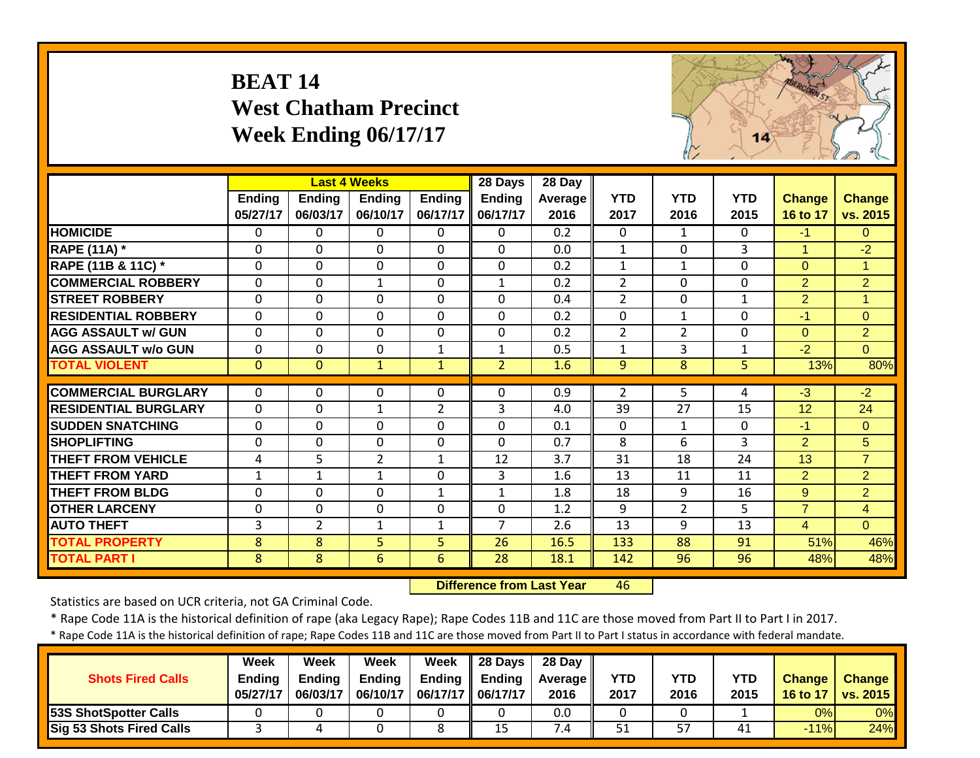# **BEAT 14 West Chatham Precinct Week Ending 06/17/17**



|                             |               |                | <b>Last 4 Weeks</b> |                | 28 Days        | 28 Day  |                |                |              |                |                |
|-----------------------------|---------------|----------------|---------------------|----------------|----------------|---------|----------------|----------------|--------------|----------------|----------------|
|                             | <b>Ending</b> | <b>Ending</b>  | <b>Ending</b>       | <b>Ending</b>  | <b>Ending</b>  | Average | <b>YTD</b>     | <b>YTD</b>     | <b>YTD</b>   | <b>Change</b>  | <b>Change</b>  |
|                             | 05/27/17      | 06/03/17       | 06/10/17            | 06/17/17       | 06/17/17       | 2016    | 2017           | 2016           | 2015         | 16 to 17       | vs. 2015       |
| <b>HOMICIDE</b>             | 0             | 0              | $\Omega$            | $\mathbf{0}$   | $\Omega$       | 0.2     | $\mathbf{0}$   | $\mathbf{1}$   | 0            | $-1$           | $\Omega$       |
| <b>RAPE (11A)</b> *         | $\Omega$      | $\Omega$       | $\Omega$            | $\Omega$       | $\Omega$       | 0.0     | $\mathbf{1}$   | $\Omega$       | 3            | $\mathbf{1}$   | $-2$           |
| RAPE (11B & 11C) *          | $\Omega$      | $\Omega$       | $\mathbf 0$         | $\Omega$       | $\Omega$       | 0.2     | $\mathbf{1}$   | $\mathbf{1}$   | 0            | $\Omega$       | $\mathbf{1}$   |
| <b>COMMERCIAL ROBBERY</b>   | $\Omega$      | $\Omega$       | $\mathbf{1}$        | $\mathbf 0$    | $\mathbf{1}$   | 0.2     | $\overline{2}$ | $\Omega$       | 0            | $\overline{2}$ | $\overline{2}$ |
| <b>STREET ROBBERY</b>       | $\Omega$      | $\mathbf 0$    | $\mathbf 0$         | $\mathbf{0}$   | $\Omega$       | 0.4     | $\overline{2}$ | $\Omega$       | $\mathbf{1}$ | $\overline{2}$ | $\overline{1}$ |
| <b>RESIDENTIAL ROBBERY</b>  | $\Omega$      | $\Omega$       | $\mathbf 0$         | $\mathbf{0}$   | $\Omega$       | 0.2     | $\mathbf{0}$   | $\mathbf{1}$   | 0            | $-1$           | $\Omega$       |
| <b>AGG ASSAULT w/ GUN</b>   | $\mathbf 0$   | $\mathbf 0$    | $\mathbf 0$         | 0              | $\mathbf 0$    | 0.2     | $\overline{2}$ | $\overline{2}$ | 0            | $\mathbf{0}$   | $\overline{2}$ |
| <b>AGG ASSAULT w/o GUN</b>  | $\mathbf 0$   | $\mathbf 0$    | $\mathbf 0$         | $\mathbf{1}$   | $\mathbf{1}$   | 0.5     | $\mathbf{1}$   | 3              | $\mathbf{1}$ | $-2$           | $\overline{0}$ |
| <b>TOTAL VIOLENT</b>        | $\mathbf{0}$  | $\mathbf{0}$   | $\mathbf{1}$        | $\mathbf{1}$   | $\overline{2}$ | 1.6     | 9              | 8              | 5            | 13%            | 80%            |
|                             |               |                |                     |                |                |         |                |                |              |                |                |
| <b>COMMERCIAL BURGLARY</b>  | $\Omega$      | $\Omega$       | $\Omega$            | $\Omega$       | $\Omega$       | 0.9     | $\overline{2}$ | 5              | 4            | $-3$           | $-2$           |
| <b>RESIDENTIAL BURGLARY</b> | $\mathbf 0$   | $\mathbf 0$    | $\mathbf{1}$        | $\overline{2}$ | 3              | 4.0     | 39             | 27             | 15           | 12             | 24             |
| <b>ISUDDEN SNATCHING</b>    | $\mathbf 0$   | $\mathbf 0$    | $\mathbf 0$         | $\mathbf 0$    | $\Omega$       | 0.1     | $\mathbf 0$    | $\mathbf{1}$   | 0            | $-1$           | $\overline{0}$ |
| <b>SHOPLIFTING</b>          | $\mathbf 0$   | 0              | 0                   | $\mathbf 0$    | $\Omega$       | 0.7     | 8              | 6              | 3            | $\overline{2}$ | 5              |
| <b>THEFT FROM VEHICLE</b>   | 4             | 5              | $\overline{2}$      | $\mathbf{1}$   | 12             | 3.7     | 31             | 18             | 24           | 13             | $\overline{7}$ |
| <b>THEFT FROM YARD</b>      | $\mathbf{1}$  | $\mathbf{1}$   | $\mathbf{1}$        | 0              | 3              | 1.6     | 13             | 11             | 11           | 2              | $\overline{2}$ |
| <b>THEFT FROM BLDG</b>      | 0             | $\mathbf 0$    | $\mathbf 0$         | $\mathbf{1}$   | $\mathbf{1}$   | 1.8     | 18             | 9              | 16           | 9              | $\overline{2}$ |
| <b>OTHER LARCENY</b>        | 0             | $\mathbf 0$    | $\mathbf 0$         | 0              | $\mathbf{0}$   | 1.2     | 9              | $\overline{2}$ | 5            | $\overline{7}$ | $\overline{4}$ |
| <b>AUTO THEFT</b>           | 3             | $\overline{2}$ | $\mathbf{1}$        | $\mathbf 1$    | $\overline{7}$ | 2.6     | 13             | 9              | 13           | $\overline{4}$ | $\Omega$       |
| <b>TOTAL PROPERTY</b>       | 8             | 8              | 5                   | 5              | 26             | 16.5    | 133            | 88             | 91           | 51%            | 46%            |
| <b>TOTAL PART I</b>         | 8             | 8              | 6                   | 6              | 28             | 18.1    | 142            | 96             | 96           | 48%            | 48%            |

 **Difference from Last Year**46

Statistics are based on UCR criteria, not GA Criminal Code.

\* Rape Code 11A is the historical definition of rape (aka Legacy Rape); Rape Codes 11B and 11C are those moved from Part II to Part I in 2017.

| <b>Shots Fired Calls</b>        | Week<br><b>Endina</b><br>05/27/17 | Week<br><b>Ending</b><br>06/03/17 | <b>Week</b><br><b>Ending</b><br>06/10/17 | <b>Week</b> | $\parallel$ 28 Days<br>Ending $\parallel$ Ending<br>06/17/17   06/17/17 | 28 Dav<br><b>Average II</b><br>2016 | <b>YTD</b><br>2017 | YTD<br>2016 | YTD<br>2015 | Change<br>16 to 17 | <b>Change</b><br>vs. 2015 |
|---------------------------------|-----------------------------------|-----------------------------------|------------------------------------------|-------------|-------------------------------------------------------------------------|-------------------------------------|--------------------|-------------|-------------|--------------------|---------------------------|
| 53S ShotSpotter Calls           |                                   |                                   |                                          |             |                                                                         | 0.0                                 |                    |             |             | 0%                 | 0%                        |
| <b>Sig 53 Shots Fired Calls</b> |                                   |                                   |                                          |             | 15                                                                      | $\cdot$ .4                          | 51                 | 57          | 41          | $-11%$             | 24%                       |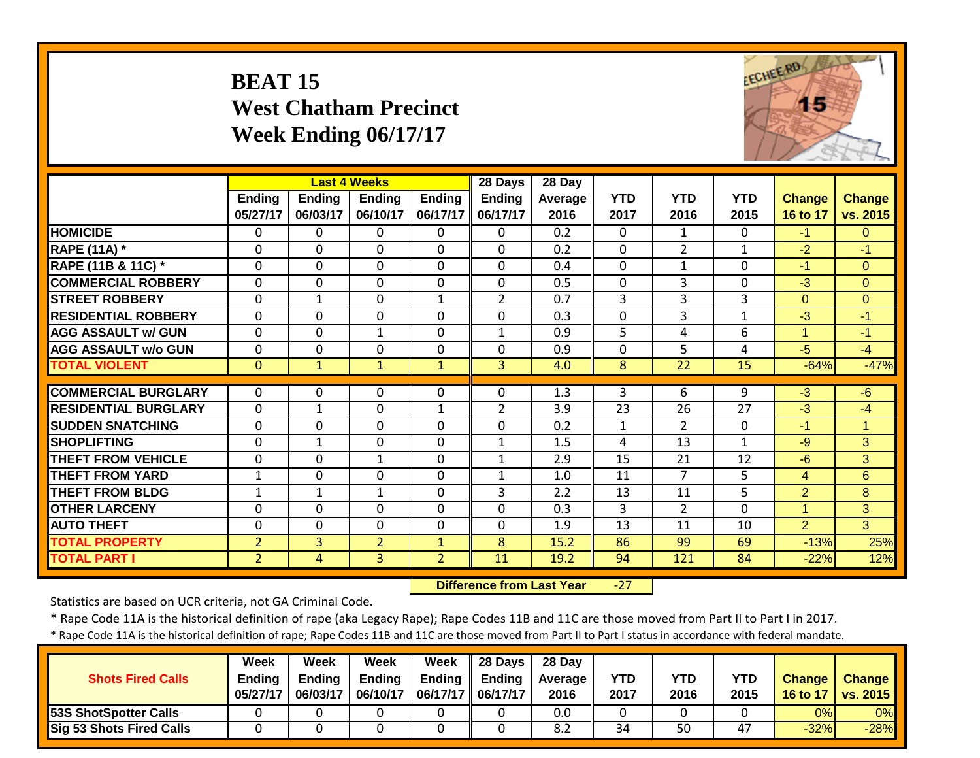# **BEAT 15 West Chatham Precinct Week Ending 06/17/17**



|                             |                |               | <b>Last 4 Weeks</b> |                | 28 Days        | 28 Day         |              |                |              |                |                |
|-----------------------------|----------------|---------------|---------------------|----------------|----------------|----------------|--------------|----------------|--------------|----------------|----------------|
|                             | Ending         | <b>Ending</b> | <b>Ending</b>       | <b>Ending</b>  | Ending         | <b>Average</b> | <b>YTD</b>   | <b>YTD</b>     | <b>YTD</b>   | Change         | <b>Change</b>  |
|                             | 05/27/17       | 06/03/17      | 06/10/17            | 06/17/17       | 06/17/17       | 2016           | 2017         | 2016           | 2015         | 16 to 17       | vs. 2015       |
| <b>HOMICIDE</b>             | $\Omega$       | 0             | $\Omega$            | $\Omega$       | $\Omega$       | 0.2            | $\mathbf{0}$ | $\mathbf{1}$   | 0            | $-1$           | $\Omega$       |
| <b>RAPE (11A) *</b>         | $\Omega$       | $\Omega$      | $\Omega$            | $\Omega$       | $\Omega$       | 0.2            | $\Omega$     | $\overline{2}$ | $\mathbf{1}$ | $-2$           | $-1$           |
| RAPE (11B & 11C) *          | 0              | $\Omega$      | $\Omega$            | $\Omega$       | $\mathbf{0}$   | 0.4            | 0            | $\mathbf{1}$   | 0            | $-1$           | $\Omega$       |
| <b>COMMERCIAL ROBBERY</b>   | $\Omega$       | $\Omega$      | $\Omega$            | $\Omega$       | $\mathbf{0}$   | 0.5            | 0            | 3              | 0            | $-3$           | $\Omega$       |
| <b>STREET ROBBERY</b>       | $\Omega$       | $\mathbf{1}$  | $\Omega$            | $\mathbf{1}$   | $\overline{2}$ | 0.7            | 3            | 3              | 3            | $\overline{0}$ | $\overline{0}$ |
| <b>RESIDENTIAL ROBBERY</b>  | $\Omega$       | $\Omega$      | $\mathbf 0$         | $\mathbf 0$    | $\mathbf{0}$   | 0.3            | $\mathbf 0$  | 3              | 1            | $-3$           | $-1$           |
| <b>AGG ASSAULT w/ GUN</b>   | $\mathbf 0$    | $\mathbf 0$   | $\mathbf{1}$        | $\mathbf 0$    | $\mathbf{1}$   | 0.9            | 5            | 4              | 6            | $\mathbf{1}$   | $-1$           |
| <b>AGG ASSAULT w/o GUN</b>  | $\Omega$       | $\mathbf 0$   | $\mathbf 0$         | $\mathbf 0$    | $\mathbf 0$    | 0.9            | $\mathbf 0$  | 5              | 4            | $-5$           | $-4$           |
| <b>TOTAL VIOLENT</b>        | $\mathbf{0}$   | $\mathbf{1}$  | $\mathbf{1}$        | $\mathbf{1}$   | $\overline{3}$ | 4.0            | 8            | 22             | 15           | $-64%$         | $-47%$         |
|                             |                |               |                     |                |                |                |              |                |              |                |                |
| <b>COMMERCIAL BURGLARY</b>  | $\Omega$       | $\Omega$      | $\Omega$            | $\Omega$       | $\mathbf{0}$   | 1.3            | 3            | 6              | 9            | $-3$           | $-6$           |
| <b>RESIDENTIAL BURGLARY</b> | $\mathbf{0}$   | $\mathbf{1}$  | $\Omega$            | $\mathbf{1}$   | $\overline{2}$ | 3.9            | 23           | 26             | 27           | $-3$           | $-4$           |
| <b>ISUDDEN SNATCHING</b>    | $\mathbf{0}$   | 0             | $\Omega$            | $\mathbf 0$    | $\Omega$       | 0.2            | $\mathbf{1}$ | 2              | $\mathbf{0}$ | $-1$           | $\overline{1}$ |
| <b>SHOPLIFTING</b>          | $\mathbf{0}$   | $\mathbf 1$   | $\mathbf 0$         | $\mathbf 0$    | $\mathbf{1}$   | 1.5            | 4            | 13             | 1            | $-9$           | 3              |
| <b>THEFT FROM VEHICLE</b>   | $\Omega$       | $\Omega$      | $\mathbf{1}$        | $\Omega$       | $\mathbf{1}$   | 2.9            | 15           | 21             | 12           | $-6$           | $\overline{3}$ |
| <b>THEFT FROM YARD</b>      | $\mathbf{1}$   | $\Omega$      | $\Omega$            | $\Omega$       | $\mathbf{1}$   | 1.0            | 11           | $\overline{7}$ | 5            | 4              | 6              |
| <b>THEFT FROM BLDG</b>      | 1              | $\mathbf{1}$  | $\mathbf{1}$        | $\mathbf 0$    | 3              | 2.2            | 13           | 11             | 5            | $\overline{2}$ | 8              |
| <b>OTHER LARCENY</b>        | $\mathbf{0}$   | $\mathbf{0}$  | $\mathbf{0}$        | $\mathbf 0$    | $\mathbf 0$    | 0.3            | 3            | $\overline{2}$ | 0            | $\mathbf{1}$   | 3 <sup>1</sup> |
| <b>AUTO THEFT</b>           | $\mathbf{0}$   | 0             | $\mathbf 0$         | $\mathbf 0$    | $\mathbf 0$    | 1.9            | 13           | 11             | 10           | $\overline{2}$ | $\overline{3}$ |
| <b>TOTAL PROPERTY</b>       | $\overline{2}$ | 3             | $\overline{2}$      | $\mathbf{1}$   | 8              | 15.2           | 86           | 99             | 69           | $-13%$         | 25%            |
| <b>TOTAL PART I</b>         | $\overline{2}$ | 4             | $\overline{3}$      | $\overline{2}$ | 11             | 19.2           | 94           | 121            | 84           | $-22%$         | 12%            |

 **Difference from Last Year** $-27$ 

Statistics are based on UCR criteria, not GA Criminal Code.

\* Rape Code 11A is the historical definition of rape (aka Legacy Rape); Rape Codes 11B and 11C are those moved from Part II to Part I in 2017.

| <b>Shots Fired Calls</b>        | Week<br><b>Ending</b><br>05/27/17 | Week<br>Endina<br>06/03/17 | Week<br><b>Ending</b><br>06/10/17 | Week<br>Ending<br>06/17/17 | 28 Days<br><b>Ending</b><br>06/17/17 | 28 Day<br><b>Average II</b><br>2016 | YTD<br>2017 | YTD<br>2016 | YTD<br>2015 | <b>Change</b><br>16 to 17 | <b>Change</b><br><b>TVs. 2015</b> |
|---------------------------------|-----------------------------------|----------------------------|-----------------------------------|----------------------------|--------------------------------------|-------------------------------------|-------------|-------------|-------------|---------------------------|-----------------------------------|
| <b>53S ShotSpotter Calls</b>    |                                   |                            |                                   |                            |                                      | 0.0                                 |             |             |             | 0%                        | $0\%$                             |
| <b>Sig 53 Shots Fired Calls</b> |                                   |                            |                                   |                            |                                      | 8.2                                 | 34          | 50          | 47          | $-32%$                    | $-28%$                            |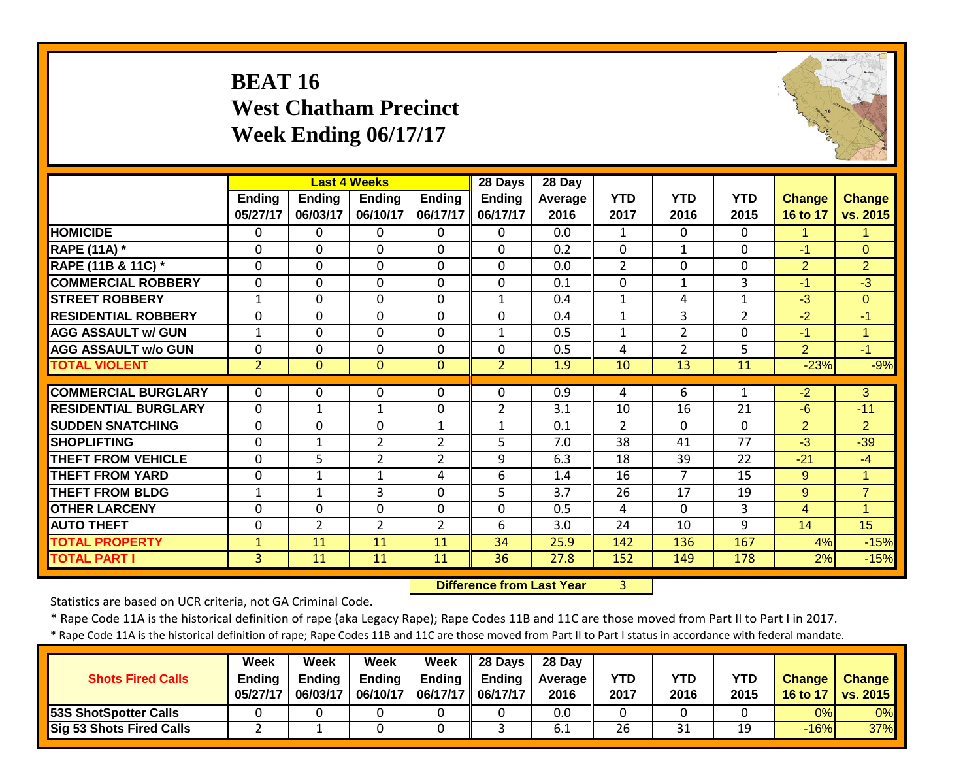# **BEAT 16 West Chatham Precinct Week Ending 06/17/17**



|                             |                |                | <b>Last 4 Weeks</b> |                | 28 Days        | 28 Day         |                |                |                |                |                |
|-----------------------------|----------------|----------------|---------------------|----------------|----------------|----------------|----------------|----------------|----------------|----------------|----------------|
|                             | <b>Ending</b>  | <b>Ending</b>  | <b>Ending</b>       | <b>Ending</b>  | <b>Ending</b>  | <b>Average</b> | <b>YTD</b>     | <b>YTD</b>     | <b>YTD</b>     | <b>Change</b>  | <b>Change</b>  |
|                             | 05/27/17       | 06/03/17       | 06/10/17            | 06/17/17       | 06/17/17       | 2016           | 2017           | 2016           | 2015           | 16 to 17       | vs. 2015       |
| <b>HOMICIDE</b>             | $\Omega$       | $\Omega$       | 0                   | $\Omega$       | $\Omega$       | 0.0            | $\mathbf{1}$   | $\Omega$       | 0              | 1.             | 1              |
| <b>RAPE (11A)</b> *         | $\Omega$       | $\Omega$       | $\mathbf 0$         | $\Omega$       | $\mathbf 0$    | 0.2            | $\Omega$       | $\mathbf{1}$   | $\mathbf 0$    | $-1$           | $\overline{0}$ |
| RAPE (11B & 11C) *          | $\mathbf 0$    | $\mathbf 0$    | $\mathbf 0$         | $\mathbf 0$    | $\mathbf 0$    | 0.0            | $\overline{2}$ | $\mathbf 0$    | 0              | $\overline{2}$ | $\overline{2}$ |
| <b>COMMERCIAL ROBBERY</b>   | $\mathbf 0$    | $\Omega$       | $\mathbf 0$         | $\mathbf 0$    | $\mathbf 0$    | 0.1            | $\mathbf 0$    | $\mathbf{1}$   | 3              | $-1$           | $-3$           |
| <b>STREET ROBBERY</b>       | $\mathbf{1}$   | $\Omega$       | $\mathbf 0$         | 0              | $\mathbf{1}$   | 0.4            | $\mathbf{1}$   | 4              | 1              | $-3$           | $\mathbf{0}$   |
| <b>RESIDENTIAL ROBBERY</b>  | 0              | $\Omega$       | $\Omega$            | $\Omega$       | $\Omega$       | 0.4            | $\mathbf{1}$   | 3              | $\overline{2}$ | $-2$           | $-1$           |
| <b>AGG ASSAULT w/ GUN</b>   | $\mathbf{1}$   | $\Omega$       | $\mathbf 0$         | $\mathbf 0$    | $\mathbf{1}$   | 0.5            | $\mathbf{1}$   | $\overline{2}$ | $\mathbf 0$    | $-1$           | $\overline{1}$ |
| <b>AGG ASSAULT w/o GUN</b>  | $\mathbf 0$    | $\Omega$       | 0                   | $\mathbf 0$    | $\Omega$       | 0.5            | 4              | $\overline{2}$ | 5              | $\overline{2}$ | $-1$           |
| <b>TOTAL VIOLENT</b>        | $\overline{2}$ | $\Omega$       | $\mathbf{0}$        | $\mathbf{0}$   | $\overline{2}$ | 1.9            | 10             | 13             | 11             | $-23%$         | $-9%$          |
|                             |                |                |                     |                |                |                |                |                |                |                |                |
| <b>COMMERCIAL BURGLARY</b>  | $\Omega$       | $\Omega$       | $\Omega$            | $\Omega$       | $\Omega$       | 0.9            | 4              | 6              | 1              | $-2$           | 3              |
| <b>RESIDENTIAL BURGLARY</b> | $\mathbf 0$    | 1              | $\mathbf 1$         | $\mathbf 0$    | 2              | 3.1            | 10             | 16             | 21             | $-6$           | $-11$          |
| <b>SUDDEN SNATCHING</b>     | $\mathbf 0$    | $\Omega$       | 0                   | $\mathbf{1}$   | 1              | 0.1            | $\overline{2}$ | $\Omega$       | 0              | $\overline{2}$ | $\overline{2}$ |
| <b>SHOPLIFTING</b>          | 0              | 1              | $\overline{2}$      | $\overline{2}$ | 5              | 7.0            | 38             | 41             | 77             | $-3$           | $-39$          |
| <b>THEFT FROM VEHICLE</b>   | $\mathbf 0$    | 5              | $\overline{2}$      | $\overline{2}$ | 9              | 6.3            | 18             | 39             | 22             | $-21$          | $-4$           |
| <b>THEFT FROM YARD</b>      | 0              | 1              | $\mathbf{1}$        | 4              | 6              | 1.4            | 16             | $\overline{7}$ | 15             | 9              | $\mathbf{1}$   |
| <b>THEFT FROM BLDG</b>      | $\mathbf 1$    | 1              | 3                   | $\Omega$       | 5              | 3.7            | 26             | 17             | 19             | 9              | $\overline{7}$ |
| <b>OTHER LARCENY</b>        | 0              | $\Omega$       | 0                   | $\Omega$       | $\Omega$       | 0.5            | 4              | $\Omega$       | 3              | 4              | 1              |
| <b>AUTO THEFT</b>           | 0              | $\overline{2}$ | $\overline{2}$      | $\overline{2}$ | 6              | 3.0            | 24             | 10             | 9              | 14             | 15             |
| <b>TOTAL PROPERTY</b>       | $\mathbf{1}$   | 11             | 11                  | 11             | 34             | 25.9           | 142            | 136            | 167            | 4%             | $-15%$         |
| <b>TOTAL PART I</b>         | $\overline{3}$ | 11             | 11                  | 11             | 36             | 27.8           | 152            | 149            | 178            | 2%             | $-15%$         |

 **Difference from Last Year**3

Statistics are based on UCR criteria, not GA Criminal Code.

\* Rape Code 11A is the historical definition of rape (aka Legacy Rape); Rape Codes 11B and 11C are those moved from Part II to Part I in 2017.

| <b>Shots Fired Calls</b>        | <b>Week</b><br><b>Ending</b><br>05/27/17 | Week<br>Endina<br>06/03/17 | Week<br><b>Ending</b><br>06/10/17 | Week<br><b>Ending</b><br>06/17/17 | <b>28 Davs</b><br><b>Ending</b><br>06/17/17 | 28 Day<br><b>Average II</b><br>2016 | <b>YTD</b><br>2017 | <b>YTD</b><br>2016 | YTD<br>2015 | <b>Change</b><br>16 to 17 | <b>Change</b><br><b>vs. 2015</b> |
|---------------------------------|------------------------------------------|----------------------------|-----------------------------------|-----------------------------------|---------------------------------------------|-------------------------------------|--------------------|--------------------|-------------|---------------------------|----------------------------------|
| 53S ShotSpotter Calls           |                                          |                            |                                   |                                   |                                             | 0.0                                 |                    |                    |             | 0%                        | 0%                               |
| <b>Sig 53 Shots Fired Calls</b> |                                          |                            |                                   |                                   |                                             | 0.1                                 | 26                 | 31                 | 19          | $-16%$                    | 37%                              |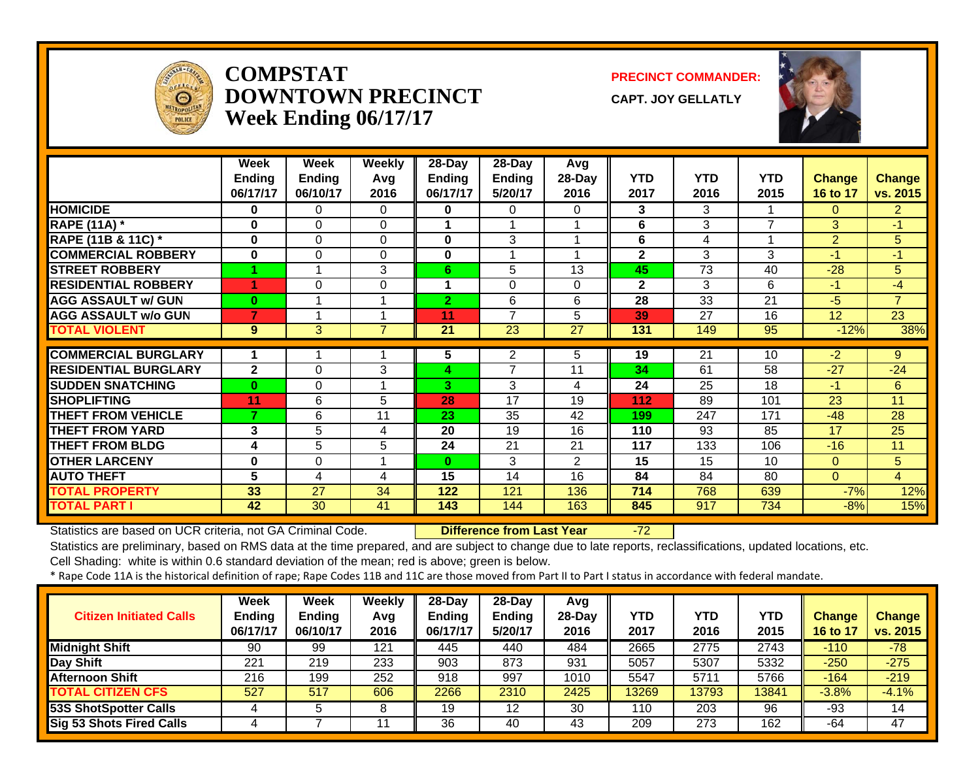

#### **COMPSTATDOWNTOWN PRECINCTWeek Ending 06/17/17**

**PRECINCT COMMANDER:**

**CAPT. JOY GELLATLY**



|                             | Week          | Week          | Weekly         | 28-Day         | 28-Day          | Avg             |                |                 |                |                |                |
|-----------------------------|---------------|---------------|----------------|----------------|-----------------|-----------------|----------------|-----------------|----------------|----------------|----------------|
|                             | <b>Ending</b> | <b>Ending</b> | Avg            | Ending         | <b>Ending</b>   | 28-Day          | <b>YTD</b>     | <b>YTD</b>      | <b>YTD</b>     | <b>Change</b>  | <b>Change</b>  |
|                             | 06/17/17      | 06/10/17      | 2016           | 06/17/17       | 5/20/17         | 2016            | 2017           | 2016            | 2015           | 16 to 17       | vs. 2015       |
| <b>HOMICIDE</b>             | 0             | 0             | 0              | 0              | 0               | 0.              | 3              | 3               |                | $\Omega$       | $\overline{2}$ |
| <b>RAPE (11A) *</b>         | 0             | 0             | $\Omega$       | 1              | 1               |                 | 6              | 3               | $\overline{7}$ | 3              | $-1$           |
| RAPE (11B & 11C) *          | $\bf{0}$      | 0             | $\Omega$       | 0              | 3               |                 | 6              | 4               |                | $\overline{2}$ | 5              |
| <b>COMMERCIAL ROBBERY</b>   | $\bf{0}$      | $\Omega$      | $\Omega$       | 0              | 1               |                 | $\mathbf{2}$   | 3               | 3              | $-1$           | $-1$           |
| <b>STREET ROBBERY</b>       |               |               | 3              | 6.             | 5               | 13              | 45             | $\overline{73}$ | 40             | $-28$          | 5              |
| <b>RESIDENTIAL ROBBERY</b>  | 4             | $\Omega$      | 0              |                | 0               | $\Omega$        | $\overline{2}$ | 3               | 6              | $-1$           | $-4$           |
| <b>AGG ASSAULT w/ GUN</b>   | $\bf{0}$      |               | 1              | $\overline{2}$ | 6               | 6               | 28             | 33              | 21             | $-5$           | $\overline{7}$ |
| <b>AGG ASSAULT w/o GUN</b>  |               |               | 1              | 11             | 7               | 5               | 39             | 27              | 16             | 12             | 23             |
| <b>TOTAL VIOLENT</b>        | 9             | 3             | $\overline{7}$ | 21             | $\overline{23}$ | $\overline{27}$ | 131            | 149             | 95             | $-12%$         | 38%            |
| <b>COMMERCIAL BURGLARY</b>  |               |               |                | 5              | 2               | 5               | 19             | $\overline{21}$ | 10             | $-2$           | 9              |
| <b>RESIDENTIAL BURGLARY</b> | $\mathbf{2}$  |               | 3              |                | 7               | 11              |                | 61              | 58             | $-27$          |                |
|                             |               | $\Omega$      |                | 4              |                 |                 | 34             |                 |                |                | $-24$          |
| <b>SUDDEN SNATCHING</b>     | $\bf{0}$      | 0             |                | 3.             | 3               | 4               | 24             | 25              | 18             | $-1$           | 6              |
| <b>SHOPLIFTING</b>          | 11            | 6             | 5              | 28             | 17              | 19              | 112            | 89              | 101            | 23             | 11             |
| <b>THEFT FROM VEHICLE</b>   | 7             | 6             | 11             | 23             | 35              | 42              | 199            | 247             | 171            | $-48$          | 28             |
| <b>THEFT FROM YARD</b>      | 3             | 5             | 4              | 20             | 19              | 16              | 110            | 93              | 85             | 17             | 25             |
| <b>THEFT FROM BLDG</b>      | 4             | 5             | 5              | 24             | 21              | 21              | 117            | 133             | 106            | $-16$          | 11             |
| <b>OTHER LARCENY</b>        | $\bf{0}$      | $\Omega$      | 1              | $\bf{0}$       | 3               | $\overline{2}$  | 15             | 15              | 10             | $\Omega$       | 5              |
| <b>AUTO THEFT</b>           | 5             | 4             | 4              | 15             | 14              | 16              | 84             | 84              | 80             | $\Omega$       | $\overline{4}$ |
| <b>TOTAL PROPERTY</b>       | 33            | 27            | 34             | 122            | 121             | 136             | 714            | 768             | 639            | $-7%$          | 12%            |
| <b>TOTAL PART I</b>         | 42            | 30            | 41             | 143            | 144             | 163             | 845            | 917             | 734            | $-8%$          | 15%            |

Statistics are based on UCR criteria, not GA Criminal Code. **Difference from Last Year** -72

Statistics are preliminary, based on RMS data at the time prepared, and are subject to change due to late reports, reclassifications, updated locations, etc.

Cell Shading: white is within 0.6 standard deviation of the mean; red is above; green is below.

| <b>Citizen Initiated Calls</b>  | Week<br><b>Ending</b><br>06/17/17 | <b>Week</b><br><b>Ending</b><br>06/10/17 | Weekly<br>Avq<br>2016 | $28-Dav$<br>Ending<br>06/17/17 | $28-Day$<br><b>Ending</b><br>5/20/17 | Avg<br>28-Day<br>2016 | YTD<br>2017 | YTD<br>2016 | YTD<br>2015 | <b>Change</b><br>16 to 17 | <b>Change</b><br>vs. 2015 |
|---------------------------------|-----------------------------------|------------------------------------------|-----------------------|--------------------------------|--------------------------------------|-----------------------|-------------|-------------|-------------|---------------------------|---------------------------|
| <b>Midnight Shift</b>           | 90                                | 99                                       | 121                   | 445                            | 440                                  | 484                   | 2665        | 2775        | 2743        | $-110$                    | $-78$                     |
| Day Shift                       | 221                               | 219                                      | 233                   | 903                            | 873                                  | 931                   | 5057        | 5307        | 5332        | $-250$                    | $-275$                    |
| <b>Afternoon Shift</b>          | 216                               | 199                                      | 252                   | 918                            | 997                                  | 1010                  | 5547        | 5711        | 5766        | $-164$                    | $-219$                    |
| <b>TOTAL CITIZEN CFS</b>        | 527                               | 517                                      | 606                   | 2266                           | 2310                                 | 2425                  | 13269       | 13793       | 13841       | $-3.8%$                   | $-4.1%$                   |
| <b>53S ShotSpotter Calls</b>    |                                   |                                          |                       | 19                             | 12                                   | 30                    | 110         | 203         | 96          | -93                       | 14                        |
| <b>Sig 53 Shots Fired Calls</b> |                                   |                                          |                       | 36                             | 40                                   | 43                    | 209         | 273         | 162         | -64                       | 47                        |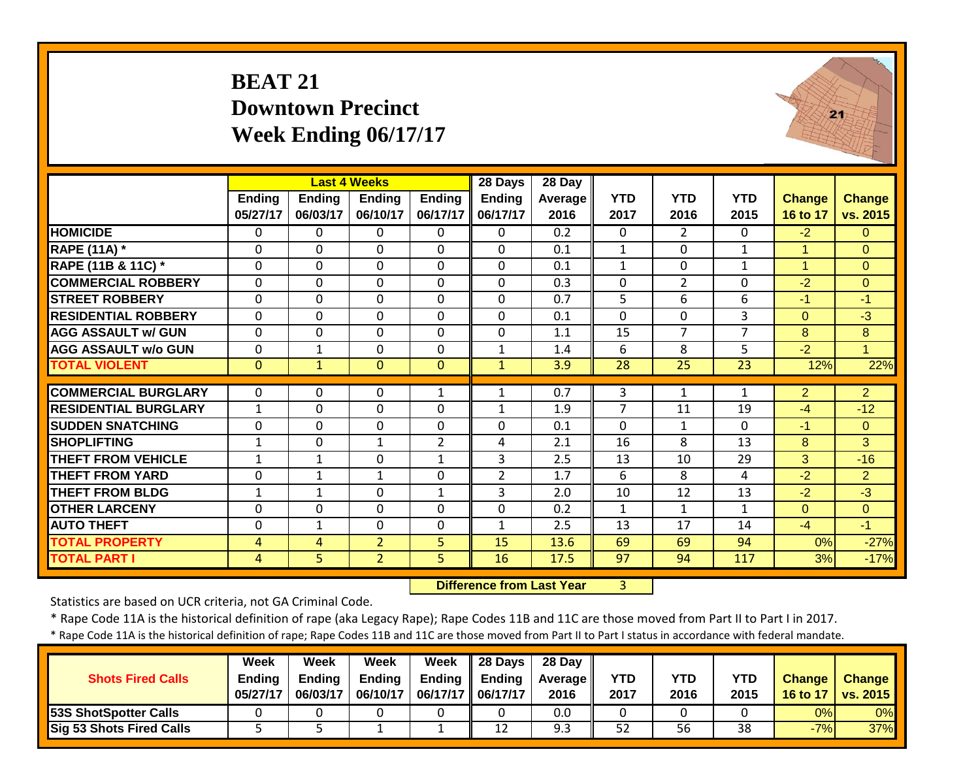# **BEAT 21 Downtown Precinct Week Ending 06/17/17**



|                             |               |               | <b>Last 4 Weeks</b> |                | 28 Days        | 28 Day  |              |                |                |                      |                |
|-----------------------------|---------------|---------------|---------------------|----------------|----------------|---------|--------------|----------------|----------------|----------------------|----------------|
|                             | <b>Ending</b> | <b>Ending</b> | <b>Ending</b>       | <b>Ending</b>  | <b>Ending</b>  | Average | <b>YTD</b>   | <b>YTD</b>     | <b>YTD</b>     | <b>Change</b>        | <b>Change</b>  |
|                             | 05/27/17      | 06/03/17      | 06/10/17            | 06/17/17       | 06/17/17       | 2016    | 2017         | 2016           | 2015           | 16 to 17             | vs. 2015       |
| <b>HOMICIDE</b>             | $\mathbf{0}$  | $\Omega$      | 0                   | $\mathbf{0}$   | $\Omega$       | 0.2     | 0            | $\overline{2}$ | $\Omega$       | $-2$                 | $\Omega$       |
| <b>RAPE (11A)</b> *         | $\Omega$      | $\Omega$      | 0                   | $\mathbf 0$    | $\mathbf 0$    | 0.1     | $\mathbf{1}$ | $\mathbf 0$    | $\mathbf{1}$   | 1                    | $\Omega$       |
| RAPE (11B & 11C) *          | $\mathbf 0$   | $\Omega$      | 0                   | $\mathbf 0$    | $\mathbf 0$    | 0.1     | $\mathbf{1}$ | $\mathbf 0$    | 1              | $\blacktriangleleft$ | $\overline{0}$ |
| <b>COMMERCIAL ROBBERY</b>   | $\mathbf 0$   | $\Omega$      | 0                   | $\mathbf 0$    | $\mathbf 0$    | 0.3     | $\mathbf{0}$ | $\overline{2}$ | $\mathbf 0$    | $-2$                 | $\mathbf{0}$   |
| <b>STREET ROBBERY</b>       | 0             | $\Omega$      | 0                   | 0              | $\Omega$       | 0.7     | 5            | 6              | 6              | $-1$                 | $-1$           |
| <b>RESIDENTIAL ROBBERY</b>  | $\mathbf 0$   | $\Omega$      | 0                   | 0              | $\Omega$       | 0.1     | $\Omega$     | $\mathbf 0$    | 3              | $\Omega$             | $-3$           |
| <b>AGG ASSAULT w/ GUN</b>   | $\mathbf 0$   | $\Omega$      | 0                   | 0              | $\mathbf 0$    | 1.1     | 15           | $\overline{7}$ | $\overline{7}$ | 8                    | 8              |
| <b>AGG ASSAULT w/o GUN</b>  | $\mathbf 0$   | 1             | 0                   | 0              | $\mathbf{1}$   | 1.4     | 6            | 8              | 5              | $-2$                 | $\overline{1}$ |
| <b>TOTAL VIOLENT</b>        | $\mathbf{0}$  | $\mathbf{1}$  | $\overline{0}$      | $\mathbf{0}$   | $\mathbf{1}$   | 3.9     | 28           | 25             | 23             | 12%                  | 22%            |
|                             |               |               |                     |                |                |         |              |                |                |                      |                |
| <b>COMMERCIAL BURGLARY</b>  | $\Omega$      | 0             | 0                   | 1              | $\mathbf{1}$   | 0.7     | 3            | 1              | $\mathbf{1}$   | $\overline{2}$       | $\overline{2}$ |
| <b>RESIDENTIAL BURGLARY</b> | $\mathbf{1}$  | $\Omega$      | 0                   | 0              | $\mathbf{1}$   | 1.9     | 7            | 11             | 19             | $-4$                 | $-12$          |
| <b>ISUDDEN SNATCHING</b>    | $\mathbf 0$   | $\Omega$      | 0                   | 0              | $\mathbf 0$    | 0.1     | $\Omega$     | $\mathbf{1}$   | $\Omega$       | $-1$                 | $\overline{0}$ |
| <b>SHOPLIFTING</b>          | $\mathbf{1}$  | $\Omega$      | $\mathbf{1}$        | $\overline{2}$ | 4              | 2.1     | 16           | 8              | 13             | 8                    | 3              |
| <b>THEFT FROM VEHICLE</b>   | $\mathbf{1}$  | $\mathbf{1}$  | 0                   | $\mathbf{1}$   | 3              | 2.5     | 13           | 10             | 29             | 3                    | $-16$          |
| <b>THEFT FROM YARD</b>      | 0             | $\mathbf{1}$  | $\mathbf{1}$        | 0              | $\overline{2}$ | 1.7     | 6            | 8              | 4              | $-2$                 | $\overline{2}$ |
| <b>THEFT FROM BLDG</b>      | $\mathbf 1$   | $\mathbf{1}$  | 0                   | $\mathbf{1}$   | 3              | 2.0     | 10           | 12             | 13             | $-2$                 | $-3$           |
| <b>OTHER LARCENY</b>        | 0             | 0             | 0                   | 0              | $\mathbf 0$    | 0.2     | $\mathbf{1}$ | $\mathbf{1}$   | $\mathbf{1}$   | $\Omega$             | $\Omega$       |
| <b>AUTO THEFT</b>           | 0             | 1             | 0                   | 0              | $\mathbf{1}$   | 2.5     | 13           | 17             | 14             | $-4$                 | $-1$           |
| <b>TOTAL PROPERTY</b>       | 4             | 4             | $\overline{2}$      | 5              | 15             | 13.6    | 69           | 69             | 94             | 0%                   | $-27%$         |
| <b>TOTAL PART I</b>         | 4             | 5.            | $\overline{2}$      | 5              | 16             | 17.5    | 97           | 94             | 117            | 3%                   | $-17%$         |

 **Difference from Last Year**r 3

Statistics are based on UCR criteria, not GA Criminal Code.

\* Rape Code 11A is the historical definition of rape (aka Legacy Rape); Rape Codes 11B and 11C are those moved from Part II to Part I in 2017.

| <b>Shots Fired Calls</b>        | Week<br><b>Ending</b><br>05/27/17 | Week<br><b>Ending</b><br>06/03/17 | Week<br><b>Ending</b><br>06/10/17 | <b>Week</b><br>06/17/17   06/17/17 | $\parallel$ 28 Days<br>Ending $\parallel$ Ending | 28 Day<br><b>Average</b> II<br>2016 | <b>YTD</b><br>2017 | <b>YTD</b><br>2016 | <b>YTD</b><br>2015 | <b>Change</b><br>16 to 17 | <b>Change</b><br>vs. 2015 |
|---------------------------------|-----------------------------------|-----------------------------------|-----------------------------------|------------------------------------|--------------------------------------------------|-------------------------------------|--------------------|--------------------|--------------------|---------------------------|---------------------------|
| 53S ShotSpotter Calls           |                                   |                                   |                                   |                                    |                                                  | 0.0                                 |                    |                    |                    | 0%                        | 0%                        |
| <b>Sig 53 Shots Fired Calls</b> |                                   |                                   |                                   |                                    | 12                                               | 9.3                                 | 52                 | 56                 | 38                 | $-7%$                     | 37%                       |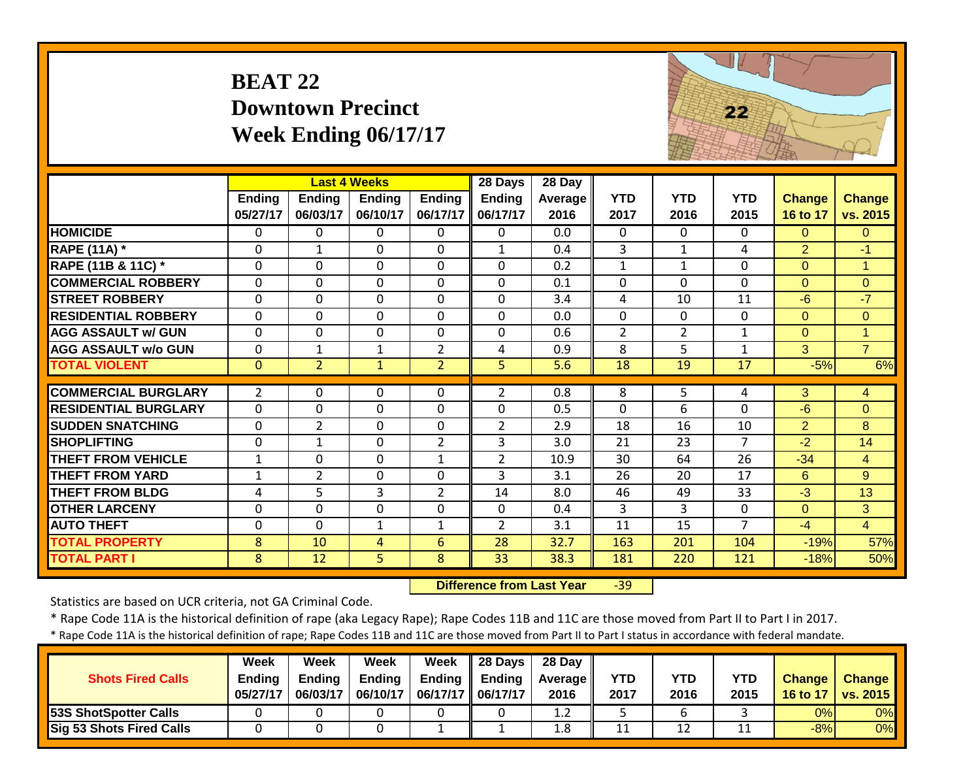# **BEAT 22 Downtown Precinct Week Ending 06/17/17**



|                             |                |                | <b>Last 4 Weeks</b> |                | 28 Days        | 28 Day  |                |                |                |                |                |
|-----------------------------|----------------|----------------|---------------------|----------------|----------------|---------|----------------|----------------|----------------|----------------|----------------|
|                             | <b>Ending</b>  | Ending         | Ending              | <b>Ending</b>  | Ending         | Average | <b>YTD</b>     | <b>YTD</b>     | <b>YTD</b>     | Change         | <b>Change</b>  |
|                             | 05/27/17       | 06/03/17       | 06/10/17            | 06/17/17       | 06/17/17       | 2016    | 2017           | 2016           | 2015           | 16 to 17       | vs. 2015       |
| <b>HOMICIDE</b>             | 0              | 0              | $\Omega$            | $\Omega$       | $\Omega$       | 0.0     | $\mathbf 0$    | $\Omega$       | $\Omega$       | $\Omega$       | $\overline{0}$ |
| <b>RAPE (11A) *</b>         | 0              | $\mathbf{1}$   | $\Omega$            | $\Omega$       | $\mathbf{1}$   | 0.4     | 3              | $\mathbf{1}$   | 4              | 2              | $-1$           |
| RAPE (11B & 11C) *          | 0              | $\mathbf 0$    | $\mathbf 0$         | $\mathbf 0$    | $\Omega$       | 0.2     | $\mathbf{1}$   | $\mathbf{1}$   | 0              | $\mathbf{0}$   | $\overline{1}$ |
| <b>COMMERCIAL ROBBERY</b>   | $\Omega$       | $\mathbf 0$    | $\mathbf 0$         | $\Omega$       | $\Omega$       | 0.1     | $\mathbf 0$    | $\Omega$       | 0              | $\Omega$       | $\overline{0}$ |
| <b>STREET ROBBERY</b>       | $\Omega$       | $\mathbf 0$    | $\mathbf 0$         | $\Omega$       | $\Omega$       | 3.4     | 4              | 10             | 11             | $-6$           | $-7$           |
| <b>RESIDENTIAL ROBBERY</b>  | $\mathbf 0$    | $\mathbf 0$    | $\mathbf 0$         | $\overline{0}$ | $\Omega$       | 0.0     | $\mathbf 0$    | $\Omega$       | $\Omega$       | $\Omega$       | $\overline{0}$ |
| <b>AGG ASSAULT w/ GUN</b>   | $\Omega$       | $\mathbf 0$    | $\mathbf 0$         | $\Omega$       | $\Omega$       | 0.6     | $\overline{2}$ | $\overline{2}$ | 1              | $\mathbf{0}$   | 1              |
| <b>AGG ASSAULT w/o GUN</b>  | $\Omega$       | 1              | $\mathbf{1}$        | $\overline{2}$ | 4              | 0.9     | 8              | 5              | $\mathbf{1}$   | 3              | $\overline{7}$ |
| <b>TOTAL VIOLENT</b>        | $\mathbf{0}$   | $\overline{2}$ | $\mathbf{1}$        | $\overline{2}$ | 5              | 5.6     | 18             | 19             | 17             | $-5%$          | 6%             |
| <b>COMMERCIAL BURGLARY</b>  | $\overline{2}$ | $\Omega$       | $\Omega$            | $\Omega$       | $\overline{2}$ | 0.8     | 8              | 5              | 4              | 3              | 4              |
|                             |                |                |                     |                |                |         |                |                |                |                |                |
| <b>RESIDENTIAL BURGLARY</b> | $\Omega$       | $\mathbf 0$    | $\mathbf 0$         | $\Omega$       | $\Omega$       | 0.5     | $\mathbf 0$    | 6              | 0              | $-6$           | $\overline{0}$ |
| <b>SUDDEN SNATCHING</b>     | $\mathbf{0}$   | $\overline{2}$ | $\mathbf 0$         | $\mathbf 0$    | $\overline{2}$ | 2.9     | 18             | 16             | 10             | $\overline{2}$ | 8              |
| <b>SHOPLIFTING</b>          | 0              | 1              | $\mathbf 0$         | $\overline{2}$ | 3              | 3.0     | 21             | 23             | $\overline{7}$ | $-2$           | 14             |
| <b>THEFT FROM VEHICLE</b>   | $\mathbf{1}$   | 0              | $\mathbf 0$         | $\mathbf{1}$   | $\overline{2}$ | 10.9    | 30             | 64             | 26             | $-34$          | $\overline{4}$ |
| <b>THEFT FROM YARD</b>      | $\mathbf{1}$   | $\overline{2}$ | $\mathbf 0$         | $\mathbf 0$    | 3              | 3.1     | 26             | 20             | 17             | 6              | 9              |
| <b>THEFT FROM BLDG</b>      | 4              | 5              | 3                   | $\overline{2}$ | 14             | 8.0     | 46             | 49             | 33             | $-3$           | 13             |
| <b>OTHER LARCENY</b>        | 0              | 0              | $\mathbf 0$         | $\mathbf 0$    | $\Omega$       | 0.4     | 3              | 3              | 0              | $\mathbf{0}$   | 3              |
| <b>AUTO THEFT</b>           | 0              | $\Omega$       | $\mathbf{1}$        | $\mathbf{1}$   | $\overline{2}$ | 3.1     | 11             | 15             | 7              | $-4$           | $\overline{4}$ |
| <b>TOTAL PROPERTY</b>       | 8              | 10             | 4                   | $6\phantom{1}$ | 28             | 32.7    | 163            | 201            | 104            | $-19%$         | 57%            |
| <b>TOTAL PART I</b>         | 8              | 12             | 5                   | 8              | 33             | 38.3    | 181            | 220            | 121            | $-18%$         | 50%            |

 **Difference from Last Year**r -39

Statistics are based on UCR criteria, not GA Criminal Code.

\* Rape Code 11A is the historical definition of rape (aka Legacy Rape); Rape Codes 11B and 11C are those moved from Part II to Part I in 2017.

| <b>Shots Fired Calls</b>        | Week<br><b>Endina</b><br>05/27/17 | Week<br><b>Ending</b><br>06/03/17 | Week<br><b>Ending</b><br>06/10/17 | Week<br>Ending | $\parallel$ 28 Davs<br><b>Ending</b><br>06/17/17    06/17/17 | 28 Dav<br><b>Average II</b><br>2016 | <b>YTD</b><br>2017 | YTD<br>2016 | <b>YTD</b><br>2015 | <b>Change</b><br>16 to 17 | <b>Change</b><br>vs. 2015 |
|---------------------------------|-----------------------------------|-----------------------------------|-----------------------------------|----------------|--------------------------------------------------------------|-------------------------------------|--------------------|-------------|--------------------|---------------------------|---------------------------|
| 53S ShotSpotter Calls           |                                   |                                   |                                   |                |                                                              | 1.2                                 |                    |             |                    | 0%                        | 0%                        |
| <b>Sig 53 Shots Fired Calls</b> |                                   |                                   |                                   |                |                                                              | 1.8                                 | 11                 | 12          |                    | $-8%$                     | 0%                        |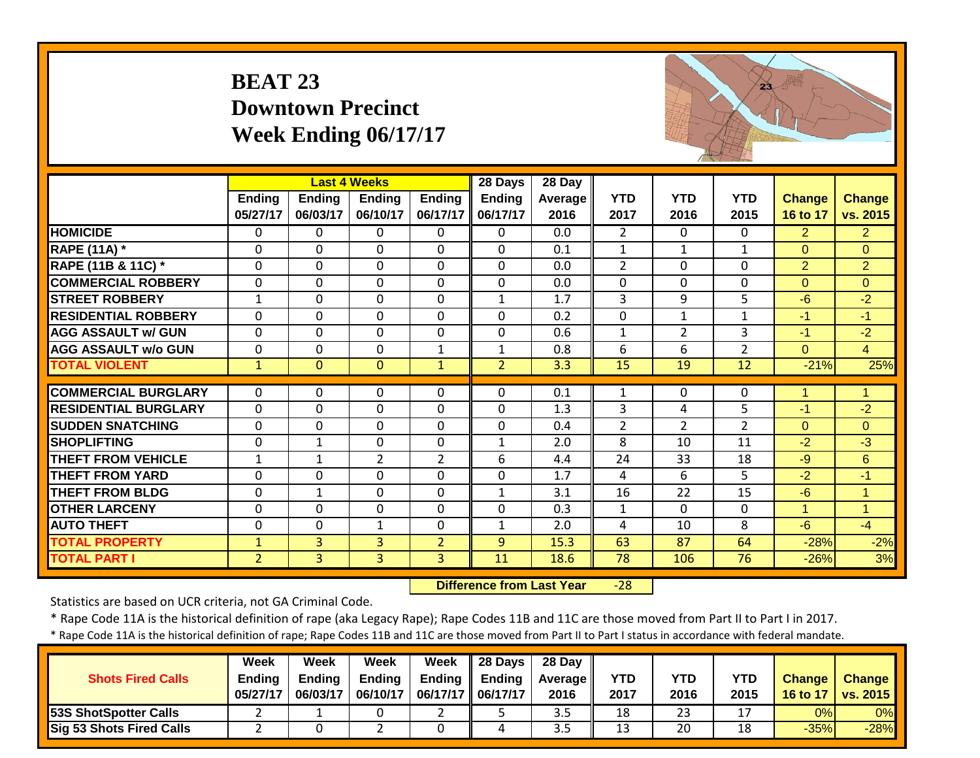# **BEAT 23 Downtown Precinct Week Ending 06/17/17**



|                             |                |                | <b>Last 4 Weeks</b> |                | 28 Days        | 28 Day         |                |                |                |                |                |
|-----------------------------|----------------|----------------|---------------------|----------------|----------------|----------------|----------------|----------------|----------------|----------------|----------------|
|                             | Ending         | <b>Ending</b>  | <b>Ending</b>       | <b>Ending</b>  | <b>Ending</b>  | <b>Average</b> | <b>YTD</b>     | <b>YTD</b>     | <b>YTD</b>     | Change         | <b>Change</b>  |
|                             | 05/27/17       | 06/03/17       | 06/10/17            | 06/17/17       | 06/17/17       | 2016           | 2017           | 2016           | 2015           | 16 to 17       | vs. 2015       |
| <b>HOMICIDE</b>             | $\Omega$       | 0              | $\Omega$            | 0              | $\Omega$       | 0.0            | $\overline{2}$ | $\Omega$       | 0              | $\overline{2}$ | $\overline{2}$ |
| <b>RAPE (11A) *</b>         | $\Omega$       | $\Omega$       | $\Omega$            | $\Omega$       | $\Omega$       | 0.1            | 1              | 1              | 1              | $\Omega$       | $\Omega$       |
| RAPE (11B & 11C) *          | $\Omega$       | $\Omega$       | $\Omega$            | $\Omega$       | $\Omega$       | 0.0            | 2              | $\Omega$       | $\Omega$       | $\overline{2}$ | $\overline{2}$ |
| <b>COMMERCIAL ROBBERY</b>   | $\Omega$       | $\Omega$       | $\Omega$            | $\Omega$       | $\mathbf{0}$   | 0.0            | $\Omega$       | $\mathbf{0}$   | 0              | $\Omega$       | $\Omega$       |
| <b>STREET ROBBERY</b>       | 1              | $\mathbf{0}$   | $\mathbf{0}$        | $\Omega$       | $\mathbf{1}$   | 1.7            | 3              | 9              | 5              | $-6$           | $-2$           |
| <b>RESIDENTIAL ROBBERY</b>  | $\Omega$       | $\Omega$       | $\Omega$            | $\Omega$       | $\mathbf{0}$   | 0.2            | $\mathbf 0$    | $\mathbf{1}$   | $\mathbf{1}$   | $-1$           | $-1$           |
| <b>AGG ASSAULT w/ GUN</b>   | $\mathbf{0}$   | $\mathbf 0$    | $\mathbf{0}$        | $\mathbf 0$    | $\mathbf{0}$   | 0.6            | $\mathbf{1}$   | $\overline{2}$ | 3              | $-1$           | $-2$           |
| <b>AGG ASSAULT w/o GUN</b>  | 0              | 0              | $\mathbf{0}$        | 1              | $\mathbf{1}$   | 0.8            | 6              | 6              | $\overline{2}$ | $\overline{0}$ | $\overline{4}$ |
| <b>TOTAL VIOLENT</b>        | $\mathbf{1}$   | $\mathbf{0}$   | $\mathbf{0}$        | $\mathbf{1}$   | $\overline{2}$ | 3.3            | 15             | 19             | 12             | $-21%$         | 25%            |
| <b>COMMERCIAL BURGLARY</b>  |                |                |                     |                |                |                |                |                |                |                | 1              |
|                             | $\Omega$       | $\Omega$       | $\Omega$            | $\Omega$       | $\mathbf{0}$   | 0.1            | 1              | $\mathbf{0}$   | 0              | 1              |                |
| <b>RESIDENTIAL BURGLARY</b> | 0              | 0              | $\mathbf{0}$        | $\mathbf 0$    | $\mathbf 0$    | 1.3            | 3              | 4              | 5              | $-1$           | $-2$           |
| <b>SUDDEN SNATCHING</b>     | $\Omega$       | $\mathbf 0$    | $\mathbf{0}$        | $\Omega$       | $\mathbf 0$    | 0.4            | $\overline{2}$ | $\overline{2}$ | $\overline{2}$ | $\Omega$       | $\Omega$       |
| <b>SHOPLIFTING</b>          | $\mathbf{0}$   | $\mathbf{1}$   | $\mathbf{0}$        | $\mathbf 0$    | $\mathbf{1}$   | 2.0            | 8              | 10             | 11             | $-2$           | $-3$           |
| <b>THEFT FROM VEHICLE</b>   | $\mathbf{1}$   | 1              | $\overline{2}$      | $\overline{2}$ | 6              | 4.4            | 24             | 33             | 18             | $-9$           | 6              |
| <b>THEFT FROM YARD</b>      | $\mathbf{0}$   | $\mathbf 0$    | $\mathbf 0$         | $\mathbf 0$    | $\overline{0}$ | 1.7            | 4              | 6              | 5              | $-2$           | $-1$           |
| <b>THEFT FROM BLDG</b>      | 0              | 1              | $\Omega$            | $\Omega$       | $\mathbf{1}$   | 3.1            | 16             | 22             | 15             | $-6$           | $\overline{1}$ |
| <b>OTHER LARCENY</b>        | $\Omega$       | $\Omega$       | $\Omega$            | $\mathbf 0$    | $\mathbf{0}$   | 0.3            | $\mathbf{1}$   | $\mathbf{0}$   | 0              | $\mathbf{1}$   | $\overline{1}$ |
| <b>AUTO THEFT</b>           | 0              | $\Omega$       | $\mathbf 1$         | $\Omega$       | $\mathbf{1}$   | 2.0            | 4              | 10             | 8              | $-6$           | $-4$           |
| <b>TOTAL PROPERTY</b>       | $\mathbf{1}$   | 3              | 3                   | $\overline{2}$ | 9              | 15.3           | 63             | 87             | 64             | $-28%$         | $-2%$          |
| <b>TOTAL PART I</b>         | $\overline{2}$ | $\overline{3}$ | $\overline{3}$      | $\overline{3}$ | 11             | 18.6           | 78             | 106            | 76             | $-26%$         | 3%             |

 **Difference from Last Year** $-28$ 

Statistics are based on UCR criteria, not GA Criminal Code.

\* Rape Code 11A is the historical definition of rape (aka Legacy Rape); Rape Codes 11B and 11C are those moved from Part II to Part I in 2017.

| <b>Shots Fired Calls</b>     | Week<br><b>Ending</b><br>05/27/17 | Week<br><b>Ending</b><br>06/03/17 | Week<br><b>Ending</b><br>06/10/17 | Week<br>06/17/17   06/17/17 | $\parallel$ 28 Days<br>Ending $\parallel$ Ending | 28 Day<br><b>Average</b> II<br>2016 | YTD<br>2017 | YTD<br>2016 | YTD<br>2015 | <b>Change</b><br>16 to 17 | <b>Change</b><br><b>vs. 2015</b> |
|------------------------------|-----------------------------------|-----------------------------------|-----------------------------------|-----------------------------|--------------------------------------------------|-------------------------------------|-------------|-------------|-------------|---------------------------|----------------------------------|
| <b>53S ShotSpotter Calls</b> |                                   |                                   |                                   |                             |                                                  | 3.5                                 | 18          | 23          | 17          | 0%                        | $0\%$                            |
| Sig 53 Shots Fired Calls     |                                   |                                   |                                   |                             |                                                  | 3.5                                 | 13          | 20          | 18          | $-35%$                    | $-28%$                           |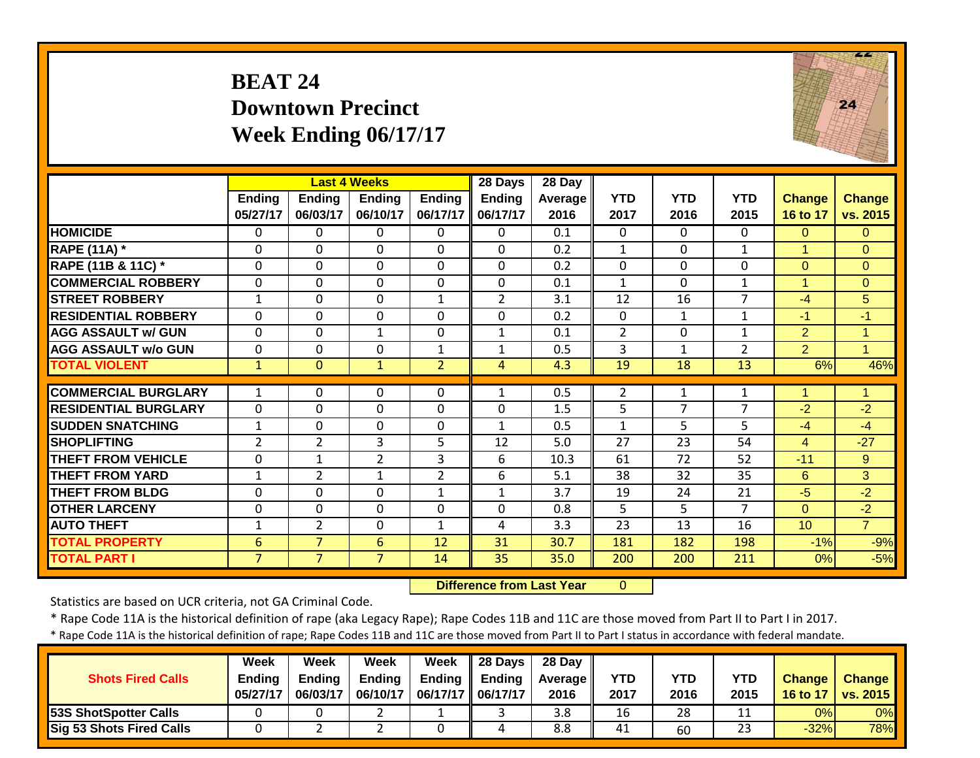# **BEAT 24 Downtown Precinct Week Ending 06/17/17**



|                             |                |                | <b>Last 4 Weeks</b> |                | 28 Days                          | 28 Day  |                |                |                |                 |                |
|-----------------------------|----------------|----------------|---------------------|----------------|----------------------------------|---------|----------------|----------------|----------------|-----------------|----------------|
|                             | <b>Ending</b>  | <b>Ending</b>  | <b>Ending</b>       | <b>Ending</b>  | <b>Ending</b>                    | Average | <b>YTD</b>     | <b>YTD</b>     | <b>YTD</b>     | <b>Change</b>   | <b>Change</b>  |
|                             | 05/27/17       | 06/03/17       | 06/10/17            | 06/17/17       | 06/17/17                         | 2016    | 2017           | 2016           | 2015           | 16 to 17        | vs. 2015       |
| <b>HOMICIDE</b>             | $\Omega$       | 0              | 0                   | 0              | $\Omega$                         | 0.1     | $\Omega$       | 0              | $\Omega$       | $\Omega$        | $\Omega$       |
| <b>RAPE (11A) *</b>         | 0              | $\Omega$       | 0                   | $\Omega$       | $\mathbf 0$                      | 0.2     | $\mathbf{1}$   | $\mathbf{0}$   | $\mathbf{1}$   | $\mathbf{1}$    | $\Omega$       |
| RAPE (11B & 11C) *          | $\mathbf{0}$   | $\Omega$       | 0                   | $\Omega$       | $\Omega$                         | 0.2     | $\mathbf{0}$   | 0              | 0              | $\overline{0}$  | $\overline{0}$ |
| <b>COMMERCIAL ROBBERY</b>   | 0              | $\mathbf 0$    | 0                   | 0              | $\mathbf{0}$                     | 0.1     | $\mathbf{1}$   | 0              | 1              | 1               | $\overline{0}$ |
| <b>ISTREET ROBBERY</b>      | 1              | $\Omega$       | $\Omega$            | $\mathbf{1}$   | $\overline{2}$                   | 3.1     | 12             | 16             | 7              | $-4$            | 5              |
| <b>RESIDENTIAL ROBBERY</b>  | 0              | $\Omega$       | 0                   | $\mathbf 0$    | $\mathbf 0$                      | 0.2     | 0              | $\mathbf{1}$   | $\mathbf{1}$   | $-1$            | $-1$           |
| <b>AGG ASSAULT w/ GUN</b>   | $\mathbf 0$    | $\Omega$       | $\mathbf{1}$        | $\mathbf 0$    | $\mathbf{1}$                     | 0.1     | $\overline{2}$ | 0              | 1              | $\overline{2}$  | $\mathbf{1}$   |
| <b>AGG ASSAULT w/o GUN</b>  | $\mathbf 0$    | $\Omega$       | 0                   | $\mathbf{1}$   | $\mathbf{1}$                     | 0.5     | 3              | $\mathbf{1}$   | $\overline{2}$ | $\overline{2}$  | $\mathbf{1}$   |
| <b>TOTAL VIOLENT</b>        | $\mathbf{1}$   | $\mathbf{0}$   | $\mathbf{1}$        | $\overline{2}$ | $\overline{4}$                   | 4.3     | 19             | 18             | 13             | 6%              | 46%            |
| <b>COMMERCIAL BURGLARY</b>  | $\mathbf{1}$   | $\Omega$       | 0                   | $\Omega$       | $\mathbf{1}$                     | 0.5     | $\overline{2}$ | $\mathbf{1}$   | 1              | 1               | $\mathbf{1}$   |
| <b>RESIDENTIAL BURGLARY</b> | $\mathbf 0$    | $\Omega$       | 0                   | $\mathbf 0$    | $\mathbf 0$                      | 1.5     | 5              | $\overline{7}$ | $\overline{7}$ | $-2$            | $-2$           |
| <b>SUDDEN SNATCHING</b>     | $\mathbf{1}$   | $\mathbf 0$    | $\Omega$            | $\Omega$       | $\mathbf{1}$                     | 0.5     | $\mathbf{1}$   | 5              | 5              | $-4$            | $-4$           |
| <b>SHOPLIFTING</b>          | $\overline{2}$ | $\overline{2}$ | 3                   | 5              | 12                               | 5.0     | 27             | 23             | 54             | $\overline{4}$  | $-27$          |
| <b>THEFT FROM VEHICLE</b>   | $\Omega$       | 1              | $\overline{2}$      | 3              | 6                                | 10.3    | 61             | 72             | 52             | $-11$           | 9              |
| <b>THEFT FROM YARD</b>      | 1              | $\overline{2}$ | $\mathbf{1}$        | $\overline{2}$ | 6                                | 5.1     | 38             | 32             | 35             | 6               | 3              |
| <b>THEFT FROM BLDG</b>      | 0              | $\Omega$       | 0                   | $\mathbf{1}$   | $\mathbf{1}$                     | 3.7     | 19             | 24             | 21             | $-5$            | $-2$           |
| <b>OTHER LARCENY</b>        | $\mathbf{0}$   | $\Omega$       | $\Omega$            | $\Omega$       | $\mathbf 0$                      | 0.8     | 5.             | 5              | $\overline{7}$ | $\overline{0}$  | $-2$           |
| <b>AUTO THEFT</b>           | $\mathbf{1}$   | $\overline{2}$ | 0                   | $\mathbf{1}$   | 4                                | 3.3     | 23             | 13             | 16             | 10 <sup>°</sup> | $\overline{7}$ |
| <b>TOTAL PROPERTY</b>       | 6              | $\overline{7}$ | 6                   | 12             | 31                               | 30.7    | 181            | 182            | 198            | $-1%$           | $-9%$          |
| <b>TOTAL PART I</b>         | 7              | $\overline{7}$ | $\overline{7}$      | 14             | $\overline{35}$                  | 35.0    | 200            | 200            | 211            | 0%              | $-5%$          |
|                             |                |                |                     |                | <b>Difference from Last Year</b> |         | $\mathbf{0}$   |                |                |                 |                |

 **Difference from Last Year**

Statistics are based on UCR criteria, not GA Criminal Code.

\* Rape Code 11A is the historical definition of rape (aka Legacy Rape); Rape Codes 11B and 11C are those moved from Part II to Part I in 2017.

| <b>Shots Fired Calls</b>        | Week<br><b>Ending</b><br>05/27/17 | Week<br>Endina<br>06/03/17 | Week<br><b>Endina</b><br>06/10/17 | Week<br>Ending<br>06/17/17 | 28 Days<br><b>Ending</b><br>06/17/17 | 28 Day<br><b>Average II</b><br>2016 | <b>YTD</b><br>2017 | YTD<br>2016 | YTD<br>2015 | <b>Change</b><br>16 to 17 | <b>Change</b><br>$\sqrt{vs. 2015}$ |
|---------------------------------|-----------------------------------|----------------------------|-----------------------------------|----------------------------|--------------------------------------|-------------------------------------|--------------------|-------------|-------------|---------------------------|------------------------------------|
| <b>53S ShotSpotter Calls</b>    |                                   |                            |                                   |                            |                                      | 3.8                                 | 16                 | 28          |             | 0%                        | $0\%$                              |
| <b>Sig 53 Shots Fired Calls</b> |                                   |                            |                                   |                            |                                      | 8.8                                 | 41                 | 60          | 23          | $-32%$                    | <b>78%</b>                         |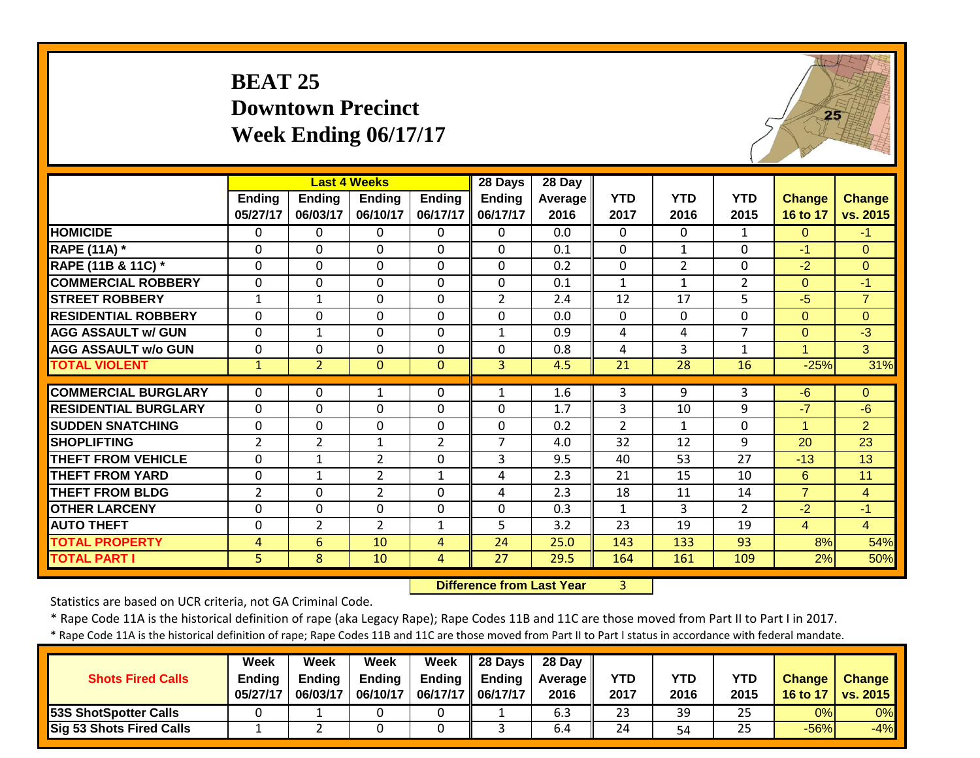| <b>BEAT 25</b>              |
|-----------------------------|
| <b>Downtown Precinct</b>    |
| <b>Week Ending 06/17/17</b> |



|                             |                |                | <b>Last 4 Weeks</b> |                | 28 Days        | 28 Day  |                |                |                |                      |                |
|-----------------------------|----------------|----------------|---------------------|----------------|----------------|---------|----------------|----------------|----------------|----------------------|----------------|
|                             | <b>Ending</b>  | <b>Ending</b>  | Ending              | <b>Ending</b>  | Ending         | Average | <b>YTD</b>     | <b>YTD</b>     | <b>YTD</b>     | Change               | <b>Change</b>  |
|                             | 05/27/17       | 06/03/17       | 06/10/17            | 06/17/17       | 06/17/17       | 2016    | 2017           | 2016           | 2015           | 16 to 17             | vs. 2015       |
| <b>HOMICIDE</b>             | $\Omega$       | 0              | 0                   | $\Omega$       | $\Omega$       | 0.0     | 0              | $\Omega$       | $\mathbf{1}$   | $\Omega$             | $-1$           |
| <b>RAPE (11A) *</b>         | 0              | $\Omega$       | $\Omega$            | $\Omega$       | $\Omega$       | 0.1     | $\Omega$       | $\mathbf{1}$   | $\Omega$       | $-1$                 | $\Omega$       |
| RAPE (11B & 11C) *          | 0              | $\Omega$       | $\Omega$            | $\Omega$       | $\Omega$       | 0.2     | 0              | $\overline{2}$ | $\Omega$       | $-2$                 | $\Omega$       |
| <b>COMMERCIAL ROBBERY</b>   | $\mathbf{0}$   | $\Omega$       | 0                   | $\Omega$       | $\Omega$       | 0.1     | $\mathbf{1}$   | $\mathbf{1}$   | $\overline{2}$ | $\Omega$             | $-1$           |
| <b>STREET ROBBERY</b>       | $\mathbf{1}$   | $\mathbf{1}$   | $\mathbf 0$         | $\Omega$       | $\overline{2}$ | 2.4     | 12             | 17             | 5              | $-5$                 | $\overline{7}$ |
| <b>RESIDENTIAL ROBBERY</b>  | $\Omega$       | $\Omega$       | $\mathbf 0$         | $\mathbf 0$    | $\Omega$       | 0.0     | $\Omega$       | $\mathbf 0$    | $\mathbf{0}$   | $\Omega$             | $\overline{0}$ |
| <b>AGG ASSAULT w/ GUN</b>   | $\mathbf{0}$   | $\mathbf 1$    | $\mathbf 0$         | $\mathbf 0$    | $\mathbf{1}$   | 0.9     | 4              | 4              | $\overline{7}$ | $\overline{0}$       | $-3$           |
| <b>AGG ASSAULT w/o GUN</b>  | $\mathbf{0}$   | 0              | $\mathbf 0$         | $\mathbf 0$    | $\mathbf 0$    | 0.8     | 4              | 3              | $\mathbf{1}$   | $\mathbf{1}$         | 3              |
| <b>TOTAL VIOLENT</b>        | $\mathbf{1}$   | $\overline{2}$ | $\mathbf{0}$        | $\mathbf{0}$   | $\overline{3}$ | 4.5     | 21             | 28             | 16             | $-25%$               | 31%            |
|                             |                |                |                     |                |                |         |                |                |                |                      |                |
| <b>COMMERCIAL BURGLARY</b>  | $\Omega$       | 0              | 1                   | $\Omega$       | $\mathbf{1}$   | 1.6     | 3              | 9              | 3              | $-6$                 | $\Omega$       |
| <b>RESIDENTIAL BURGLARY</b> | $\mathbf{0}$   | $\Omega$       | $\mathbf 0$         | $\mathbf 0$    | $\Omega$       | 1.7     | 3              | 10             | 9              | $-7$                 | $-6$           |
| <b>SUDDEN SNATCHING</b>     | $\mathbf 0$    | $\Omega$       | $\mathbf 0$         | $\mathbf 0$    | $\Omega$       | 0.2     | $\overline{2}$ | $\mathbf{1}$   | $\Omega$       | $\blacktriangleleft$ | $\overline{2}$ |
| <b>SHOPLIFTING</b>          | $\overline{2}$ | $\overline{2}$ | $\mathbf{1}$        | $\overline{2}$ | $\overline{7}$ | 4.0     | 32             | 12             | 9              | 20                   | 23             |
| <b>THEFT FROM VEHICLE</b>   | $\mathbf 0$    | $\mathbf{1}$   | $\overline{2}$      | $\Omega$       | 3              | 9.5     | 40             | 53             | 27             | $-13$                | 13             |
| <b>THEFT FROM YARD</b>      | $\Omega$       | $\mathbf{1}$   | $\overline{2}$      | $\mathbf{1}$   | 4              | 2.3     | 21             | 15             | 10             | 6                    | 11             |
| <b>THEFT FROM BLDG</b>      | $\overline{2}$ | 0              | $\overline{2}$      | $\mathbf 0$    | 4              | 2.3     | 18             | 11             | 14             | $\overline{7}$       | $\overline{4}$ |
| <b>OTHER LARCENY</b>        | $\mathbf{0}$   | 0              | 0                   | $\mathbf 0$    | $\mathbf 0$    | 0.3     | $\mathbf{1}$   | 3              | $\overline{2}$ | $-2$                 | $-1$           |
| <b>AUTO THEFT</b>           | $\mathbf{0}$   | $\overline{2}$ | $\overline{2}$      | $\mathbf{1}$   | 5              | 3.2     | 23             | 19             | 19             | $\overline{4}$       | $\overline{4}$ |
| <b>TOTAL PROPERTY</b>       | 4              | 6              | 10                  | 4              | 24             | 25.0    | 143            | 133            | 93             | 8%                   | 54%            |
| <b>TOTAL PART I</b>         | 5 <sup>1</sup> | 8              | 10                  | $\overline{4}$ | 27             | 29.5    | 164            | 161            | 109            | 2%                   | 50%            |

 **Difference from Last Year**r 3

Statistics are based on UCR criteria, not GA Criminal Code.

\* Rape Code 11A is the historical definition of rape (aka Legacy Rape); Rape Codes 11B and 11C are those moved from Part II to Part I in 2017.

| <b>Shots Fired Calls</b>        | Week<br><b>Ending</b><br>05/27/17 | Week<br><b>Ending</b><br>06/03/17 | Week<br><b>Ending</b><br>06/10/17 | Week<br><b>Ending</b><br>06/17/17   06/17/17 | $\parallel$ 28 Days<br><b>Ending</b> | 28 Day<br><b>Average</b> I<br>2016 | <b>YTD</b><br>2017 | YTD<br>2016 | <b>YTD</b><br>2015 | <b>Change</b><br><b>16 to 17</b> | <b>Change</b><br>vs. 2015 |
|---------------------------------|-----------------------------------|-----------------------------------|-----------------------------------|----------------------------------------------|--------------------------------------|------------------------------------|--------------------|-------------|--------------------|----------------------------------|---------------------------|
| <b>53S ShotSpotter Calls</b>    |                                   |                                   |                                   |                                              |                                      | 6.3                                | 23                 | 39          | 25                 | 0%                               | 0%                        |
| <b>Sig 53 Shots Fired Calls</b> |                                   |                                   |                                   |                                              |                                      | 6.4                                | 24                 | 54          | 25                 | $-56%$                           | $-4%$                     |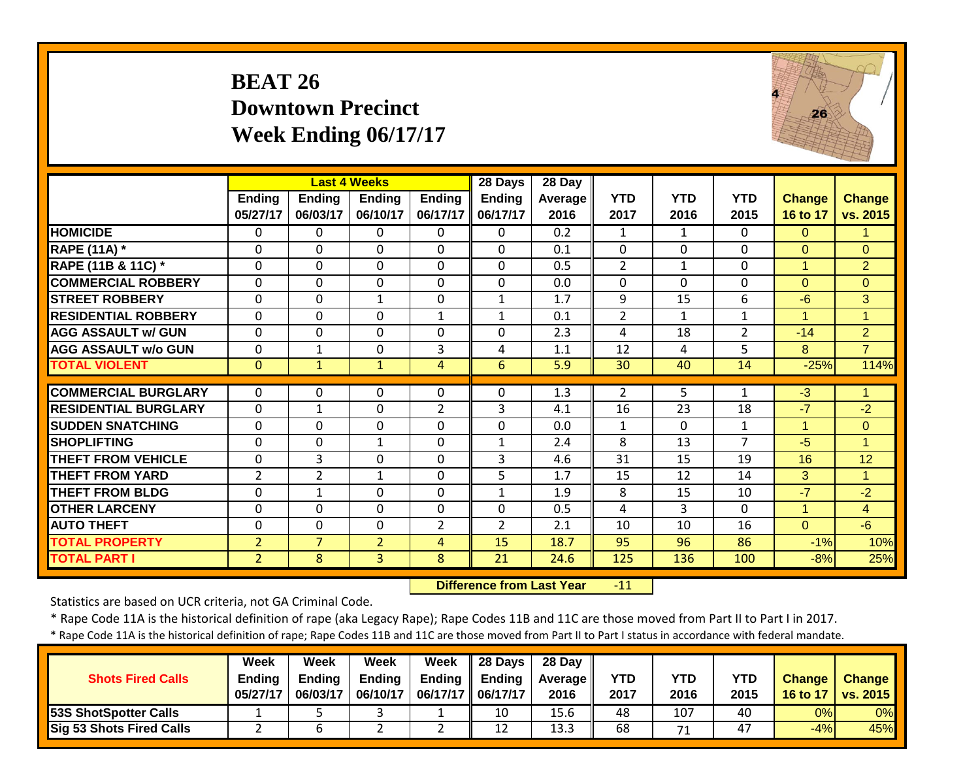# **BEAT 26 Downtown Precinct Week Ending 06/17/17**



|                             |                           |                           | <b>Last 4 Weeks</b>       |                           | 28 Days                   | 28 Day                 |                    |                    |                    |                           |                           |
|-----------------------------|---------------------------|---------------------------|---------------------------|---------------------------|---------------------------|------------------------|--------------------|--------------------|--------------------|---------------------------|---------------------------|
|                             | <b>Ending</b><br>05/27/17 | <b>Ending</b><br>06/03/17 | <b>Ending</b><br>06/10/17 | <b>Ending</b><br>06/17/17 | <b>Ending</b><br>06/17/17 | <b>Average</b><br>2016 | <b>YTD</b><br>2017 | <b>YTD</b><br>2016 | <b>YTD</b><br>2015 | <b>Change</b><br>16 to 17 | <b>Change</b><br>vs. 2015 |
| <b>HOMICIDE</b>             | $\mathbf{0}$              | $\Omega$                  | $\Omega$                  | $\Omega$                  | $\Omega$                  | 0.2                    | $\mathbf{1}$       | $\mathbf{1}$       | 0                  | $\Omega$                  | 1                         |
| <b>RAPE (11A)</b> *         | $\Omega$                  | $\Omega$                  | $\Omega$                  | $\Omega$                  | $\Omega$                  | 0.1                    | $\Omega$           | $\Omega$           | $\mathbf 0$        | $\overline{0}$            | $\Omega$                  |
| RAPE (11B & 11C) *          | $\mathbf 0$               | $\Omega$                  | $\mathbf 0$               | $\mathbf 0$               | $\Omega$                  | 0.5                    | $\overline{2}$     | $\mathbf{1}$       | $\mathbf 0$        | $\mathbf{1}$              | $\overline{2}$            |
| <b>COMMERCIAL ROBBERY</b>   | $\mathbf 0$               | $\Omega$                  | $\mathbf 0$               | $\mathbf 0$               | $\Omega$                  | 0.0                    | $\Omega$           | $\Omega$           | $\Omega$           | $\Omega$                  | $\Omega$                  |
| <b>STREET ROBBERY</b>       | $\mathbf 0$               | $\Omega$                  | $\mathbf{1}$              | $\Omega$                  | $\mathbf{1}$              | 1.7                    | 9                  | 15                 | 6                  | $-6$                      | 3                         |
| <b>RESIDENTIAL ROBBERY</b>  | $\mathbf 0$               | $\Omega$                  | 0                         | $\mathbf{1}$              | $\mathbf{1}$              | 0.1                    | $\overline{2}$     | $\mathbf{1}$       | 1                  | $\overline{1}$            | 1                         |
| <b>AGG ASSAULT w/ GUN</b>   | $\mathbf 0$               | $\Omega$                  | 0                         | $\mathbf 0$               | $\Omega$                  | 2.3                    | 4                  | 18                 | 2                  | $-14$                     | $\overline{2}$            |
| <b>AGG ASSAULT w/o GUN</b>  | 0                         | 1                         | 0                         | 3                         | 4                         | 1.1                    | 12                 | 4                  | 5                  | 8                         | $\overline{7}$            |
| <b>TOTAL VIOLENT</b>        | $\mathbf{0}$              | $\mathbf{1}$              | $\mathbf{1}$              | 4                         | 6                         | 5.9                    | 30                 | 40                 | 14                 | $-25%$                    | 114%                      |
| <b>COMMERCIAL BURGLARY</b>  | 0                         | 0                         | 0                         | $\Omega$                  | $\Omega$                  | 1.3                    |                    | 5                  | 1                  | $-3$                      | 1                         |
|                             |                           |                           |                           |                           |                           |                        | $\overline{2}$     |                    |                    |                           |                           |
| <b>RESIDENTIAL BURGLARY</b> | 0                         | 1                         | 0                         | $\overline{2}$            | 3                         | 4.1                    | 16                 | 23                 | 18                 | $-7$                      | $-2$                      |
| <b>SUDDEN SNATCHING</b>     | 0                         | $\Omega$                  | 0                         | $\Omega$                  | $\Omega$                  | 0.0                    | $\mathbf{1}$       | $\Omega$           | $\mathbf{1}$       | $\mathbf{1}$              | $\Omega$                  |
| <b>SHOPLIFTING</b>          | $\Omega$                  | $\Omega$                  | $\mathbf{1}$              | $\Omega$                  | $\mathbf{1}$              | 2.4                    | 8                  | 13                 | $\overline{7}$     | $-5$                      | 1                         |
| <b>THEFT FROM VEHICLE</b>   | 0                         | 3                         | 0                         | $\Omega$                  | 3                         | 4.6                    | 31                 | 15                 | 19                 | 16                        | 12                        |
| <b>THEFT FROM YARD</b>      | 2                         | $\overline{2}$            | $\mathbf{1}$              | $\Omega$                  | 5                         | 1.7                    | 15                 | 12                 | 14                 | 3                         | 1                         |
| <b>THEFT FROM BLDG</b>      | $\mathbf{0}$              | 1                         | $\Omega$                  | $\Omega$                  | 1                         | 1.9                    | 8                  | 15                 | 10                 | $-7$                      | $-2$                      |
| <b>OTHER LARCENY</b>        | $\mathbf{0}$              | $\Omega$                  | $\mathbf 0$               | $\Omega$                  | $\Omega$                  | 0.5                    | 4                  | 3                  | $\Omega$           | $\mathbf{1}$              | $\overline{4}$            |
| <b>AUTO THEFT</b>           | $\mathbf{0}$              | $\Omega$                  | $\Omega$                  | $\overline{2}$            | $\overline{2}$            | 2.1                    | 10                 | 10                 | 16                 | $\Omega$                  | $-6$                      |
| <b>TOTAL PROPERTY</b>       | $\overline{2}$            | $\overline{7}$            | $\overline{2}$            | 4                         | 15                        | 18.7                   | 95                 | 96                 | 86                 | $-1%$                     | 10%                       |
| <b>TOTAL PART I</b>         | $\overline{2}$            | 8                         | 3                         | 8                         | 21                        | 24.6                   | 125                | 136                | 100                | $-8%$                     | 25%                       |

 **Difference from Last Year**‐11

Statistics are based on UCR criteria, not GA Criminal Code.

\* Rape Code 11A is the historical definition of rape (aka Legacy Rape); Rape Codes 11B and 11C are those moved from Part II to Part I in 2017.

| <b>Shots Fired Calls</b>        | <b>Week</b><br><b>Ending</b><br>05/27/17 | Week<br><b>Ending</b><br>06/03/17 | Week<br><b>Ending</b><br>06/10/17 | Week<br><b>Ending</b><br>06/17/17    06/17/17 | $\parallel$ 28 Days<br><b>Ending</b> | 28 Dav<br><b>Average</b> I<br>2016 | <b>YTD</b><br>2017 | YTD<br>2016 | <b>YTD</b><br>2015 | Change<br>16 to 17 | <b>Change</b><br>vs. 2015 |
|---------------------------------|------------------------------------------|-----------------------------------|-----------------------------------|-----------------------------------------------|--------------------------------------|------------------------------------|--------------------|-------------|--------------------|--------------------|---------------------------|
| 53S ShotSpotter Calls           |                                          |                                   |                                   |                                               | 10                                   | 15.6                               | 48                 | 107         | 40                 | 0%                 | 0%                        |
| <b>Sig 53 Shots Fired Calls</b> |                                          |                                   |                                   |                                               | 12                                   | 13.3                               | 68                 | 71          | 47                 | $-4%$              | 45%                       |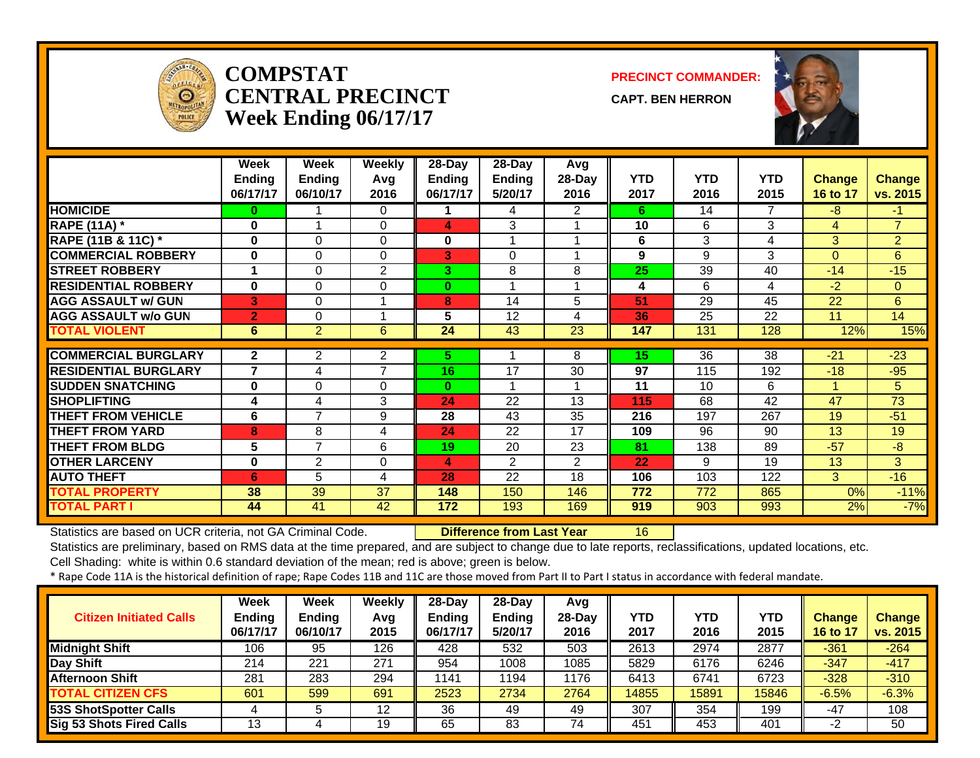

### **COMPSTATCENTRAL PRECINCTWeek Ending 06/17/17**

**PRECINCT COMMANDER:**

**CAPT. BEN HERRON**



|                             | Week<br><b>Ending</b><br>06/17/17 | Week<br><b>Ending</b><br>06/10/17 | <b>Weekly</b><br>Avg<br>2016 | 28-Day<br>Ending<br>06/17/17 | 28-Day<br><b>Ending</b><br>5/20/17 | Avg<br>28-Day<br>2016 | <b>YTD</b><br>2017 | <b>YTD</b><br>2016 | <b>YTD</b><br>2015 | <b>Change</b><br>16 to 17 | <b>Change</b><br>vs. 2015 |
|-----------------------------|-----------------------------------|-----------------------------------|------------------------------|------------------------------|------------------------------------|-----------------------|--------------------|--------------------|--------------------|---------------------------|---------------------------|
| <b>HOMICIDE</b>             | $\bf{0}$                          |                                   | $\Omega$                     |                              | 4                                  | 2                     | 6                  | 14                 | 7                  | $-8$                      | $-1$                      |
| <b>RAPE (11A)</b> *         | 0                                 |                                   | $\Omega$                     | 4                            | 3                                  |                       | 10                 | 6                  | 3                  | 4                         | $\overline{7}$            |
| RAPE (11B & 11C) *          | $\bf{0}$                          | 0                                 | 0                            | 0                            |                                    |                       | 6                  | 3                  | 4                  | 3                         | $\overline{2}$            |
| <b>COMMERCIAL ROBBERY</b>   | $\bf{0}$                          | $\Omega$                          | $\Omega$                     | 3                            | $\Omega$                           |                       | 9                  | 9                  | 3                  | $\Omega$                  | 6                         |
| <b>STREET ROBBERY</b>       |                                   | $\Omega$                          | 2                            | 3                            | 8                                  | 8                     | 25                 | 39                 | 40                 | $-14$                     | $-15$                     |
| <b>RESIDENTIAL ROBBERY</b>  | $\bf{0}$                          | 0                                 | $\Omega$                     | $\bf{0}$                     |                                    |                       | 4                  | 6                  | 4                  | $-2$                      | $\overline{0}$            |
| <b>AGG ASSAULT w/ GUN</b>   | 3                                 | 0                                 |                              | 8                            | 14                                 | 5                     | 51                 | 29                 | 45                 | 22                        | 6                         |
| <b>AGG ASSAULT w/o GUN</b>  | $\overline{2}$                    | 0                                 |                              | 5                            | 12                                 | 4                     | 36                 | 25                 | 22                 | 11                        | 14                        |
| <b>TOTAL VIOLENT</b>        | 6                                 | $\overline{2}$                    | 6                            | 24                           | 43                                 | $\overline{23}$       | 147                | 131                | 128                | 12%                       | 15%                       |
|                             |                                   |                                   |                              |                              |                                    |                       |                    |                    |                    |                           |                           |
| <b>COMMERCIAL BURGLARY</b>  | $\mathbf{2}$                      | $\mathbf{2}^{\prime}$             | 2                            | 5.                           |                                    | 8                     | 15                 | 36                 | 38                 | $-21$                     | $-23$                     |
| <b>RESIDENTIAL BURGLARY</b> | $\overline{7}$                    | 4                                 | $\overline{7}$               | 16                           | 17                                 | 30                    | 97                 | 115                | 192                | $-18$                     | $-95$                     |
| <b>SUDDEN SNATCHING</b>     | $\bf{0}$                          | $\Omega$                          | $\Omega$                     | $\bf{0}$                     |                                    |                       | 11                 | 10                 | 6                  | 1                         | 5                         |
| <b>SHOPLIFTING</b>          | 4                                 | 4                                 | 3                            | 24                           | 22                                 | 13                    | 115                | 68                 | 42                 | 47                        | 73                        |
| <b>THEFT FROM VEHICLE</b>   | 6                                 | $\overline{7}$                    | 9                            | 28                           | 43                                 | 35                    | 216                | 197                | 267                | 19                        | $-51$                     |
| <b>THEFT FROM YARD</b>      | 8                                 | 8                                 | 4                            | 24                           | 22                                 | 17                    | 109                | 96                 | 90                 | 13                        | 19                        |
| <b>THEFT FROM BLDG</b>      | 5                                 | $\overline{7}$                    | 6                            | 19                           | 20                                 | 23                    | 81                 | 138                | 89                 | $-57$                     | $-8$                      |
| <b>OTHER LARCENY</b>        | $\bf{0}$                          | 2                                 | 0                            | 4                            | 2                                  | $\overline{2}$        | 22                 | 9                  | 19                 | 13                        | 3                         |
| <b>AUTO THEFT</b>           | 6                                 | 5                                 | 4                            | 28                           | 22                                 | 18                    | 106                | 103                | 122                | 3                         | $-16$                     |
| <b>TOTAL PROPERTY</b>       | 38                                | 39                                | 37                           | 148                          | 150                                | 146                   | 772                | 772                | 865                | 0%                        | $-11%$                    |
| <b>TOTAL PART I</b>         | 44                                | 41                                | 42                           | 172                          | 193                                | 169                   | 919                | 903                | 993                | 2%                        | $-7%$                     |

Statistics are based on UCR criteria, not GA Criminal Code. **Difference from Last Year** 16

Statistics are preliminary, based on RMS data at the time prepared, and are subject to change due to late reports, reclassifications, updated locations, etc. Cell Shading: white is within 0.6 standard deviation of the mean; red is above; green is below.

| <b>Citizen Initiated Calls</b> | <b>Week</b><br><b>Ending</b><br>06/17/17 | <b>Week</b><br><b>Ending</b><br>06/10/17 | Weekly<br>Avg<br>2015 | $28-Dav$<br><b>Ending</b><br>06/17/17 | $28-Dav$<br><b>Ending</b><br>5/20/17 | Avg<br>28-Day<br>2016 | <b>YTD</b><br>2017 | <b>YTD</b><br>2016 | <b>YTD</b><br>2015 | <b>Change</b><br>16 to 17 | <b>Change</b><br>vs. 2015 |
|--------------------------------|------------------------------------------|------------------------------------------|-----------------------|---------------------------------------|--------------------------------------|-----------------------|--------------------|--------------------|--------------------|---------------------------|---------------------------|
| <b>Midnight Shift</b>          | 106                                      | 95                                       | 126                   | 428                                   | 532                                  | 503                   | 2613               | 2974               | 2877               | $-361$                    | $-264$                    |
| Day Shift                      | 214                                      | 221                                      | 271                   | 954                                   | 1008                                 | 1085                  | 5829               | 6176               | 6246               | $-347$                    | $-417$                    |
| <b>Afternoon Shift</b>         | 281                                      | 283                                      | 294                   | 1141                                  | 194                                  | 1176                  | 6413               | 6741               | 6723               | $-328$                    | $-310$                    |
| <b>TOTAL CITIZEN CFS</b>       | 601                                      | 599                                      | 691                   | 2523                                  | 2734                                 | 2764                  | 14855              | 15891              | 15846              | $-6.5%$                   | $-6.3%$                   |
| 53S ShotSpotter Calls          |                                          |                                          | 12                    | 36                                    | 49                                   | 49                    | 307                | 354                | 199                | $-47$                     | 108                       |
| Sig 53 Shots Fired Calls       | 13                                       |                                          | 19                    | 65                                    | 83                                   | 74                    | 451                | 453                | 401                | -2                        | 50                        |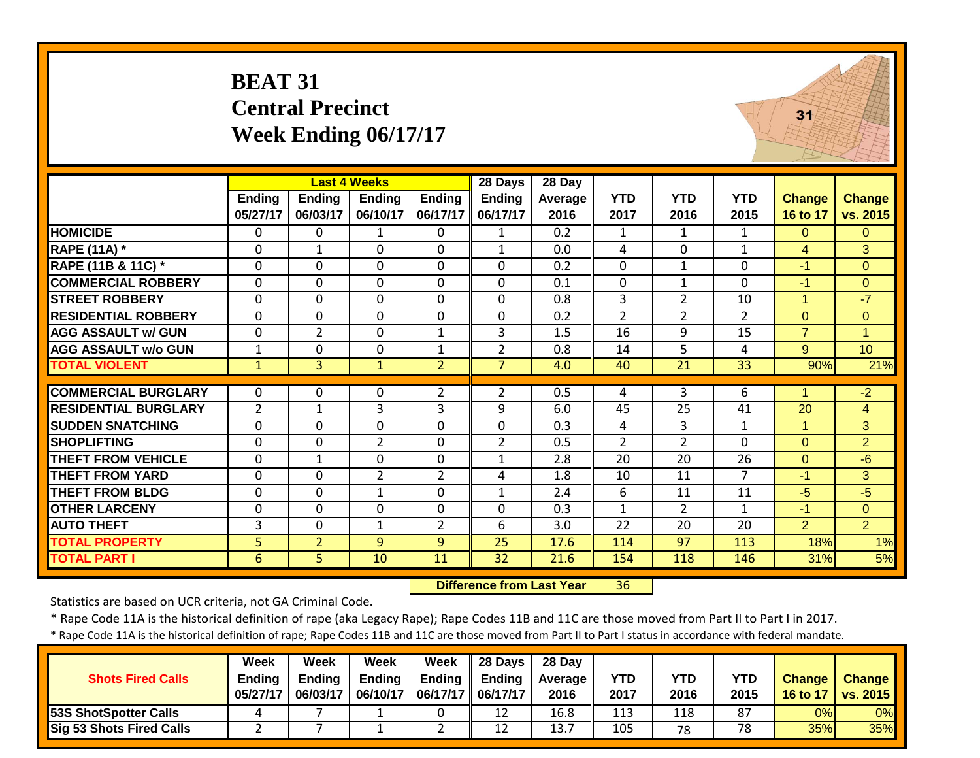|                             | <b>BEAT 31</b>            | <b>Central Precinct</b>   | Week Ending 06/17/17                             |                           |                                      | 31                               |                    |                    |                    |                           |                           |
|-----------------------------|---------------------------|---------------------------|--------------------------------------------------|---------------------------|--------------------------------------|----------------------------------|--------------------|--------------------|--------------------|---------------------------|---------------------------|
|                             | <b>Ending</b><br>05/27/17 | <b>Ending</b><br>06/03/17 | <b>Last 4 Weeks</b><br><b>Ending</b><br>06/10/17 | <b>Ending</b><br>06/17/17 | 28 Days<br><b>Ending</b><br>06/17/17 | 28 Day<br><b>Average</b><br>2016 | <b>YTD</b><br>2017 | <b>YTD</b><br>2016 | <b>YTD</b><br>2015 | <b>Change</b><br>16 to 17 | <b>Change</b><br>vs. 2015 |
| <b>HOMICIDE</b>             | $\mathbf{0}$              | 0                         | $\mathbf{1}$                                     | $\Omega$                  | $\mathbf{1}$                         | 0.2                              | $\mathbf{1}$       | $\mathbf{1}$       | $\mathbf{1}$       | $\Omega$                  | $\overline{0}$            |
| <b>RAPE (11A) *</b>         | 0                         | $\mathbf{1}$              | $\Omega$                                         | $\Omega$                  | $\mathbf{1}$                         | 0.0                              | 4                  | $\Omega$           | $\mathbf{1}$       | $\overline{4}$            | 3                         |
| RAPE (11B & 11C) *          | 0                         | $\Omega$                  | $\Omega$                                         | $\Omega$                  | $\Omega$                             | 0.2                              | $\Omega$           | $\mathbf{1}$       | $\Omega$           | $-1$                      | $\Omega$                  |
| <b>COMMERCIAL ROBBERY</b>   | $\mathbf 0$               | 0                         | $\mathbf 0$                                      | $\mathbf 0$               | $\mathbf 0$                          | 0.1                              | $\mathbf 0$        | 1                  | 0                  | $-1$                      | $\overline{0}$            |
| <b>STREET ROBBERY</b>       | $\Omega$                  | 0                         | $\Omega$                                         | $\Omega$                  | $\Omega$                             | 0.8                              | 3                  | $\overline{2}$     | 10                 | $\mathbf{1}$              | $-7$                      |
| <b>RESIDENTIAL ROBBERY</b>  | $\mathbf 0$               | $\mathbf{0}$              | $\mathbf 0$                                      | $\mathbf 0$               | 0                                    | 0.2                              | $\overline{2}$     | $\overline{2}$     | $\overline{2}$     | $\overline{0}$            | $\overline{0}$            |
| <b>AGG ASSAULT w/ GUN</b>   | 0                         | $\overline{2}$            | 0                                                | $\mathbf{1}$              | 3                                    | 1.5                              | 16                 | 9                  | 15                 | $\overline{7}$            | $\mathbf{1}$              |
| <b>AGG ASSAULT w/o GUN</b>  | $\mathbf{1}$              | 0                         | $\mathbf 0$                                      | $\mathbf{1}$              | $\overline{2}$                       | 0.8                              | 14                 | 5                  | $\overline{4}$     | 9                         | 10                        |
| <b>TOTAL VIOLENT</b>        | $\mathbf{1}$              | $\overline{3}$            | $\mathbf{1}$                                     | $\overline{2}$            | $\overline{7}$                       | 4.0                              | 40                 | 21                 | 33                 | 90%                       | 21%                       |
| <b>COMMERCIAL BURGLARY</b>  | 0                         | 0                         | $\Omega$                                         | $\overline{2}$            | $\overline{2}$                       | 0.5                              | 4                  | 3                  | 6                  |                           | $-2$                      |
| <b>RESIDENTIAL BURGLARY</b> | $\overline{2}$            | $\mathbf{1}$              | 3                                                | 3                         | 9                                    | 6.0                              | 45                 | 25                 | 41                 | 20                        | $\overline{4}$            |
| <b>SUDDEN SNATCHING</b>     | $\mathbf 0$               | $\mathbf{0}$              | $\mathbf{0}$                                     | $\mathbf 0$               | $\mathbf 0$                          | 0.3                              | $\overline{4}$     | 3                  | $\mathbf{1}$       | $\mathbf{1}$              | 3                         |
| <b>SHOPLIFTING</b>          | 0                         | 0                         | $\overline{2}$                                   | $\mathbf 0$               | $\overline{2}$                       | 0.5                              | 2                  | $\overline{2}$     | $\Omega$           | $\Omega$                  | $\overline{2}$            |
| <b>THEFT FROM VEHICLE</b>   | $\mathbf{0}$              | $\mathbf{1}$              | $\mathbf 0$                                      | $\Omega$                  | $\mathbf{1}$                         | 2.8                              | 20                 | 20                 | 26                 | $\Omega$                  | $-6$                      |
| <b>THEFT FROM YARD</b>      | $\mathbf{0}$              | 0                         | $\overline{2}$                                   | $\overline{2}$            | 4                                    | 1.8                              | 10                 | 11                 | $\overline{7}$     | $-1$                      | 3                         |
| <b>THEFT FROM BLDG</b>      | $\mathbf 0$               | 0                         | $\mathbf{1}$                                     | $\mathbf 0$               | $\mathbf{1}$                         | 2.4                              | 6                  | 11                 | 11                 | $-5$                      | $-5$                      |
| <b>OTHER LARCENY</b>        | 0                         | 0                         | $\mathbf 0$                                      | $\Omega$                  | $\mathbf 0$                          | 0.3                              | $\mathbf{1}$       | $\overline{2}$     | $\mathbf{1}$       | $-1$                      | $\Omega$                  |
| <b>AUTO THEFT</b>           | 3                         | 0                         | $\mathbf{1}$                                     | $\overline{2}$            | 6                                    | 3.0                              | 22                 | 20                 | 20                 | $\overline{2}$            | $\overline{2}$            |
| <b>TOTAL PROPERTY</b>       | 5                         | $\overline{2}$            | 9                                                | 9                         | 25                                   | 17.6                             | 114                | 97                 | 113                | 18%                       | 1%                        |
| <b>TOTAL PART I</b>         | 6                         | 5                         | 10                                               | 11                        | $\overline{32}$                      | 21.6                             | 154                | 118                | 146                | 31%                       | 5%                        |

 **Difference from Last Year**r 36

Statistics are based on UCR criteria, not GA Criminal Code.

\* Rape Code 11A is the historical definition of rape (aka Legacy Rape); Rape Codes 11B and 11C are those moved from Part II to Part I in 2017.

| <b>Shots Fired Calls</b>     | Week<br><b>Ending</b><br>05/27/17 | Week<br><b>Ending</b><br>06/03/17 | Week<br><b>Endina</b><br>06/10/17 | Week<br>06/17/17   06/17/17 | $\parallel$ 28 Days<br>Ending $\parallel$ Ending | 28 Day<br>Average II<br>2016 | YTD<br>2017 | YTD<br>2016 | YTD<br>2015 | <b>Change</b><br>16 to 17 | <b>Change</b><br><b>vs. 2015</b> |
|------------------------------|-----------------------------------|-----------------------------------|-----------------------------------|-----------------------------|--------------------------------------------------|------------------------------|-------------|-------------|-------------|---------------------------|----------------------------------|
| <b>53S ShotSpotter Calls</b> |                                   |                                   |                                   |                             | 12                                               | 16.8                         | 113         | 118         | 87          | 0%                        | 0%                               |
| Sig 53 Shots Fired Calls     |                                   |                                   |                                   | <u>.</u>                    | 12                                               | 13.7                         | 105         | 78          | 78          | 35%                       | <b>35%</b>                       |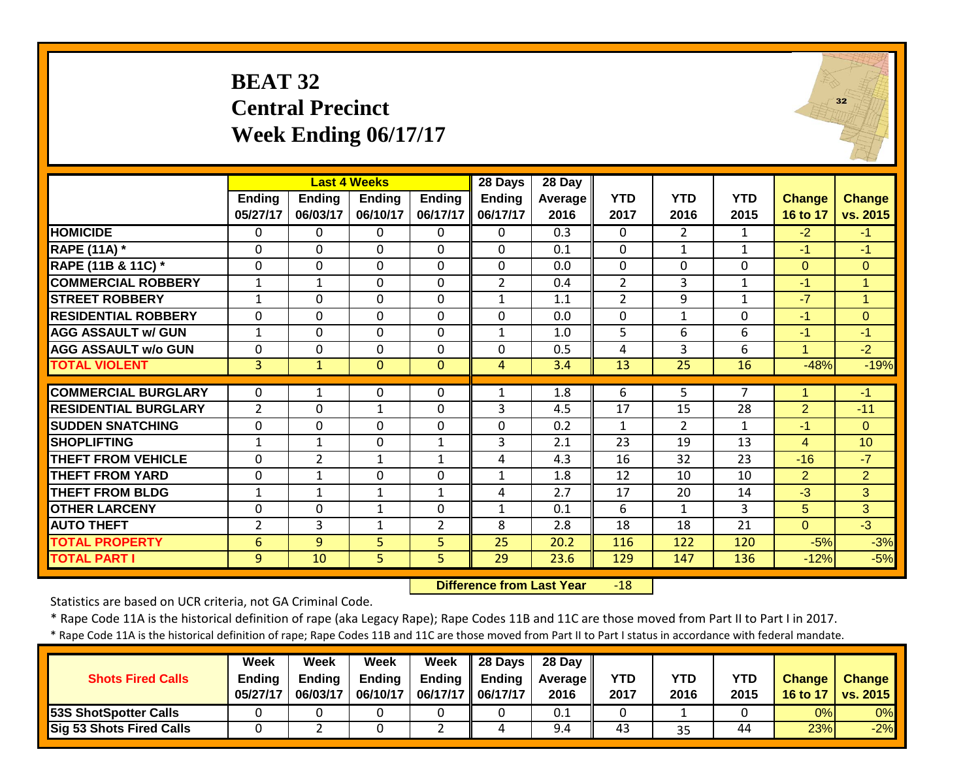# **BEAT 32 Central Precinct Week Ending 06/17/17**



|                             |                |                | <b>Last 4 Weeks</b> |                | 28 Days        | 28 Day  |                |                |              |                |                 |
|-----------------------------|----------------|----------------|---------------------|----------------|----------------|---------|----------------|----------------|--------------|----------------|-----------------|
|                             | <b>Ending</b>  | <b>Ending</b>  | <b>Ending</b>       | <b>Ending</b>  | <b>Ending</b>  | Average | <b>YTD</b>     | <b>YTD</b>     | <b>YTD</b>   | <b>Change</b>  | <b>Change</b>   |
|                             | 05/27/17       | 06/03/17       | 06/10/17            | 06/17/17       | 06/17/17       | 2016    | 2017           | 2016           | 2015         | 16 to 17       | vs. 2015        |
| <b>HOMICIDE</b>             | $\mathbf{0}$   | 0              | 0                   | $\Omega$       | $\Omega$       | 0.3     | 0              | $\overline{2}$ | $\mathbf{1}$ | $-2$           | $-1$            |
| <b>RAPE (11A)</b> *         | $\mathbf{0}$   | $\Omega$       | $\Omega$            | $\Omega$       | $\Omega$       | 0.1     | $\Omega$       | $\mathbf{1}$   | $\mathbf{1}$ | $-1$           | $-1$            |
| RAPE (11B & 11C) *          | $\mathbf{0}$   | 0              | $\mathbf 0$         | $\Omega$       | $\Omega$       | 0.0     | 0              | $\mathbf 0$    | $\mathbf 0$  | $\overline{0}$ | $\overline{0}$  |
| <b>COMMERCIAL ROBBERY</b>   | $\mathbf{1}$   | $\mathbf 1$    | $\mathbf 0$         | $\Omega$       | $\overline{2}$ | 0.4     | $\overline{2}$ | 3              | $\mathbf{1}$ | $-1$           | $\overline{1}$  |
| <b>STREET ROBBERY</b>       | $\mathbf{1}$   | $\Omega$       | $\Omega$            | $\mathbf 0$    | $\mathbf{1}$   | 1.1     | $\overline{2}$ | 9              | $\mathbf{1}$ | $-7$           | $\mathbf{1}$    |
| <b>RESIDENTIAL ROBBERY</b>  | $\Omega$       | $\Omega$       | $\mathbf 0$         | $\mathbf 0$    | $\Omega$       | 0.0     | $\mathbf 0$    | $\mathbf{1}$   | $\Omega$     | $-1$           | $\mathbf{0}$    |
| <b>AGG ASSAULT w/ GUN</b>   | $\mathbf{1}$   | 0              | $\mathbf 0$         | $\mathbf 0$    | $\mathbf{1}$   | 1.0     | 5              | 6              | 6            | $-1$           | $-1$            |
| <b>AGG ASSAULT w/o GUN</b>  | $\mathbf 0$    | 0              | $\mathbf 0$         | $\mathbf 0$    | $\mathbf 0$    | 0.5     | 4              | 3              | 6            | $\mathbf{1}$   | $-2$            |
| <b>TOTAL VIOLENT</b>        | 3              | $\mathbf{1}$   | $\mathbf{0}$        | $\mathbf{0}$   | 4              | 3.4     | 13             | 25             | 16           | $-48%$         | $-19%$          |
|                             |                |                |                     |                |                |         |                |                |              |                |                 |
| <b>COMMERCIAL BURGLARY</b>  | $\Omega$       | 1              | 0                   | $\Omega$       | $\mathbf{1}$   | 1.8     | 6              | 5              | 7            | 4              | $-1$            |
| <b>RESIDENTIAL BURGLARY</b> | $\overline{2}$ | 0              | $\mathbf{1}$        | $\mathbf 0$    | 3              | 4.5     | 17             | 15             | 28           | $\overline{2}$ | $-11$           |
| <b>ISUDDEN SNATCHING</b>    | $\mathbf 0$    | $\Omega$       | $\mathbf 0$         | $\mathbf 0$    | $\Omega$       | 0.2     | $\mathbf{1}$   | $\overline{2}$ | 1            | $-1$           | $\Omega$        |
| <b>SHOPLIFTING</b>          | 1              | 1              | 0                   | 1              | 3              | 2.1     | 23             | 19             | 13           | $\overline{4}$ | 10 <sup>1</sup> |
| <b>THEFT FROM VEHICLE</b>   | $\mathbf 0$    | $\overline{2}$ | $\mathbf 1$         | $\mathbf{1}$   | 4              | 4.3     | 16             | 32             | 23           | $-16$          | $-7$            |
| <b>THEFT FROM YARD</b>      | $\Omega$       | $\mathbf 1$    | 0                   | 0              | $\mathbf{1}$   | 1.8     | 12             | 10             | 10           | $\overline{2}$ | $\overline{2}$  |
| <b>THEFT FROM BLDG</b>      | $\mathbf{1}$   | $\mathbf{1}$   | 1                   | $\mathbf{1}$   | 4              | 2.7     | 17             | 20             | 14           | $-3$           | 3               |
| <b>OTHER LARCENY</b>        | 0              | 0              | $\mathbf 1$         | $\mathbf 0$    | $\mathbf{1}$   | 0.1     | 6              | 1              | 3            | 5              | 3               |
| <b>AUTO THEFT</b>           | $\overline{2}$ | 3              | 1                   | $\overline{2}$ | 8              | 2.8     | 18             | 18             | 21           | $\Omega$       | $-3$            |
| <b>TOTAL PROPERTY</b>       | 6              | 9              | 5                   | 5              | 25             | 20.2    | 116            | 122            | 120          | $-5%$          | $-3%$           |
| <b>TOTAL PART I</b>         | 9              | 10             | 5 <sup>1</sup>      | 5              | 29             | 23.6    | 129            | 147            | 136          | $-12%$         | $-5%$           |

 **Difference from Last Year**‐18

Statistics are based on UCR criteria, not GA Criminal Code.

\* Rape Code 11A is the historical definition of rape (aka Legacy Rape); Rape Codes 11B and 11C are those moved from Part II to Part I in 2017.

|                              | Week          | Week     | Week          | Week          | 28 Days  | 28 Day            |      |            |      |                 |                 |
|------------------------------|---------------|----------|---------------|---------------|----------|-------------------|------|------------|------|-----------------|-----------------|
| <b>Shots Fired Calls</b>     | <b>Ending</b> | Endina   | <b>Ending</b> | <b>Ending</b> | Endina   | <b>Average II</b> | YTD  | <b>YTD</b> | YTD  | <b>Change</b>   | <b>Change</b>   |
|                              | 05/27/17      | 06/03/17 | 06/10/17      | 06/17/17      | 06/17/17 | 2016              | 2017 | 2016       | 2015 | <b>16 to 17</b> | <b>vs. 2015</b> |
| <b>53S ShotSpotter Calls</b> |               |          |               |               |          | 0.1               |      |            |      | 0%              | 0%              |
| Sig 53 Shots Fired Calls     |               |          |               |               |          | 9.4               | 43   | 35         | 44   | 23%             | $-2\%$          |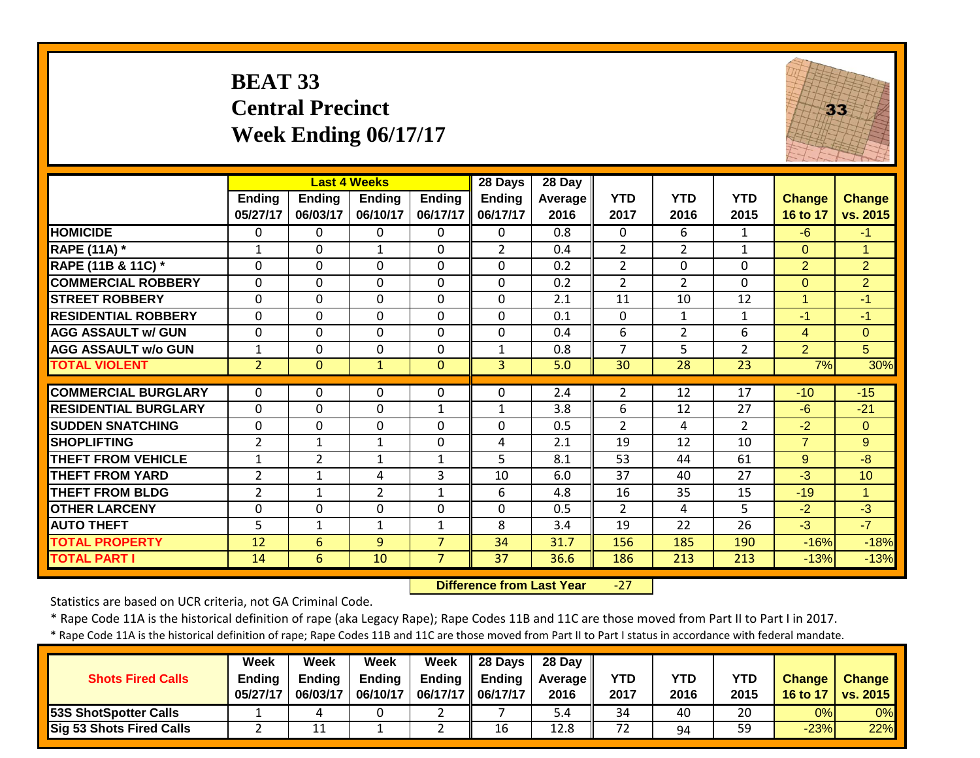# **BEAT 33 Central Precinct Week Ending 06/17/17**



|                             |                           |                           | <b>Last 4 Weeks</b>          |                           | 28 Days                   | 28 Day                 |                    |                    |                    |                           |                           |
|-----------------------------|---------------------------|---------------------------|------------------------------|---------------------------|---------------------------|------------------------|--------------------|--------------------|--------------------|---------------------------|---------------------------|
|                             | <b>Ending</b><br>05/27/17 | <b>Ending</b><br>06/03/17 | <b>Ending</b><br>06/10/17    | <b>Ending</b><br>06/17/17 | <b>Ending</b><br>06/17/17 | <b>Average</b><br>2016 | <b>YTD</b><br>2017 | <b>YTD</b><br>2016 | <b>YTD</b><br>2015 | <b>Change</b><br>16 to 17 | <b>Change</b><br>vs. 2015 |
| <b>HOMICIDE</b>             | $\mathbf{0}$              | $\Omega$                  | $\Omega$                     | $\Omega$                  | $\Omega$                  | 0.8                    | $\Omega$           | 6                  | $\mathbf{1}$       | $-6$                      | $-1$                      |
| <b>RAPE (11A)</b> *         | 1                         | $\Omega$                  | $\mathbf{1}$                 | $\Omega$                  | $\overline{2}$            | 0.4                    | $\overline{2}$     | $\overline{2}$     | $\mathbf{1}$       | $\Omega$                  | $\mathbf{1}$              |
| RAPE (11B & 11C) *          | $\mathbf 0$               | $\Omega$                  | $\mathbf 0$                  | $\mathbf 0$               | $\mathbf 0$               | 0.2                    | $\overline{2}$     | $\mathbf 0$        | $\mathbf 0$        | $\overline{2}$            | 2                         |
| <b>COMMERCIAL ROBBERY</b>   | $\mathbf 0$               | $\mathbf 0$               | $\mathbf 0$                  | $\mathbf 0$               | $\mathbf 0$               | 0.2                    | $\overline{2}$     | $\overline{2}$     | $\mathbf 0$        | $\overline{0}$            | $\overline{2}$            |
| <b>STREET ROBBERY</b>       | $\mathbf{0}$              | $\Omega$                  | $\Omega$                     | $\Omega$                  | $\Omega$                  | 2.1                    | 11                 | 10                 | 12                 | $\mathbf{1}$              | $-1$                      |
| <b>RESIDENTIAL ROBBERY</b>  | $\Omega$                  | $\Omega$                  | $\mathbf 0$                  | $\Omega$                  | $\Omega$                  | 0.1                    | $\Omega$           | $\mathbf{1}$       | $\mathbf{1}$       | $-1$                      | $-1$                      |
| <b>AGG ASSAULT w/ GUN</b>   | $\Omega$                  | $\Omega$                  | $\mathbf 0$                  | $\Omega$                  | $\mathbf 0$               | 0.4                    | 6                  | $\overline{2}$     | 6                  | 4                         | $\Omega$                  |
| <b>AGG ASSAULT w/o GUN</b>  | $\mathbf{1}$              | $\Omega$                  | $\Omega$                     | $\Omega$                  | $\mathbf{1}$              | 0.8                    | $\overline{7}$     | 5                  | $\overline{2}$     | $\overline{2}$            | 5                         |
| <b>TOTAL VIOLENT</b>        | $\overline{2}$            | $\mathbf{0}$              | $\mathbf{1}$                 | $\mathbf{0}$              | $\overline{3}$            | 5.0                    | 30                 | 28                 | 23                 | 7%                        | 30%                       |
| <b>COMMERCIAL BURGLARY</b>  | 0                         | 0                         | 0                            | 0                         | $\Omega$                  | 2.4                    | $\overline{2}$     | 12                 | 17                 | $-10$                     | $-15$                     |
| <b>RESIDENTIAL BURGLARY</b> | $\mathbf 0$               | $\Omega$                  | $\mathbf 0$                  | $\mathbf{1}$              |                           | 3.8                    | 6                  | 12                 | 27                 | $-6$                      | $-21$                     |
| <b>SUDDEN SNATCHING</b>     | $\overline{0}$            | $\Omega$                  | 0                            | $\Omega$                  | $\mathbf{1}$<br>$\Omega$  | 0.5                    | $\overline{2}$     | 4                  | 2                  | $-2$                      | $\Omega$                  |
| <b>SHOPLIFTING</b>          | $\overline{2}$            |                           |                              |                           |                           |                        |                    | 12                 | 10                 | $\overline{7}$            | 9                         |
| <b>THEFT FROM VEHICLE</b>   | $\mathbf{1}$              | 1<br>$\overline{2}$       | $\mathbf{1}$<br>$\mathbf{1}$ | 0<br>$\mathbf{1}$         | 4<br>5                    | 2.1<br>8.1             | 19<br>53           | 44                 | 61                 | 9                         | $-8$                      |
| <b>THEFT FROM YARD</b>      | $\overline{2}$            |                           | 4                            | 3                         | 10                        | 6.0                    | 37                 | 40                 | 27                 | $-3$                      | 10                        |
| <b>THEFT FROM BLDG</b>      | $\overline{2}$            | 1<br>1                    | $\overline{2}$               | $\mathbf{1}$              | 6                         | 4.8                    | 16                 | 35                 | 15                 | $-19$                     | 1                         |
| <b>OTHER LARCENY</b>        | 0                         | $\Omega$                  | 0                            | $\mathbf 0$               | $\mathbf 0$               | 0.5                    | $\overline{2}$     | 4                  | 5                  | $-2$                      | $-3$                      |
| <b>AUTO THEFT</b>           | 5                         | 1                         | 1                            | $\mathbf 1$               | 8                         | 3.4                    | 19                 | 22                 | 26                 | $-3$                      | $-7$                      |
| <b>TOTAL PROPERTY</b>       |                           |                           |                              | $\overline{7}$            |                           |                        |                    |                    |                    |                           |                           |
| <b>TOTAL PART I</b>         | 12                        | 6                         | 9                            | $\overline{7}$            | 34<br>37                  | 31.7                   | 156                | 185                | 190                | $-16%$                    | $-18%$                    |
|                             | 14                        | 6                         | 10                           |                           |                           | 36.6                   | 186                | 213                | 213                | $-13%$                    | $-13%$                    |

 **Difference from Last Year**‐27

Statistics are based on UCR criteria, not GA Criminal Code.

\* Rape Code 11A is the historical definition of rape (aka Legacy Rape); Rape Codes 11B and 11C are those moved from Part II to Part I in 2017.

| <b>Shots Fired Calls</b>        | Week<br><b>Ending</b><br>05/27/17 | Week<br>Endina<br>06/03/17 | Week<br><b>Ending</b><br>06/10/17 | Week<br>06/17/17   06/17/17 | $\parallel$ 28 Days<br>Ending $\parallel$ Ending | 28 Dav<br><b>Average</b> II<br>2016 | <b>YTD</b><br>2017 | YTD<br>2016 | YTD<br>2015 | Change<br>16 to 17 | <b>Change</b><br><b>vs. 2015</b> |
|---------------------------------|-----------------------------------|----------------------------|-----------------------------------|-----------------------------|--------------------------------------------------|-------------------------------------|--------------------|-------------|-------------|--------------------|----------------------------------|
| 53S ShotSpotter Calls           |                                   |                            |                                   |                             |                                                  | 5.4                                 | 34                 | 40          | 20          | 0%                 | $0\%$                            |
| <b>Sig 53 Shots Fired Calls</b> |                                   |                            |                                   |                             | 16                                               | 12.8                                | 72                 | 94          | 59          | $-23%$             | 22%                              |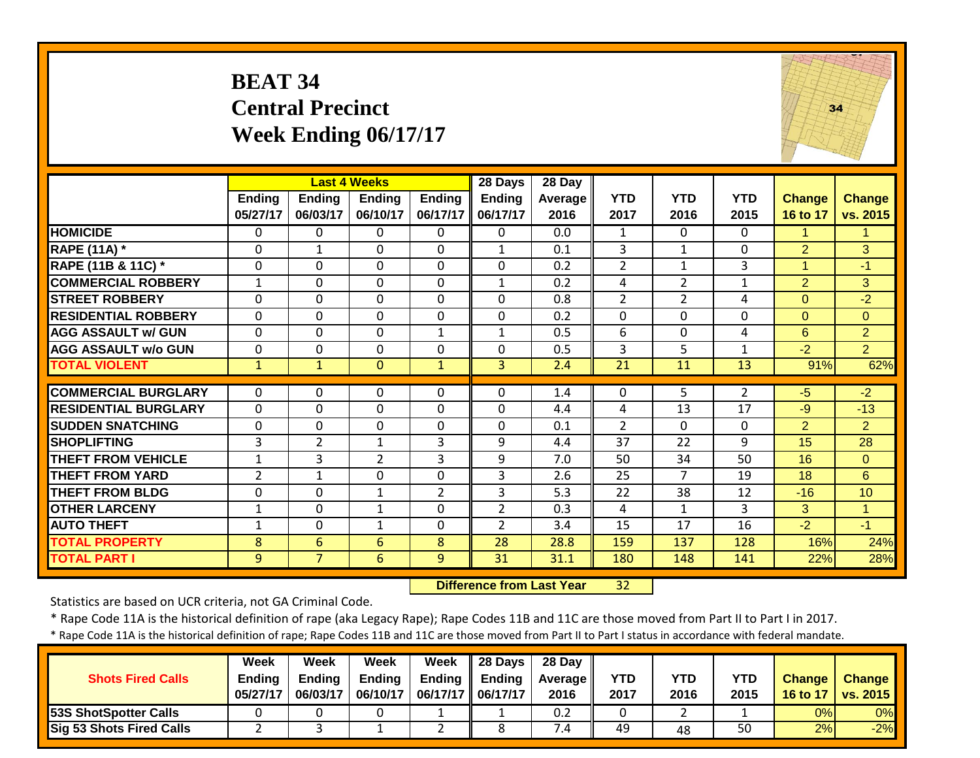|                             | <b>BEAT 34</b><br><b>Central Precinct</b><br>Week Ending 06/17/17<br><b>Last 4 Weeks</b><br>28 Days<br>28 Day |                           |                           |                    |                    |                  |                    |                    |                    |                           |                           |  |  |  |
|-----------------------------|---------------------------------------------------------------------------------------------------------------|---------------------------|---------------------------|--------------------|--------------------|------------------|--------------------|--------------------|--------------------|---------------------------|---------------------------|--|--|--|
|                             | <b>Ending</b><br>05/27/17                                                                                     | <b>Ending</b><br>06/03/17 | <b>Ending</b><br>06/10/17 | Ending<br>06/17/17 | Ending<br>06/17/17 | Average<br>2016  | <b>YTD</b><br>2017 | <b>YTD</b><br>2016 | <b>YTD</b><br>2015 | <b>Change</b><br>16 to 17 | <b>Change</b><br>vs. 2015 |  |  |  |
| <b>HOMICIDE</b>             | $\mathbf{0}$                                                                                                  | 0                         | 0                         | $\Omega$           | $\Omega$           | 0.0              | $\mathbf{1}$       | $\mathbf{0}$       | $\Omega$           | 1.                        | 1                         |  |  |  |
| <b>RAPE (11A) *</b>         | $\mathbf 0$                                                                                                   | $\mathbf{1}$              | 0                         | $\mathbf 0$        | $\mathbf{1}$       | 0.1              | 3                  | $\mathbf{1}$       | $\Omega$           | $\overline{2}$            | 3                         |  |  |  |
| RAPE (11B & 11C) *          | 0                                                                                                             | $\Omega$                  | 0                         | $\Omega$           | $\Omega$           | 0.2              | $\overline{2}$     | $\mathbf{1}$       | 3                  | $\mathbf{1}$              | $-1$                      |  |  |  |
| <b>COMMERCIAL ROBBERY</b>   | $\mathbf{1}$                                                                                                  | $\Omega$                  | 0                         | $\Omega$           | $\mathbf{1}$       | 0.2              | 4                  | $\overline{2}$     | $\mathbf{1}$       | $\overline{2}$            | 3                         |  |  |  |
| <b>STREET ROBBERY</b>       | $\Omega$                                                                                                      | 0                         | 0                         | $\Omega$           | $\Omega$           | 0.8              | $\overline{2}$     | 2                  | 4                  | $\overline{0}$            | $-2$                      |  |  |  |
| <b>RESIDENTIAL ROBBERY</b>  | $\Omega$                                                                                                      | $\Omega$                  | $\Omega$                  | $\Omega$           | $\Omega$           | $\overline{0.2}$ | $\Omega$           | $\Omega$           | $\Omega$           | $\Omega$                  | $\Omega$                  |  |  |  |
| <b>AGG ASSAULT w/ GUN</b>   | $\mathbf 0$                                                                                                   | $\mathbf{0}$              | 0                         | $1\,$              | $\mathbf{1}$       | 0.5              | 6                  | $\mathbf 0$        | 4                  | 6                         | $\overline{2}$            |  |  |  |
| <b>AGG ASSAULT w/o GUN</b>  | $\mathbf 0$                                                                                                   | $\Omega$                  | 0                         | $\mathbf 0$        | $\Omega$           | 0.5              | 3                  | 5                  | $\mathbf{1}$       | $-2$                      | $\overline{2}$            |  |  |  |
| <b>TOTAL VIOLENT</b>        | $\mathbf{1}$                                                                                                  | $\mathbf{1}$              | $\overline{0}$            | $\mathbf{1}$       | $\overline{3}$     | 2.4              | 21                 | 11                 | 13                 | 91%                       | 62%                       |  |  |  |
| <b>COMMERCIAL BURGLARY</b>  | $\mathbf{0}$                                                                                                  | 0                         | 0                         | 0                  | $\mathbf 0$        | 1.4              | 0                  | 5                  | $\overline{2}$     | $-5$                      | $-2$                      |  |  |  |
| <b>RESIDENTIAL BURGLARY</b> | $\mathbf{0}$                                                                                                  | $\Omega$                  | 0                         | $\Omega$           | $\mathbf{0}$       | 4.4              | 4                  | 13                 | 17                 | $-9$                      | $-13$                     |  |  |  |
| <b>SUDDEN SNATCHING</b>     | $\mathbf 0$                                                                                                   | 0                         | 0                         | 0                  | 0                  | 0.1              | $\overline{2}$     | 0                  | $\mathbf{0}$       | $\overline{2}$            | $\overline{2}$            |  |  |  |
| <b>SHOPLIFTING</b>          | 3                                                                                                             | $\overline{2}$            | $\mathbf{1}$              | 3                  | 9                  | 4.4              | 37                 | 22                 | 9                  | 15                        | 28                        |  |  |  |
| <b>THEFT FROM VEHICLE</b>   | $\mathbf{1}$                                                                                                  | 3                         | $\overline{2}$            | 3                  | 9                  | 7.0              | 50                 | 34                 | 50                 | 16                        | $\mathbf{0}$              |  |  |  |
| <b>THEFT FROM YARD</b>      | 2                                                                                                             | $\mathbf{1}$              | 0                         | $\Omega$           | 3                  | 2.6              | 25                 | 7                  | 19                 | 18                        | 6                         |  |  |  |
| <b>THEFT FROM BLDG</b>      | $\mathbf 0$                                                                                                   | $\Omega$                  | $\mathbf{1}$              | 2                  | 3                  | 5.3              | 22                 | 38                 | 12                 | $-16$                     | 10                        |  |  |  |
| <b>OTHER LARCENY</b>        | $\mathbf{1}$                                                                                                  | $\Omega$                  | $\mathbf{1}$              | $\Omega$           | $\overline{2}$     | 0.3              | 4                  | 1                  | 3                  | 3                         | $\mathbf{1}$              |  |  |  |
| <b>AUTO THEFT</b>           | $\mathbf{1}$                                                                                                  | $\Omega$                  | $\mathbf{1}$              | $\Omega$           | $\overline{2}$     | 3.4              | 15                 | 17                 | 16                 | $-2$                      | $-1$                      |  |  |  |
| <b>TOTAL PROPERTY</b>       | 8                                                                                                             | 6                         | 6                         | 8                  | 28                 | 28.8             | 159                | 137                | 128                | 16%                       | 24%                       |  |  |  |
| <b>TOTAL PART I</b>         | 9                                                                                                             | 7 <sup>1</sup>            | 6                         | 9                  | $\overline{31}$    | 31.1             | 180                | 148                | 141                | 22%                       | 28%                       |  |  |  |

 **Difference from Last Year**32

Statistics are based on UCR criteria, not GA Criminal Code.

\* Rape Code 11A is the historical definition of rape (aka Legacy Rape); Rape Codes 11B and 11C are those moved from Part II to Part I in 2017.

|                                 | <b>Week</b>   | Week          | Week          | Week                | $\parallel$ 28 Days | 28 Day           |            |      |      |               |                 |
|---------------------------------|---------------|---------------|---------------|---------------------|---------------------|------------------|------------|------|------|---------------|-----------------|
| <b>Shots Fired Calls</b>        | <b>Ending</b> | <b>Ending</b> | <b>Ending</b> | <b>Ending</b>       | <b>Ending</b>       | <b>Average</b> I | <b>YTD</b> | YTD  | YTD  | <b>Change</b> | <b>Change</b>   |
|                                 | 05/27/17      | 06/03/17      | 06/10/17      | 06/17/17   06/17/17 |                     | 2016             | 2017       | 2016 | 2015 | 16 to 17      | <b>vs. 2015</b> |
| <b>53S ShotSpotter Calls</b>    |               |               |               |                     |                     | 0.2              |            |      |      | 0%            | 0%              |
| <b>Sig 53 Shots Fired Calls</b> |               |               |               |                     |                     | $\sqrt{.4}$      | 49         | 48   | 50   | 2%            | $-2%$           |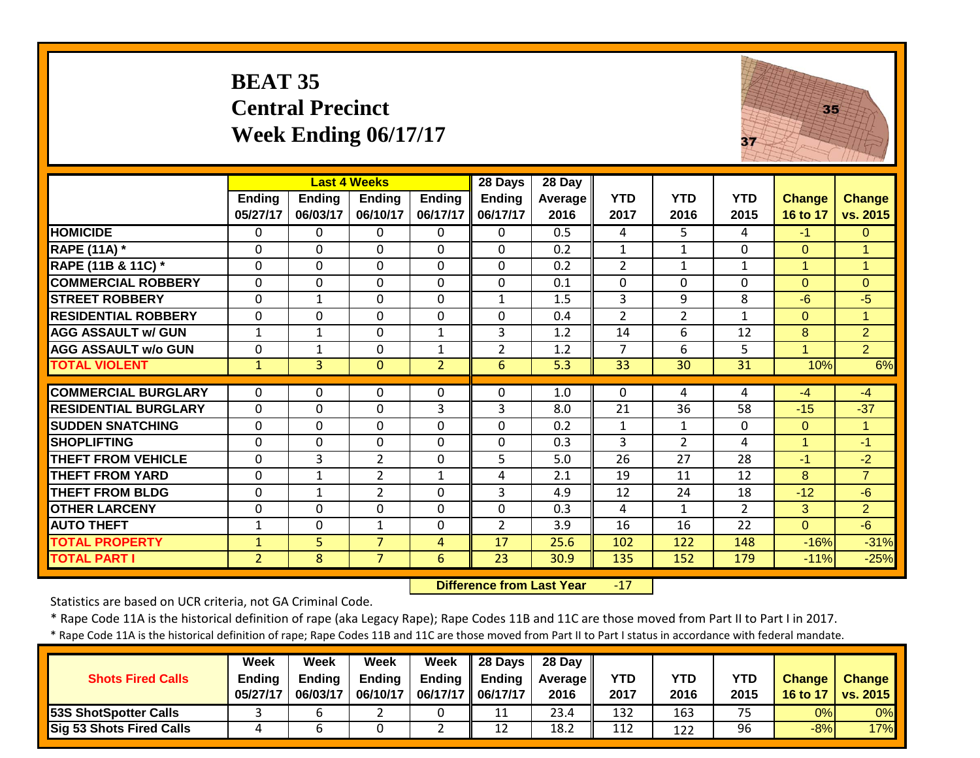|                             | <b>BEAT 35</b>     | <b>Central Precinct</b> | Week Ending 06/17/17                      |                    |                               |                             |                    | 37                 | 35                 |                           |                           |
|-----------------------------|--------------------|-------------------------|-------------------------------------------|--------------------|-------------------------------|-----------------------------|--------------------|--------------------|--------------------|---------------------------|---------------------------|
|                             | Ending<br>05/27/17 | Ending<br>06/03/17      | <b>Last 4 Weeks</b><br>Ending<br>06/10/17 | Ending<br>06/17/17 | 28 Days<br>Ending<br>06/17/17 | $28$ Day<br>Average<br>2016 | <b>YTD</b><br>2017 | <b>YTD</b><br>2016 | <b>YTD</b><br>2015 | <b>Change</b><br>16 to 17 | <b>Change</b><br>vs. 2015 |
| <b>HOMICIDE</b>             | $\Omega$           | $\Omega$                | $\Omega$                                  | $\Omega$           | $\Omega$                      | $\overline{0.5}$            | 4                  | 5.                 | 4                  | $-1$                      | $\Omega$                  |
| <b>RAPE (11A) *</b>         | $\Omega$           | $\Omega$                | $\Omega$                                  | $\Omega$           | $\Omega$                      | 0.2                         | $\mathbf{1}$       | $\mathbf{1}$       | $\Omega$           | $\Omega$                  | 1                         |
| RAPE (11B & 11C) *          | $\Omega$           | $\Omega$                | $\Omega$                                  | $\Omega$           | $\Omega$                      | 0.2                         | $\overline{2}$     | $\mathbf{1}$       | $\mathbf{1}$       | $\mathbf{1}$              | $\blacktriangleleft$      |
| <b>COMMERCIAL ROBBERY</b>   | $\mathbf 0$        | 0                       | $\mathbf 0$                               | $\mathbf 0$        | $\mathbf{0}$                  | 0.1                         | $\mathbf{0}$       | $\Omega$           | $\Omega$           | $\Omega$                  | $\Omega$                  |
| <b>STREET ROBBERY</b>       | $\Omega$           | $\mathbf{1}$            | $\Omega$                                  | $\Omega$           | $\mathbf{1}$                  | 1.5                         | 3                  | 9                  | 8                  | $-6$                      | $-5$                      |
| <b>RESIDENTIAL ROBBERY</b>  | 0                  | $\mathbf 0$             | $\mathbf 0$                               | $\mathbf 0$        | $\mathbf 0$                   | 0.4                         | $\overline{2}$     | $\overline{2}$     | $\mathbf{1}$       | $\overline{0}$            | $\mathbf{1}$              |
| <b>AGG ASSAULT w/ GUN</b>   | $\mathbf{1}$       | $\mathbf{1}$            | $\Omega$                                  | $\mathbf{1}$       | 3                             | 1.2                         | 14                 | 6                  | 12                 | 8                         | $\overline{2}$            |
| <b>AGG ASSAULT w/o GUN</b>  | $\mathbf 0$        | $\mathbf{1}$            | $\Omega$                                  | $\mathbf{1}$       | $\overline{2}$                | 1.2                         | $\overline{7}$     | 6                  | 5                  | $\overline{1}$            | $\overline{2}$            |
| <b>TOTAL VIOLENT</b>        | $\mathbf{1}$       | $\overline{3}$          | $\Omega$                                  | $\overline{2}$     | 6                             | 5.3                         | 33                 | 30                 | 31                 | 10%                       | 6%                        |
| <b>COMMERCIAL BURGLARY</b>  | $\Omega$           | 0                       | $\Omega$                                  | 0                  | $\Omega$                      | 1.0                         | $\mathbf 0$        | 4                  | 4                  | $-4$                      | $-4$                      |
| <b>RESIDENTIAL BURGLARY</b> | $\mathbf 0$        | 0                       | $\Omega$                                  | 3                  | 3                             | 8.0                         | 21                 | 36                 | 58                 | $-15$                     | $-37$                     |
| <b>SUDDEN SNATCHING</b>     | 0                  | 0                       | $\mathbf 0$                               | $\mathbf 0$        | $\mathbf 0$                   | 0.2                         | $\mathbf{1}$       | $1\,$              | 0                  | $\overline{0}$            | $\mathbf{1}$              |
| <b>SHOPLIFTING</b>          | 0                  | 0                       | $\mathbf 0$                               | $\mathbf 0$        | $\mathbf 0$                   | 0.3                         | 3                  | $\overline{2}$     | 4                  | $\mathbf{1}$              | $-1$                      |
| <b>THEFT FROM VEHICLE</b>   | $\mathbf{0}$       | $\overline{3}$          | $\overline{2}$                            | $\mathbf 0$        | 5                             | 5.0                         | 26                 | $\overline{27}$    | 28                 | $-1$                      | $-2$                      |
| <b>THEFT FROM YARD</b>      | $\Omega$           | $\mathbf{1}$            | $\overline{2}$                            | 1                  | 4                             | 2.1                         | 19                 | 11                 | 12                 | 8                         | $\overline{7}$            |
| <b>THEFT FROM BLDG</b>      | $\mathbf{0}$       | $\mathbf{1}$            | $\overline{2}$                            | $\Omega$           | $\overline{3}$                | 4.9                         | 12                 | 24                 | 18                 | $-12$                     | $-6$                      |
| <b>OTHER LARCENY</b>        | $\Omega$           | $\Omega$                | $\mathbf{0}$                              | $\Omega$           | $\mathbf 0$                   | 0.3                         | 4                  | $\mathbf{1}$       | $\overline{2}$     | 3                         | $\overline{2}$            |
| <b>AUTO THEFT</b>           | $\mathbf{1}$       | 0                       | $\mathbf{1}$                              | $\Omega$           | $\overline{2}$                | 3.9                         | 16                 | 16                 | 22                 | $\Omega$                  | $-6$                      |
| <b>TOTAL PROPERTY</b>       | $\mathbf{1}$       | 5                       | $\overline{7}$                            | 4                  | 17                            | 25.6                        | 102                | 122                | 148                | $-16%$                    | $-31%$                    |
| <b>TOTAL PART I</b>         | $\overline{2}$     | $\overline{8}$          | $\overline{7}$                            | $\overline{6}$     | $\overline{23}$               | 30.9                        | 135                | 152                | 179                | $-11%$                    | $-25%$                    |

 **Difference from Last Year**r -17 110

Statistics are based on UCR criteria, not GA Criminal Code.

\* Rape Code 11A is the historical definition of rape (aka Legacy Rape); Rape Codes 11B and 11C are those moved from Part II to Part I in 2017.

| <b>Shots Fired Calls</b>        | Week<br><b>Ending</b><br>05/27/17 | Week<br><b>Ending</b><br>06/03/17 | Week<br><b>Ending</b><br>06/10/17 | Week<br><b>Ending</b> | $\parallel$ 28 Days<br>Endina<br>06/17/17    06/17/17 | 28 Day<br><b>Average</b> I<br>2016 | <b>YTD</b><br>2017 | YTD<br>2016 | YTD<br>2015 | <b>Change</b><br>16 to 17 | <b>Change</b><br><b>vs. 2015</b> |
|---------------------------------|-----------------------------------|-----------------------------------|-----------------------------------|-----------------------|-------------------------------------------------------|------------------------------------|--------------------|-------------|-------------|---------------------------|----------------------------------|
| <b>53S ShotSpotter Calls</b>    |                                   |                                   |                                   |                       | 11                                                    | 23.4                               | 132                | 163         | 75          | 0%                        | 0%                               |
| <b>Sig 53 Shots Fired Calls</b> |                                   |                                   |                                   |                       | 12                                                    | 18.2                               | 112                | 122         | 96          | $-8%$                     | 17%                              |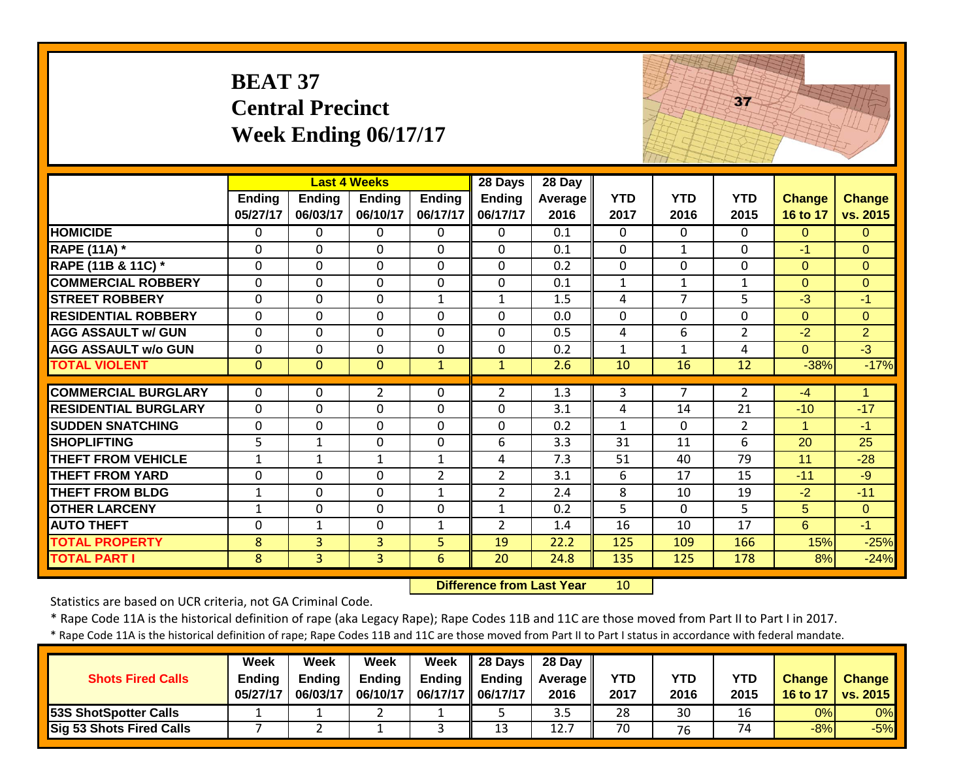|                             | <b>BEAT 37</b>            | <b>Central Precinct</b> | Week Ending 06/17/17      |                    |                           |                  |                    |                    | 37                 |                           |                           |
|-----------------------------|---------------------------|-------------------------|---------------------------|--------------------|---------------------------|------------------|--------------------|--------------------|--------------------|---------------------------|---------------------------|
|                             |                           |                         | <b>Last 4 Weeks</b>       |                    | 28 Days                   | 28 Day           |                    |                    |                    |                           |                           |
|                             | <b>Ending</b><br>05/27/17 | Ending<br>06/03/17      | <b>Ending</b><br>06/10/17 | Ending<br>06/17/17 | <b>Ending</b><br>06/17/17 | Average<br>2016  | <b>YTD</b><br>2017 | <b>YTD</b><br>2016 | <b>YTD</b><br>2015 | <b>Change</b><br>16 to 17 | <b>Change</b><br>vs. 2015 |
| <b>HOMICIDE</b>             | $\Omega$                  | $\Omega$                | 0                         | $\Omega$           | $\Omega$                  | 0.1              | $\Omega$           | $\Omega$           | 0                  | $\Omega$                  | $\Omega$                  |
| <b>RAPE (11A) *</b>         | $\Omega$                  | $\Omega$                | $\mathbf{0}$              | $\mathbf 0$        | $\Omega$                  | 0.1              | $\mathbf 0$        | $\mathbf{1}$       | $\Omega$           | $-1$                      | $\Omega$                  |
| RAPE (11B & 11C) *          | $\mathbf 0$               | $\Omega$                | $\mathbf 0$               | $\mathbf 0$        | $\mathbf 0$               | 0.2              | 0                  | $\Omega$           | 0                  | $\Omega$                  | $\Omega$                  |
| <b>COMMERCIAL ROBBERY</b>   | $\Omega$                  | $\Omega$                | $\Omega$                  | $\Omega$           | $\Omega$                  | 0.1              | $\mathbf{1}$       | $\mathbf{1}$       | $\mathbf{1}$       | $\Omega$                  | $\Omega$                  |
| <b>STREET ROBBERY</b>       | $\Omega$                  | $\Omega$                | $\mathbf{0}$              | $\mathbf{1}$       | $\mathbf{1}$              | 1.5              | 4                  | $\overline{7}$     | 5                  | $-3$                      | $-1$                      |
| <b>RESIDENTIAL ROBBERY</b>  | $\Omega$                  | $\Omega$                | $\mathbf 0$               | $\Omega$           | $\mathbf{0}$              | 0.0              | $\Omega$           | $\Omega$           | $\Omega$           | $\Omega$                  | $\Omega$                  |
| <b>AGG ASSAULT w/ GUN</b>   | $\Omega$                  | $\Omega$                | $\Omega$                  | $\Omega$           | $\Omega$                  | 0.5              | 4                  | 6                  | $\overline{2}$     | $-2$                      | $\overline{2}$            |
| <b>AGG ASSAULT w/o GUN</b>  | 0                         | $\mathbf 0$             | $\mathbf 0$               | $\mathbf 0$        | $\mathbf{0}$              | 0.2              | $\mathbf{1}$       | $\mathbf 1$        | 4                  | $\overline{0}$            | $-3$                      |
| <b>TOTAL VIOLENT</b>        | $\overline{0}$            | $\Omega$                | $\overline{0}$            | $\mathbf{1}$       | $\mathbf{1}$              | 2.6              | 10                 | 16                 | 12                 | $-38%$                    | $-17%$                    |
| <b>COMMERCIAL BURGLARY</b>  | $\Omega$                  | $\Omega$                | $\overline{2}$            | $\theta$           | $\overline{2}$            | 1.3              | 3                  | $\overline{7}$     | $\overline{2}$     | $-4$                      | 1                         |
| <b>RESIDENTIAL BURGLARY</b> | $\Omega$                  | $\Omega$                | $\mathbf 0$               | $\Omega$           | $\Omega$                  | 3.1              | 4                  | 14                 | 21                 | $-10$                     | $-17$                     |
| <b>SUDDEN SNATCHING</b>     | $\Omega$                  | $\Omega$                | $\Omega$                  | $\Omega$           | $\Omega$                  | 0.2              | $\mathbf{1}$       | $\Omega$           | $\overline{2}$     | $\mathbf{1}$              | $-1$                      |
| <b>SHOPLIFTING</b>          | 5                         | $\mathbf{1}$            | $\Omega$                  | $\Omega$           | 6                         | 3.3              | 31                 | 11                 | 6                  | 20                        | 25                        |
| <b>THEFT FROM VEHICLE</b>   | $\mathbf{1}$              | $\mathbf{1}$            | $\mathbf{1}$              | $\mathbf{1}$       | $\overline{4}$            | $\overline{7.3}$ | $\overline{51}$    | 40                 | $\overline{79}$    | $\overline{11}$           | $-28$                     |
| <b>THEFT FROM YARD</b>      | $\mathbf 0$               | $\Omega$                | $\Omega$                  | $\overline{2}$     | $\overline{2}$            | 3.1              | 6                  | 17                 | 15                 | $-11$                     | $-9$                      |
| <b>THEFT FROM BLDG</b>      | $\mathbf{1}$              | $\Omega$                | $\Omega$                  | $\mathbf{1}$       | $\overline{2}$            | 2.4              | 8                  | 10                 | 19                 | $-2$                      | $-11$                     |
| <b>OTHER LARCENY</b>        | $\mathbf{1}$              | $\mathbf{0}$            | $\mathbf 0$               | $\mathbf 0$        | $\mathbf{1}$              | 0.2              | 5                  | $\Omega$           | 5                  | 5                         | $\mathbf{0}$              |
| <b>AUTO THEFT</b>           | $\mathbf 0$               | $\mathbf{1}$            | $\mathbf 0$               | $\mathbf{1}$       | $\overline{2}$            | 1.4              | 16                 | 10                 | 17                 | 6                         | $-1$                      |
| <b>TOTAL PROPERTY</b>       | 8                         | $\overline{3}$          | $\overline{3}$            | 5                  | 19                        | 22.2             | 125                | 109                | 166                | 15%                       | $-25%$                    |
| <b>TOTAL PART I</b>         | 8                         | $\overline{3}$          | $\overline{3}$            | 6                  | $\overline{20}$           | 24.8             | 135                | 125                | 178                | 8%                        | $-24%$                    |

 **Difference from Last Year**r 10

Statistics are based on UCR criteria, not GA Criminal Code.

\* Rape Code 11A is the historical definition of rape (aka Legacy Rape); Rape Codes 11B and 11C are those moved from Part II to Part I in 2017.

| <b>Shots Fired Calls</b>        | Week<br><b>Ending</b><br>05/27/17 | Week<br><b>Ending</b><br>06/03/17 | Week<br><b>Ending</b><br>06/10/17 | Week<br><b>Ending</b> | $\parallel$ 28 Days<br>Endina<br>06/17/17    06/17/17 | 28 Day<br><b>Average</b> I<br>2016 | <b>YTD</b><br>2017 | YTD<br>2016 | YTD<br>2015 | <b>Change</b><br>16 to 17 | <b>Change</b><br><b>vs. 2015</b> |
|---------------------------------|-----------------------------------|-----------------------------------|-----------------------------------|-----------------------|-------------------------------------------------------|------------------------------------|--------------------|-------------|-------------|---------------------------|----------------------------------|
| <b>53S ShotSpotter Calls</b>    |                                   |                                   |                                   |                       |                                                       | 3.5                                | 28                 | 30          | 16          | 0%                        | 0%                               |
| <b>Sig 53 Shots Fired Calls</b> |                                   |                                   |                                   |                       | 12<br>ᅩ                                               | 12.7                               | 70                 | 76          | 74          | $-8%$                     | $-5%$                            |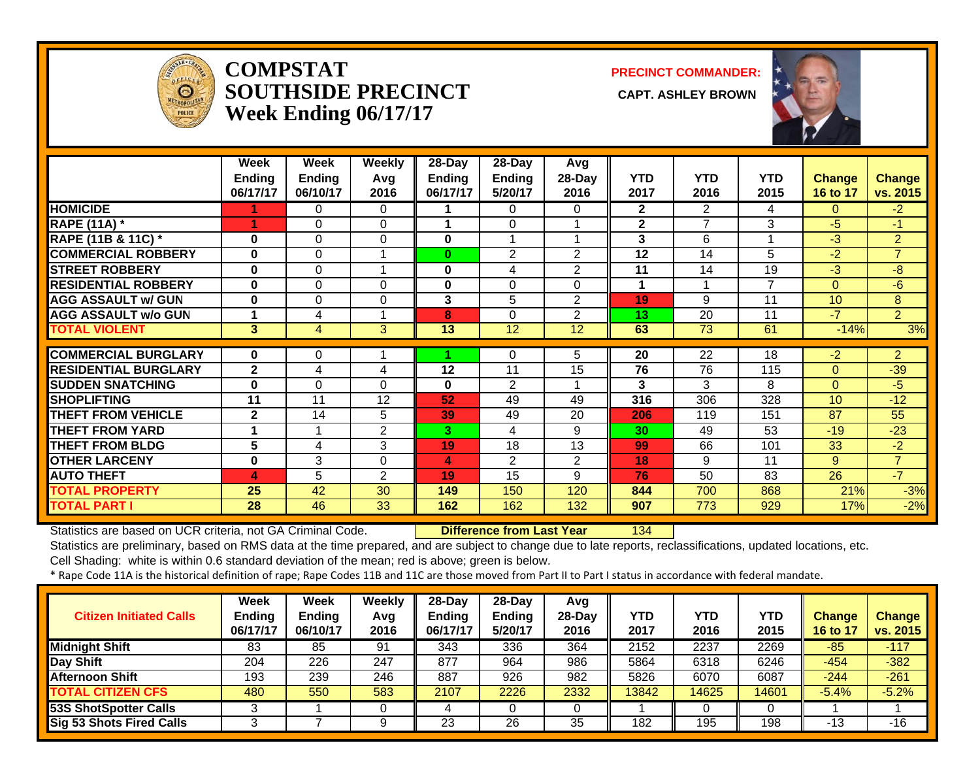

#### **COMPSTATSOUTHSIDE PRECINCT Week Ending 06/17/17**

**PRECINCT COMMANDER:**

**CAPT. ASHLEY BROWN** 



|                                              | Week               | Week               | <b>Weekly</b>  | $28 - Day$                | $28 - Day$               | Avg             |                    |                    |                    |                           |                           |
|----------------------------------------------|--------------------|--------------------|----------------|---------------------------|--------------------------|-----------------|--------------------|--------------------|--------------------|---------------------------|---------------------------|
|                                              | Ending<br>06/17/17 | Ending<br>06/10/17 | Avq<br>2016    | <b>Ending</b><br>06/17/17 | <b>Ending</b><br>5/20/17 | 28-Day<br>2016  | <b>YTD</b><br>2017 | <b>YTD</b><br>2016 | <b>YTD</b><br>2015 | <b>Change</b><br>16 to 17 | <b>Change</b><br>vs. 2015 |
| <b>HOMICIDE</b>                              |                    | 0                  | 0              |                           | $\Omega$                 | 0               | $\overline{2}$     | $\overline{2}$     | 4                  | $\Omega$                  | $-2$                      |
| <b>RAPE (11A)</b> *                          | 1                  | 0                  | 0              |                           | $\Omega$                 |                 | $\mathbf{2}$       | $\overline{7}$     | 3                  | $-5$                      | $-1$                      |
| RAPE (11B & 11C) *                           | $\bf{0}$           | $\Omega$           | 0              | 0                         |                          |                 | 3                  | 6                  |                    | $-3$                      | $\overline{2}$            |
| <b>COMMERCIAL ROBBERY</b>                    | $\bf{0}$           | $\Omega$           | 1              | 0                         | $\overline{2}$           | 2               | 12                 | 14                 | 5                  | $-2$                      | $\overline{7}$            |
| <b>STREET ROBBERY</b>                        | $\bf{0}$           | $\Omega$           | 1              | 0                         | 4                        | $\overline{2}$  | 11                 | 14                 | 19                 | $-3$                      | $-8$                      |
| <b>RESIDENTIAL ROBBERY</b>                   | 0                  | $\Omega$           | $\Omega$       | 0                         | $\Omega$                 | 0               | 1                  |                    | 7                  | $\Omega$                  | $-6$                      |
| <b>AGG ASSAULT w/ GUN</b>                    | $\bf{0}$           | $\Omega$           | 0              | 3                         | 5                        | 2               | 19                 | 9                  | 11                 | 10                        | 8                         |
| <b>AGG ASSAULT w/o GUN</b>                   |                    | 4                  | 1              | 8                         | $\Omega$                 | $\overline{2}$  | 13                 | 20                 | 11                 | $-7$                      | 2 <sup>1</sup>            |
| <b>TOTAL VIOLENT</b>                         | 3 <sup>1</sup>     | 4                  | 3              | 13                        | $\overline{12}$          | $\overline{12}$ | 63                 | $\overline{73}$    | 61                 | $-14%$                    | 3%                        |
| <b>COMMERCIAL BURGLARY</b>                   | $\bf{0}$           | 0                  |                |                           | $\Omega$                 | 5               | 20                 | $\overline{22}$    | 18                 | $-2$                      | $\overline{2}$            |
| <b>RESIDENTIAL BURGLARY</b>                  | $\overline{2}$     |                    |                |                           | 11                       |                 | 76                 | 76                 |                    | $\Omega$                  |                           |
|                                              |                    | 4                  | 4              | 12                        |                          | 15              |                    |                    | 115                |                           | $-39$                     |
| <b>ISUDDEN SNATCHING</b>                     | 0                  | $\Omega$           | 0              | 0                         |                          |                 |                    |                    |                    |                           |                           |
|                                              |                    |                    |                |                           | $\overline{2}$           |                 | 3                  | 3                  | 8                  | 0                         | -5                        |
| <b>SHOPLIFTING</b>                           | 11                 | 11                 | 12             | 52                        | 49                       | 49              | 316                | 306                | 328                | 10 <sup>°</sup>           | $-12$                     |
| <b>THEFT FROM VEHICLE</b>                    | $\overline{2}$     | 14                 | 5              | 39                        | 49                       | 20              | 206                | 119                | 151                | 87                        | 55                        |
| <b>THEFT FROM YARD</b>                       | 1                  | 1                  | 2              | 3.                        | 4                        | 9               | 30                 | 49                 | 53                 | $-19$                     | $-23$                     |
| <b>THEFT FROM BLDG</b>                       | 5                  | 4                  | 3              | 19                        | 18                       | 13              | 99                 | 66                 | 101                | 33                        | $-2$                      |
| <b>OTHER LARCENY</b>                         | 0                  | 3                  | $\Omega$       | 4                         | $\overline{2}$           | $\overline{2}$  | 18                 | 9                  | 11                 | 9                         | $\overline{7}$            |
| <b>AUTO THEFT</b>                            | 4                  | 5                  | $\overline{2}$ | 19                        | 15                       | 9               | 76                 | 50                 | 83                 | $\overline{26}$           | $-7$                      |
| <b>TOTAL PROPERTY</b><br><b>TOTAL PART I</b> | 25                 | 42                 | 30             | 149                       | 150                      | 120             | 844                | 700                | 868                | 21%                       | $-3%$<br>$-2%$            |

Statistics are based on UCR criteria, not GA Criminal Code. **Difference from Last Year** 134

Statistics are preliminary, based on RMS data at the time prepared, and are subject to change due to late reports, reclassifications, updated locations, etc.

Cell Shading: white is within 0.6 standard deviation of the mean; red is above; green is below.

| <b>Citizen Initiated Calls</b>  | <b>Week</b><br><b>Ending</b><br>06/17/17 | <b>Week</b><br><b>Ending</b><br>06/10/17 | Weekly<br>Avg<br>2016 | 28-Dav<br><b>Ending</b><br>06/17/17 | 28-Day<br><b>Ending</b><br>5/20/17 | Avg<br>28-Day<br>2016 | YTD<br>2017 | YTD<br>2016 | <b>YTD</b><br>2015 | <b>Change</b><br>16 to 17 | <b>Change</b><br>vs. 2015 |
|---------------------------------|------------------------------------------|------------------------------------------|-----------------------|-------------------------------------|------------------------------------|-----------------------|-------------|-------------|--------------------|---------------------------|---------------------------|
| <b>Midnight Shift</b>           | 83                                       | 85                                       | 91                    | 343                                 | 336                                | 364                   | 2152        | 2237        | 2269               | $-85$                     | $-117$                    |
| <b>Day Shift</b>                | 204                                      | 226                                      | 247                   | 877                                 | 964                                | 986                   | 5864        | 6318        | 6246               | $-454$                    | $-382$                    |
| <b>Afternoon Shift</b>          | 193                                      | 239                                      | 246                   | 887                                 | 926                                | 982                   | 5826        | 6070        | 6087               | $-244$                    | $-261$                    |
| <b>TOTAL CITIZEN CFS</b>        | 480                                      | 550                                      | 583                   | 2107                                | 2226                               | 2332                  | 13842       | 14625       | 14601              | $-5.4%$                   | $-5.2%$                   |
| 53S ShotSpotter Calls           |                                          |                                          |                       |                                     |                                    |                       |             |             | 0                  |                           |                           |
| <b>Sig 53 Shots Fired Calls</b> |                                          |                                          | 9                     | 23                                  | $\overline{26}$                    | 35                    | 182         | 195         | 198                | -13                       | $-16$                     |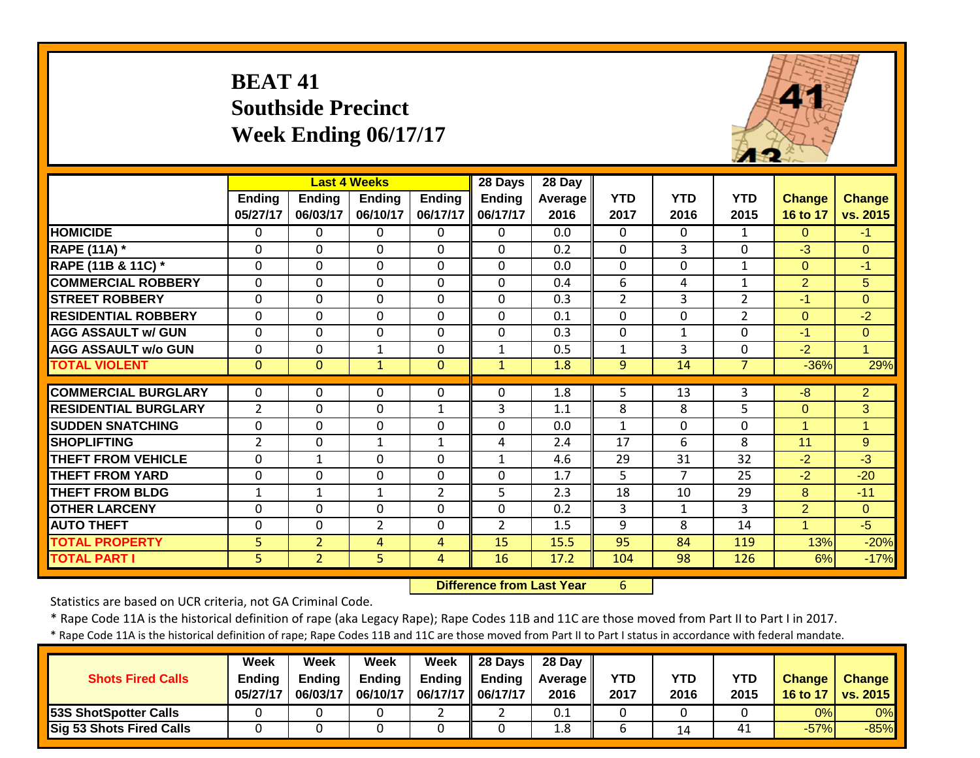# **BEAT 41 Southside Precinct Week Ending 06/17/17**



|                             |                |                | <b>Last 4 Weeks</b> |                | 28 Days        | 28 Day  |                |              |                |                |                |
|-----------------------------|----------------|----------------|---------------------|----------------|----------------|---------|----------------|--------------|----------------|----------------|----------------|
|                             | <b>Ending</b>  | <b>Ending</b>  | <b>Ending</b>       | <b>Ending</b>  | <b>Ending</b>  | Average | <b>YTD</b>     | <b>YTD</b>   | <b>YTD</b>     | <b>Change</b>  | <b>Change</b>  |
|                             | 05/27/17       | 06/03/17       | 06/10/17            | 06/17/17       | 06/17/17       | 2016    | 2017           | 2016         | 2015           | 16 to 17       | vs. 2015       |
| <b>HOMICIDE</b>             | $\Omega$       | 0              | $\Omega$            | $\Omega$       | $\Omega$       | 0.0     | $\Omega$       | $\Omega$     | $\mathbf{1}$   | $\Omega$       | $-1$           |
| <b>RAPE (11A)</b> *         | $\Omega$       | $\Omega$       | $\Omega$            | $\Omega$       | $\Omega$       | 0.2     | $\Omega$       | 3            | 0              | $-3$           | $\Omega$       |
| RAPE (11B & 11C) *          | 0              | $\mathbf 0$    | $\Omega$            | $\Omega$       | $\Omega$       | 0.0     | 0              | $\Omega$     | 1              | $\Omega$       | $-1$           |
| <b>COMMERCIAL ROBBERY</b>   | $\Omega$       | $\Omega$       | $\mathbf 0$         | $\Omega$       | $\Omega$       | 0.4     | 6              | 4            | $\mathbf{1}$   | $\overline{2}$ | 5              |
| <b>STREET ROBBERY</b>       | $\mathbf 0$    | $\Omega$       | $\Omega$            | $\mathbf 0$    | $\Omega$       | 0.3     | $\overline{2}$ | 3            | $\overline{2}$ | $-1$           | $\overline{0}$ |
| <b>RESIDENTIAL ROBBERY</b>  | $\Omega$       | $\Omega$       | $\Omega$            | $\Omega$       | $\Omega$       | 0.1     | $\mathbf 0$    | $\Omega$     | $\overline{2}$ | $\Omega$       | $-2$           |
| <b>AGG ASSAULT w/ GUN</b>   | $\mathbf{0}$   | $\mathbf 0$    | $\mathbf 0$         | $\overline{0}$ | $\mathbf 0$    | 0.3     | $\mathbf 0$    | $\mathbf{1}$ | 0              | $-1$           | $\overline{0}$ |
| <b>AGG ASSAULT w/o GUN</b>  | $\mathbf{0}$   | 0              | $\mathbf{1}$        | $\overline{0}$ | $\mathbf{1}$   | 0.5     | $\mathbf{1}$   | 3            | $\mathbf{0}$   | $-2$           | $\overline{1}$ |
| <b>TOTAL VIOLENT</b>        | $\mathbf{0}$   | $\mathbf{0}$   | $\mathbf{1}$        | $\mathbf{0}$   | $\mathbf{1}$   | 1.8     | 9              | 14           | $\overline{7}$ | $-36%$         | 29%            |
|                             |                |                |                     |                |                |         |                |              |                |                |                |
| <b>COMMERCIAL BURGLARY</b>  | $\Omega$       | 0              | $\Omega$            | 0              | 0              | 1.8     | 5              | 13           | 3              | $-8$           | $\overline{2}$ |
| <b>RESIDENTIAL BURGLARY</b> | $\overline{2}$ | 0              | $\Omega$            | $\mathbf{1}$   | 3              | 1.1     | 8              | 8            | 5              | $\Omega$       | 3              |
| <b>ISUDDEN SNATCHING</b>    | $\mathbf 0$    | $\Omega$       | $\Omega$            | $\overline{0}$ | $\Omega$       | 0.0     | $\mathbf{1}$   | $\Omega$     | $\Omega$       | $\overline{1}$ | 1              |
| <b>SHOPLIFTING</b>          | $\overline{2}$ | $\Omega$       | $\mathbf{1}$        | 1              | 4              | 2.4     | 17             | 6            | 8              | 11             | 9              |
| <b>THEFT FROM VEHICLE</b>   | $\mathbf 0$    | 1              | $\mathbf 0$         | $\Omega$       | $\mathbf{1}$   | 4.6     | 29             | 31           | 32             | $-2$           | $-3$           |
| <b>THEFT FROM YARD</b>      | 0              | $\Omega$       | $\Omega$            | $\Omega$       | $\Omega$       | 1.7     | 5              | 7            | 25             | $-2$           | $-20$          |
| <b>THEFT FROM BLDG</b>      | 1              | 1              | $\mathbf{1}$        | $\overline{2}$ | 5              | 2.3     | 18             | 10           | 29             | 8              | $-11$          |
| <b>OTHER LARCENY</b>        | 0              | $\mathbf 0$    | $\Omega$            | $\Omega$       | $\Omega$       | 0.2     | 3              | $\mathbf{1}$ | 3              | $\overline{2}$ | $\Omega$       |
| <b>AUTO THEFT</b>           | 0              | $\mathbf 0$    | $\overline{2}$      | $\mathbf 0$    | $\overline{2}$ | 1.5     | 9              | 8            | 14             |                | $-5$           |
| <b>TOTAL PROPERTY</b>       | 5              | $\overline{2}$ | 4                   | 4              | 15             | 15.5    | 95             | 84           | 119            | 13%            | $-20%$         |
| <b>TOTAL PART I</b>         | 5              | $\overline{2}$ | 5                   | 4              | 16             | 17.2    | 104            | 98           | 126            | 6%             | $-17%$         |

 **Difference from Last Year**6

Statistics are based on UCR criteria, not GA Criminal Code.

\* Rape Code 11A is the historical definition of rape (aka Legacy Rape); Rape Codes 11B and 11C are those moved from Part II to Part I in 2017.

| <b>Shots Fired Calls</b>     | Week<br><b>Endina</b><br>05/27/17 | Week<br><b>Ending</b><br>06/03/17 | Week<br><b>Ending</b><br>06/10/17 | Week<br><b>Ending</b><br>06/17/17   06/17/17 | $\parallel$ 28 Days<br><b>Ending</b> | 28 Day<br><b>Average II</b><br>2016 | YTD<br>2017 | YTD<br>2016 | <b>YTD</b><br>2015 | <b>Change</b><br>16 to 17 | <b>Change</b><br><b>vs. 2015</b> |
|------------------------------|-----------------------------------|-----------------------------------|-----------------------------------|----------------------------------------------|--------------------------------------|-------------------------------------|-------------|-------------|--------------------|---------------------------|----------------------------------|
| <b>53S ShotSpotter Calls</b> |                                   |                                   |                                   |                                              |                                      | 0.1                                 |             |             |                    | 0%                        | $0\%$                            |
| Sig 53 Shots Fired Calls     |                                   |                                   |                                   |                                              |                                      | 1.8                                 |             | 14          | 41                 | $-57%$                    | $-85%$                           |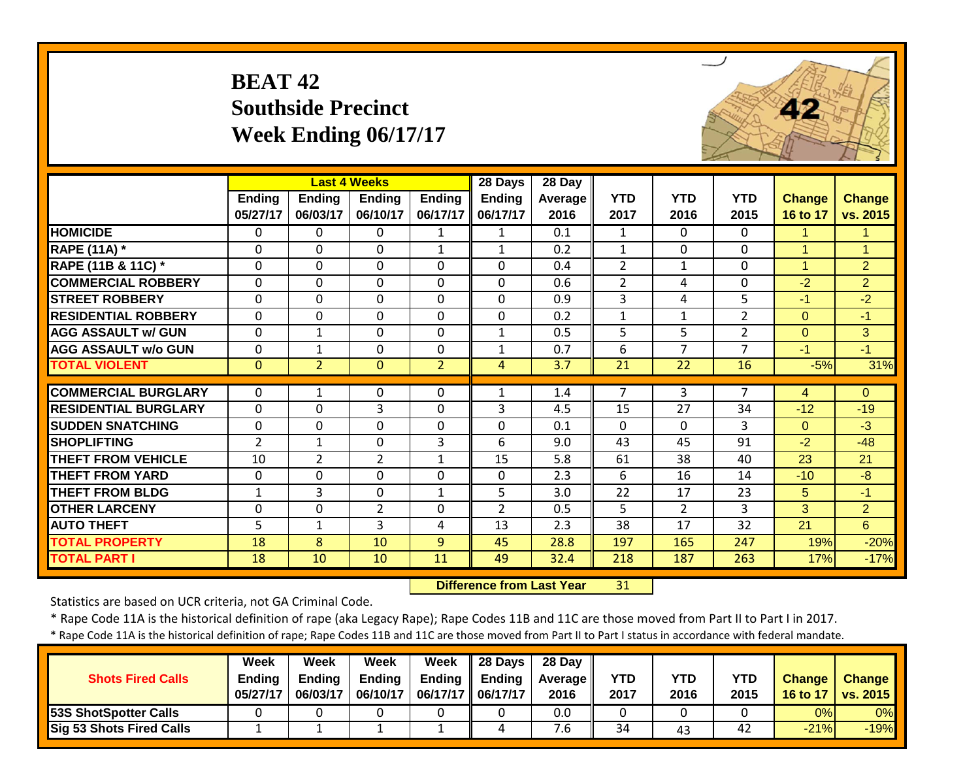# **BEAT 42 Southside Precinct Week Ending 06/17/17**



|                             |                |                | <b>Last 4 Weeks</b> |                | 28 Days        | 28 Day  |                |                |                |               |                |
|-----------------------------|----------------|----------------|---------------------|----------------|----------------|---------|----------------|----------------|----------------|---------------|----------------|
|                             | Ending         | <b>Ending</b>  | <b>Ending</b>       | <b>Ending</b>  | Ending         | Average | <b>YTD</b>     | <b>YTD</b>     | <b>YTD</b>     | <b>Change</b> | <b>Change</b>  |
|                             | 05/27/17       | 06/03/17       | 06/10/17            | 06/17/17       | 06/17/17       | 2016    | 2017           | 2016           | 2015           | 16 to 17      | vs. 2015       |
| <b>HOMICIDE</b>             | $\Omega$       | 0              | $\Omega$            | 1              | $\mathbf{1}$   | 0.1     | 1              | $\Omega$       | 0              | 1.            | 1              |
| <b>RAPE (11A) *</b>         | $\Omega$       | $\Omega$       | $\mathbf 0$         | 1              | $\mathbf{1}$   | 0.2     | $\mathbf{1}$   | $\Omega$       | 0              | $\mathbf{1}$  | 1              |
| RAPE (11B & 11C) *          | $\Omega$       | 0              | $\Omega$            | $\Omega$       | 0              | 0.4     | $\overline{2}$ | 1              | 0              | 1             | $\overline{2}$ |
| <b>COMMERCIAL ROBBERY</b>   | $\Omega$       | $\Omega$       | $\Omega$            | $\Omega$       | 0              | 0.6     | 2              | 4              | 0              | $-2$          | 2              |
| <b>STREET ROBBERY</b>       | $\Omega$       | $\mathbf 0$    | $\mathbf 0$         | $\mathbf 0$    | 0              | 0.9     | 3              | 4              | 5              | $-1$          | $-2$           |
| <b>RESIDENTIAL ROBBERY</b>  | $\Omega$       | $\Omega$       | $\Omega$            | $\Omega$       | $\Omega$       | 0.2     | $\mathbf{1}$   | $\mathbf{1}$   | $\overline{2}$ | $\Omega$      | $-1$           |
| <b>AGG ASSAULT w/ GUN</b>   | $\mathbf{0}$   | $\mathbf{1}$   | $\Omega$            | $\Omega$       | $\mathbf{1}$   | 0.5     | 5              | 5              | $\overline{2}$ | $\mathbf{O}$  | 3              |
| <b>AGG ASSAULT w/o GUN</b>  | $\mathbf{0}$   | $\mathbf{1}$   | $\mathbf 0$         | $\Omega$       | $\mathbf{1}$   | 0.7     | 6              | $\overline{7}$ | $\overline{7}$ | $-1$          | $-1$           |
| <b>TOTAL VIOLENT</b>        | $\mathbf{0}$   | $\overline{2}$ | $\Omega$            | $\overline{2}$ | 4              | 3.7     | 21             | 22             | 16             | $-5%$         | 31%            |
| <b>COMMERCIAL BURGLARY</b>  |                |                |                     |                |                |         |                |                | 7              |               |                |
|                             | $\mathbf{0}$   | $\mathbf{1}$   | $\mathbf{0}$        | $\Omega$       | $\mathbf{1}$   | 1.4     | 7              | 3              |                | 4             | $\Omega$       |
| <b>RESIDENTIAL BURGLARY</b> | $\mathbf 0$    | $\mathbf 0$    | 3                   | 0              | 3              | 4.5     | 15             | 27             | 34             | $-12$         | $-19$          |
| <b>SUDDEN SNATCHING</b>     | $\mathbf 0$    | $\mathbf 0$    | $\mathbf 0$         | $\mathbf 0$    | $\Omega$       | 0.1     | $\mathbf 0$    | $\Omega$       | 3              | $\Omega$      | $-3$           |
| <b>SHOPLIFTING</b>          | $\overline{2}$ | $\mathbf{1}$   | $\mathbf 0$         | 3              | 6              | 9.0     | 43             | 45             | 91             | $-2$          | $-48$          |
| <b>THEFT FROM VEHICLE</b>   | 10             | $\overline{2}$ | $\overline{2}$      | $\mathbf{1}$   | 15             | 5.8     | 61             | 38             | 40             | 23            | 21             |
| <b>THEFT FROM YARD</b>      | $\mathbf 0$    | $\mathbf 0$    | $\mathbf 0$         | $\mathbf 0$    | $\Omega$       | 2.3     | 6              | 16             | 14             | $-10$         | $-8$           |
| <b>THEFT FROM BLDG</b>      | 1              | 3              | $\mathbf{0}$        | $\mathbf{1}$   | 5              | 3.0     | 22             | 17             | 23             | 5             | $-1$           |
| <b>OTHER LARCENY</b>        | 0              | 0              | $\overline{2}$      | 0              | $\overline{2}$ | 0.5     | 5              | $\overline{2}$ | 3              | 3             | $\overline{2}$ |
| <b>AUTO THEFT</b>           | 5              | 1              | 3                   | 4              | 13             | 2.3     | 38             | 17             | 32             | 21            | 6              |
| <b>TOTAL PROPERTY</b>       | 18             | 8              | 10                  | 9              | 45             | 28.8    | 197            | 165            | 247            | 19%           | $-20%$         |
| <b>TOTAL PART I</b>         | 18             | 10             | 10                  | 11             | 49             | 32.4    | 218            | 187            | 263            | 17%           | $-17%$         |

 **Difference from Last Year**31

Statistics are based on UCR criteria, not GA Criminal Code.

\* Rape Code 11A is the historical definition of rape (aka Legacy Rape); Rape Codes 11B and 11C are those moved from Part II to Part I in 2017.

| <b>Shots Fired Calls</b>        | Week<br><b>Ending</b><br>05/27/17 | Week<br>Endina<br>06/03/17 | Week<br><b>Endina</b><br>06/10/17 | Week<br>Ending<br>06/17/17 | 28 Days<br><b>Ending</b><br>06/17/17 | 28 Day<br><b>Average II</b><br>2016 | YTD<br>2017 | YTD<br>2016 | YTD<br>2015 | <b>Change</b><br>16 to 17 | <b>Change</b><br><b>TVs. 2015</b> |
|---------------------------------|-----------------------------------|----------------------------|-----------------------------------|----------------------------|--------------------------------------|-------------------------------------|-------------|-------------|-------------|---------------------------|-----------------------------------|
| <b>53S ShotSpotter Calls</b>    |                                   |                            |                                   |                            |                                      | 0.0                                 |             |             |             | 0%                        | $0\%$                             |
| <b>Sig 53 Shots Fired Calls</b> |                                   |                            |                                   | -                          |                                      | '.b                                 | 34          | 43          | 42          | $-21%$                    | $-19%$                            |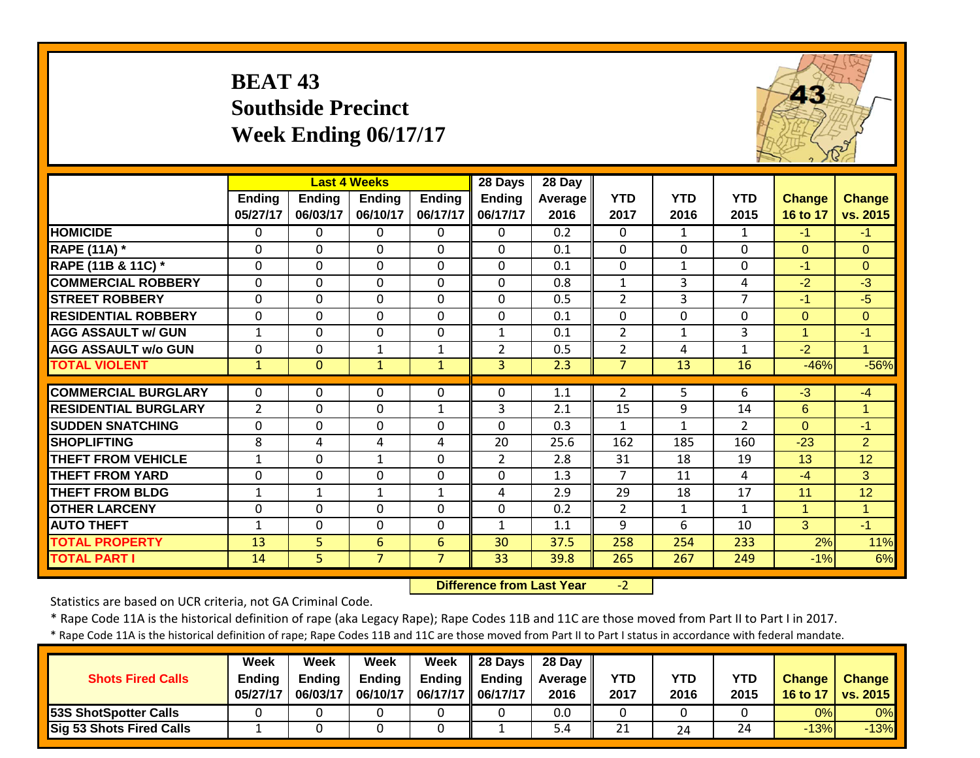# **BEAT 43 Southside Precinct Week Ending 06/17/17**



|                             |                |                | <b>Last 4 Weeks</b> |                | 28 Days         | $28$ Day |                |              |                |                |                 |
|-----------------------------|----------------|----------------|---------------------|----------------|-----------------|----------|----------------|--------------|----------------|----------------|-----------------|
|                             | <b>Ending</b>  | <b>Ending</b>  | <b>Ending</b>       | <b>Ending</b>  | <b>Ending</b>   | Average  | <b>YTD</b>     | <b>YTD</b>   | <b>YTD</b>     | <b>Change</b>  | <b>Change</b>   |
|                             | 05/27/17       | 06/03/17       | 06/10/17            | 06/17/17       | 06/17/17        | 2016     | 2017           | 2016         | 2015           | 16 to 17       | vs. 2015        |
| <b>HOMICIDE</b>             | 0              | 0              | $\Omega$            | $\Omega$       | $\Omega$        | 0.2      | $\mathbf{0}$   | $\mathbf{1}$ | 1              | $-1$           | $-1$            |
| <b>RAPE (11A)</b> *         | $\Omega$       | 0              | $\Omega$            | $\Omega$       | $\Omega$        | 0.1      | $\mathbf 0$    | $\Omega$     | 0              | $\overline{0}$ | $\overline{0}$  |
| RAPE (11B & 11C) *          | $\Omega$       | 0              | $\Omega$            | $\Omega$       | $\mathbf 0$     | 0.1      | $\Omega$       | 1            | 0              | $-1$           | $\overline{0}$  |
| <b>COMMERCIAL ROBBERY</b>   | $\mathbf{0}$   | 0              | $\mathbf 0$         | $\Omega$       | $\mathbf{0}$    | 0.8      | $\mathbf{1}$   | 3            | 4              | $-2$           | $-3$            |
| <b>STREET ROBBERY</b>       | $\mathbf{0}$   | 0              | $\Omega$            | $\mathbf 0$    | $\Omega$        | 0.5      | $\overline{2}$ | 3            | $\overline{7}$ | $-1$           | $-5$            |
| <b>RESIDENTIAL ROBBERY</b>  | $\mathbf{0}$   | 0              | $\mathbf 0$         | $\mathbf 0$    | $\mathbf{0}$    | 0.1      | 0              | $\Omega$     | $\Omega$       | $\overline{0}$ | $\overline{0}$  |
| <b>AGG ASSAULT w/ GUN</b>   | 1              | $\mathbf 0$    | $\mathbf 0$         | $\mathbf 0$    | $\mathbf{1}$    | 0.1      | $\overline{2}$ | $\mathbf{1}$ | 3              | $\mathbf{1}$   | $-1$            |
| <b>AGG ASSAULT w/o GUN</b>  | 0              | $\mathbf 0$    | $\mathbf{1}$        | $\mathbf{1}$   | $\overline{2}$  | 0.5      | $\overline{2}$ | 4            | $\mathbf{1}$   | $-2$           | $\mathbf{1}$    |
| <b>TOTAL VIOLENT</b>        | $\mathbf{1}$   | $\mathbf{0}$   | $\mathbf{1}$        | $\mathbf{1}$   | 3 <sup>1</sup>  | 2.3      | $\overline{7}$ | 13           | 16             | $-46%$         | $-56%$          |
| <b>COMMERCIAL BURGLARY</b>  | 0              | 0              | 0                   | 0              | 0               | 1.1      | 2              | 5            | 6              | $-3$           | $-4$            |
| <b>RESIDENTIAL BURGLARY</b> | $\overline{2}$ | 0              | $\mathbf 0$         | $\mathbf{1}$   | 3               | 2.1      | 15             | 9            | 14             | 6              | 1               |
| <b>SUDDEN SNATCHING</b>     | $\mathbf{0}$   | $\mathbf 0$    | $\mathbf 0$         | $\mathbf 0$    | $\mathbf 0$     | 0.3      | $\mathbf{1}$   | $\mathbf{1}$ | $\overline{2}$ | $\Omega$       | $-1$            |
| <b>SHOPLIFTING</b>          | 8              | 4              | 4                   | 4              | 20              | 25.6     | 162            | 185          | 160            | $-23$          | 2               |
| <b>THEFT FROM VEHICLE</b>   | $\mathbf{1}$   | 0              | $\mathbf{1}$        | $\mathbf 0$    | $\overline{2}$  | 2.8      | 31             | 18           | 19             | 13             | $\overline{12}$ |
| <b>THEFT FROM YARD</b>      | 0              | $\mathbf 0$    | $\mathbf 0$         | $\mathbf 0$    | $\mathbf 0$     | 1.3      | $\overline{7}$ | 11           | 4              | $-4$           | 3               |
| <b>THEFT FROM BLDG</b>      | $\mathbf{1}$   | $\mathbf{1}$   | $\mathbf{1}$        | $\mathbf{1}$   | 4               | 2.9      | 29             | 18           | 17             | 11             | 12              |
| <b>OTHER LARCENY</b>        | 0              | $\mathbf 0$    | $\mathbf 0$         | $\mathbf 0$    | $\mathbf 0$     | 0.2      | $\overline{2}$ | $\mathbf{1}$ | 1              | $\mathbf{1}$   | $\mathbf{1}$    |
| <b>AUTO THEFT</b>           | 1              | $\mathbf 0$    | $\mathbf 0$         | $\mathbf 0$    | $\mathbf{1}$    | 1.1      | 9              | 6            | 10             | 3              | $-1$            |
| <b>TOTAL PROPERTY</b>       | 13             | 5              | 6                   | $6\phantom{1}$ | 30              | 37.5     | 258            | 254          | 233            | 2%             | 11%             |
| <b>TOTAL PART I</b>         | 14             | $\overline{5}$ | $\overline{7}$      | $\overline{7}$ | $\overline{33}$ | 39.8     | 265            | 267          | 249            | $-1%$          | 6%              |
|                             |                |                |                     |                |                 |          |                |              |                |                |                 |

 **Difference from Last Year** $-2$ 

Statistics are based on UCR criteria, not GA Criminal Code.

\* Rape Code 11A is the historical definition of rape (aka Legacy Rape); Rape Codes 11B and 11C are those moved from Part II to Part I in 2017.

| <b>Shots Fired Calls</b>        | <b>Week</b><br><b>Ending</b><br>05/27/17 | Week<br>Endina<br>06/03/17 | Week<br><b>Ending</b><br>06/10/17 | Week<br><b>Ending</b><br>06/17/17 | <b>28 Davs</b><br><b>Ending</b><br>06/17/17 | 28 Day<br><b>Average II</b><br>2016 | <b>YTD</b><br>2017 | <b>YTD</b><br>2016 | <b>YTD</b><br>2015 | <b>Change</b><br>16 to 17 | <b>Change</b><br><b>vs. 2015</b> |
|---------------------------------|------------------------------------------|----------------------------|-----------------------------------|-----------------------------------|---------------------------------------------|-------------------------------------|--------------------|--------------------|--------------------|---------------------------|----------------------------------|
| 53S ShotSpotter Calls           |                                          |                            |                                   |                                   |                                             | 0.0                                 |                    |                    |                    | 0%                        | 0%                               |
| <b>Sig 53 Shots Fired Calls</b> |                                          |                            |                                   |                                   |                                             |                                     | 21                 | 24                 | 24                 | $-13%$                    | $-13%$                           |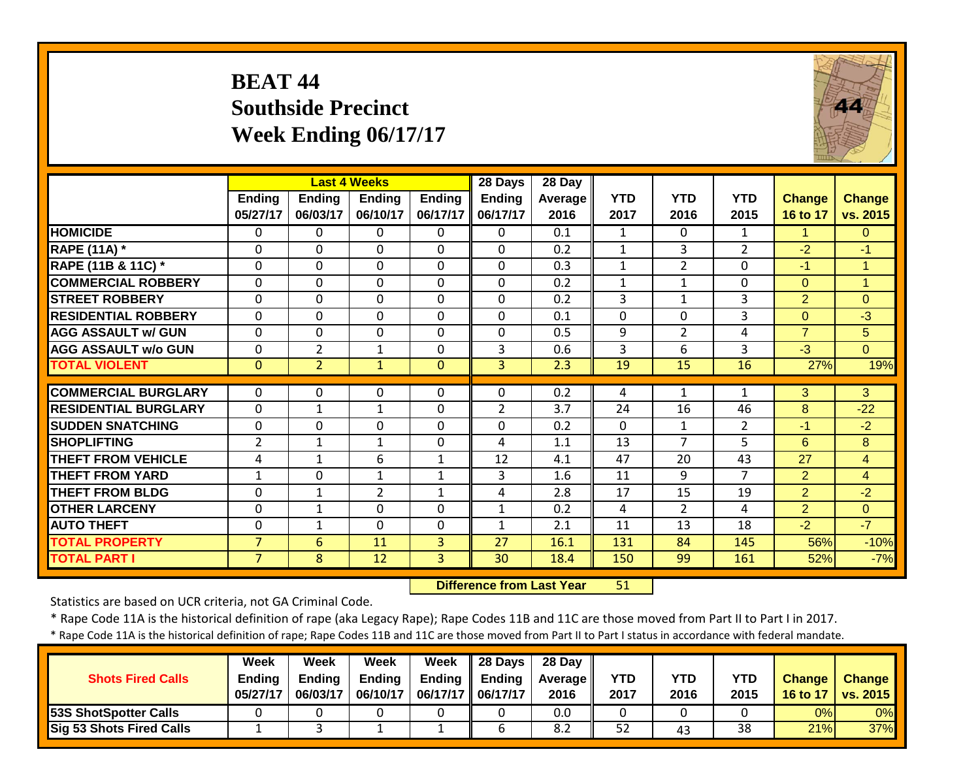# **BEAT 44 Southside Precinct Week Ending 06/17/17**



|                             |                           |                           | <b>Last 4 Weeks</b>       |                           | 28 Days                   | 28 Day                 |                    |                    |                    |                           |                           |
|-----------------------------|---------------------------|---------------------------|---------------------------|---------------------------|---------------------------|------------------------|--------------------|--------------------|--------------------|---------------------------|---------------------------|
|                             | <b>Ending</b><br>05/27/17 | <b>Ending</b><br>06/03/17 | <b>Ending</b><br>06/10/17 | <b>Ending</b><br>06/17/17 | <b>Ending</b><br>06/17/17 | <b>Average</b><br>2016 | <b>YTD</b><br>2017 | <b>YTD</b><br>2016 | <b>YTD</b><br>2015 | <b>Change</b><br>16 to 17 | <b>Change</b><br>vs. 2015 |
| <b>HOMICIDE</b>             | $\mathbf{0}$              | 0                         | 0                         | $\Omega$                  | $\Omega$                  | 0.1                    | $\mathbf{1}$       | $\Omega$           | $\mathbf{1}$       | 1.                        | $\Omega$                  |
| <b>RAPE (11A)</b> *         | $\Omega$                  | $\Omega$                  | $\mathbf 0$               | $\Omega$                  | $\mathbf 0$               | 0.2                    | $\mathbf{1}$       | 3                  | $\overline{2}$     | $-2$                      | $-1$                      |
| RAPE (11B & 11C) *          | 0                         | $\Omega$                  | $\mathbf 0$               | 0                         | $\Omega$                  | 0.3                    | $\mathbf{1}$       | $\overline{2}$     | 0                  | $-1$                      | $\overline{1}$            |
| <b>COMMERCIAL ROBBERY</b>   | $\Omega$                  | $\Omega$                  | $\mathbf 0$               | $\Omega$                  | $\Omega$                  | 0.2                    | $\mathbf{1}$       | 1                  | $\Omega$           | $\overline{0}$            | $\overline{1}$            |
| <b>STREET ROBBERY</b>       | $\Omega$                  | $\Omega$                  | $\mathbf 0$               | $\Omega$                  | $\Omega$                  | 0.2                    | 3                  | $\mathbf{1}$       | 3                  | $\overline{2}$            | $\Omega$                  |
| <b>RESIDENTIAL ROBBERY</b>  | $\mathbf 0$               | $\Omega$                  | $\mathbf 0$               | $\mathbf 0$               | $\Omega$                  | 0.1                    | $\mathbf 0$        | $\Omega$           | 3                  | $\overline{0}$            | $-3$                      |
| <b>AGG ASSAULT w/ GUN</b>   | $\mathbf 0$               | $\Omega$                  | $\overline{0}$            | $\mathbf 0$               | $\Omega$                  | 0.5                    | 9                  | $\overline{2}$     | 4                  | $\overline{7}$            | 5                         |
| <b>AGG ASSAULT w/o GUN</b>  | $\mathbf 0$               | $\overline{2}$            | $\mathbf{1}$              | $\mathbf 0$               | 3                         | 0.6                    | 3                  | 6                  | 3                  | $-3$                      | $\Omega$                  |
| <b>TOTAL VIOLENT</b>        | $\mathbf{0}$              | $\overline{2}$            | $\mathbf{1}$              | $\mathbf{0}$              | $\overline{3}$            | 2.3                    | 19                 | 15                 | 16                 | 27%                       | 19%                       |
| <b>COMMERCIAL BURGLARY</b>  | $\Omega$                  | $\Omega$                  |                           |                           | $\Omega$                  | 0.2                    |                    |                    | 1                  |                           | 3                         |
|                             |                           |                           | 0                         | 0                         |                           |                        | 4                  | 1                  |                    | 3                         |                           |
| <b>RESIDENTIAL BURGLARY</b> | $\mathbf 0$               | $1\,$                     | $\mathbf{1}$              | $\mathbf 0$               | $\overline{2}$            | 3.7                    | 24                 | 16                 | 46                 | 8                         | $-22$                     |
| <b>SUDDEN SNATCHING</b>     | 0                         | $\Omega$                  | $\mathbf 0$               | $\Omega$                  | $\Omega$                  | 0.2                    | $\mathbf 0$        | $\mathbf{1}$       | $\overline{2}$     | $-1$                      | $-2$                      |
| <b>SHOPLIFTING</b>          | $\overline{2}$            | $\mathbf{1}$              | $\mathbf{1}$              | $\mathbf 0$               | 4                         | 1.1                    | 13                 | $\overline{7}$     | 5                  | 6                         | 8                         |
| <b>THEFT FROM VEHICLE</b>   | 4                         | $\mathbf{1}$              | 6                         | $\mathbf{1}$              | 12                        | 4.1                    | 47                 | 20                 | 43                 | 27                        | $\overline{4}$            |
| <b>THEFT FROM YARD</b>      | $\mathbf{1}$              | $\mathbf 0$               | $\mathbf{1}$              | $\mathbf{1}$              | 3                         | 1.6                    | 11                 | 9                  | 7                  | $\overline{2}$            | $\overline{4}$            |
| <b>THEFT FROM BLDG</b>      | 0                         | $\mathbf{1}$              | $\overline{2}$            | $\mathbf{1}$              | 4                         | 2.8                    | 17                 | 15                 | 19                 | $\overline{2}$            | $-2$                      |
| <b>OTHER LARCENY</b>        | $\mathbf 0$               | 1                         | 0                         | $\mathbf 0$               | $\mathbf{1}$              | 0.2                    | 4                  | $\overline{2}$     | 4                  | $\overline{2}$            | $\Omega$                  |
| <b>AUTO THEFT</b>           | $\Omega$                  | 1                         | 0                         | $\mathbf 0$               | $\mathbf{1}$              | 2.1                    | 11                 | 13                 | 18                 | $-2$                      | $-7$                      |
| <b>TOTAL PROPERTY</b>       | $\overline{7}$            | 6                         | 11                        | 3                         | 27                        | 16.1                   | 131                | 84                 | 145                | 56%                       | $-10%$                    |
| <b>TOTAL PART I</b>         | $\overline{7}$            | 8                         | 12                        | 3                         | $\overline{30}$           | 18.4                   | 150                | 99                 | 161                | 52%                       | $-7%$                     |

 **Difference from Last Year**51

Statistics are based on UCR criteria, not GA Criminal Code.

\* Rape Code 11A is the historical definition of rape (aka Legacy Rape); Rape Codes 11B and 11C are those moved from Part II to Part I in 2017.

| <b>Shots Fired Calls</b>        | Week<br><b>Ending</b><br>05/27/17 | Week<br><b>Ending</b><br>06/03/17 | Week<br><b>Ending</b><br>06/10/17 | <b>Week</b><br>06/17/17   06/17/17 | $\parallel$ 28 Days<br>Ending $\parallel$ Ending | 28 Day<br><b>Average</b> II<br>2016 | <b>YTD</b><br>2017 | <b>YTD</b><br>2016 | <b>YTD</b><br>2015 | <b>Change</b><br>16 to 17 | <b>Change</b><br>vs. 2015 |
|---------------------------------|-----------------------------------|-----------------------------------|-----------------------------------|------------------------------------|--------------------------------------------------|-------------------------------------|--------------------|--------------------|--------------------|---------------------------|---------------------------|
| 53S ShotSpotter Calls           |                                   |                                   |                                   |                                    |                                                  | 0.0                                 |                    |                    |                    | 0%                        | 0%                        |
| <b>Sig 53 Shots Fired Calls</b> |                                   |                                   |                                   |                                    |                                                  | 8.2                                 | 52                 | 43                 | 38                 | 21%                       | 37%                       |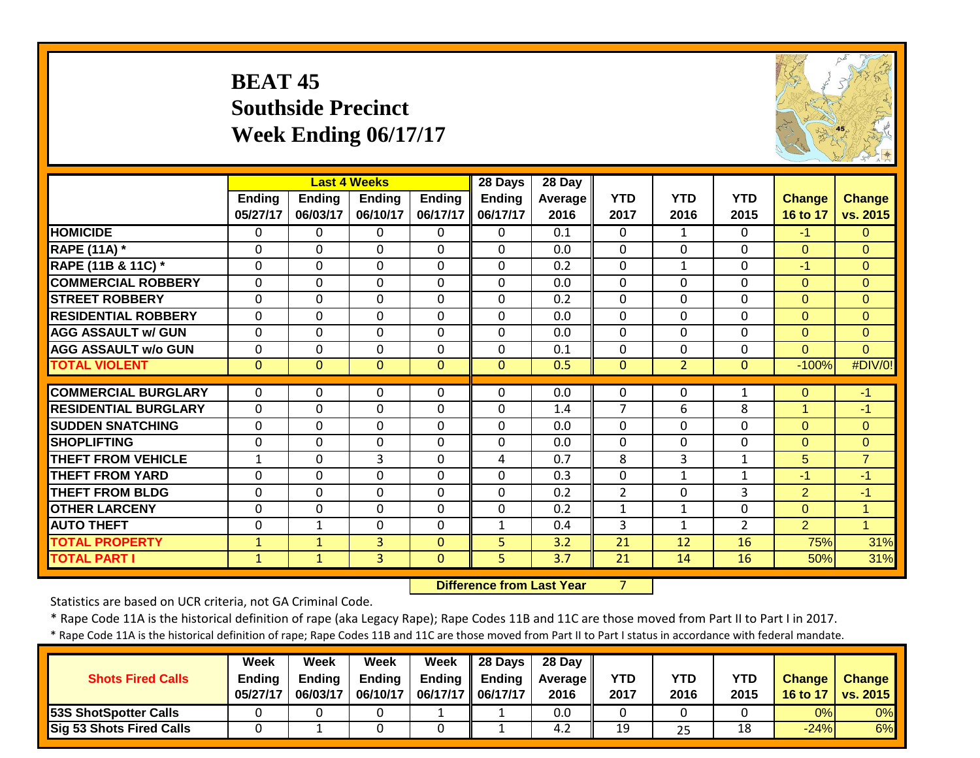# **BEAT 45 Southside Precinct Week Ending 06/17/17**



|                             |                           |                           | <b>Last 4 Weeks</b>       |                           | 28 Days                   | 28 Day                 |                    |                    |                    |                           |                           |
|-----------------------------|---------------------------|---------------------------|---------------------------|---------------------------|---------------------------|------------------------|--------------------|--------------------|--------------------|---------------------------|---------------------------|
|                             | <b>Ending</b><br>05/27/17 | <b>Ending</b><br>06/03/17 | <b>Ending</b><br>06/10/17 | <b>Ending</b><br>06/17/17 | <b>Ending</b><br>06/17/17 | <b>Average</b><br>2016 | <b>YTD</b><br>2017 | <b>YTD</b><br>2016 | <b>YTD</b><br>2015 | <b>Change</b><br>16 to 17 | <b>Change</b><br>vs. 2015 |
| <b>HOMICIDE</b>             | $\Omega$                  | 0                         | 0                         | $\Omega$                  | $\Omega$                  | 0.1                    | $\mathbf{0}$       | $\mathbf{1}$       | 0                  | $-1$                      | $\Omega$                  |
| <b>RAPE (11A) *</b>         | $\Omega$                  | $\Omega$                  | $\Omega$                  | $\Omega$                  | $\mathbf{0}$              | 0.0                    | $\mathbf{0}$       | $\Omega$           | 0                  | $\mathbf{0}$              | $\Omega$                  |
| RAPE (11B & 11C) *          | 0                         | $\Omega$                  | $\mathbf 0$               | $\mathbf 0$               | 0                         | 0.2                    | $\mathbf 0$        | $\mathbf{1}$       | 0                  | $-1$                      | $\Omega$                  |
| <b>COMMERCIAL ROBBERY</b>   | $\mathbf{0}$              | $\Omega$                  | $\mathbf 0$               | $\mathbf{0}$              | $\Omega$                  | 0.0                    | $\mathbf{0}$       | $\Omega$           | 0                  | $\Omega$                  | $\Omega$                  |
| <b>STREET ROBBERY</b>       | 0                         | $\Omega$                  | $\mathbf 0$               | $\mathbf{0}$              | $\Omega$                  | 0.2                    | 0                  | $\Omega$           | $\Omega$           | $\Omega$                  | $\mathbf{0}$              |
| <b>RESIDENTIAL ROBBERY</b>  | $\mathbf{0}$              | $\Omega$                  | $\Omega$                  | $\mathbf{0}$              | $\Omega$                  | 0.0                    | $\Omega$           | $\Omega$           | 0                  | $\Omega$                  | $\Omega$                  |
| <b>AGG ASSAULT w/ GUN</b>   | $\mathbf 0$               | $\mathbf 0$               | $\mathbf 0$               | $\mathbf 0$               | $\Omega$                  | 0.0                    | $\mathbf 0$        | $\Omega$           | 0                  | $\Omega$                  | $\Omega$                  |
| <b>AGG ASSAULT w/o GUN</b>  | $\overline{0}$            | 0                         | 0                         | $\mathbf 0$               | $\mathbf 0$               | 0.1                    | $\mathbf 0$        | $\mathbf 0$        | 0                  | $\overline{0}$            | $\mathbf{0}$              |
| <b>TOTAL VIOLENT</b>        | $\mathbf{0}$              | $\overline{0}$            | $\overline{0}$            | $\mathbf{0}$              | $\mathbf{0}$              | 0.5                    | $\mathbf{0}$       | $\overline{2}$     | $\Omega$           | $-100%$                   | #DIV/0!                   |
| <b>COMMERCIAL BURGLARY</b>  | $\Omega$                  | 0                         | $\Omega$                  | $\mathbf{0}$              | $\Omega$                  | 0.0                    | $\Omega$           | $\Omega$           | 1                  | $\Omega$                  | $-1$                      |
| <b>RESIDENTIAL BURGLARY</b> | $\mathbf{0}$              | $\Omega$                  | 0                         | $\Omega$                  | $\Omega$                  | 1.4                    | $\overline{7}$     | 6                  | 8                  | 1                         | $-1$                      |
| <b>SUDDEN SNATCHING</b>     | 0                         | $\Omega$                  | 0                         | $\mathbf{0}$              | $\Omega$                  | 0.0                    | $\Omega$           | $\Omega$           | $\Omega$           | $\Omega$                  | $\Omega$                  |
| <b>SHOPLIFTING</b>          | 0                         | $\Omega$                  | 0                         | $\mathbf 0$               | $\mathbf{0}$              | 0.0                    | $\mathbf 0$        | $\Omega$           | 0                  | $\Omega$                  | $\mathbf{0}$              |
| <b>THEFT FROM VEHICLE</b>   | $\mathbf{1}$              | $\Omega$                  | 3                         | $\mathbf 0$               | 4                         | 0.7                    | 8                  | 3                  | 1                  | 5                         | $\overline{7}$            |
| <b>THEFT FROM YARD</b>      | 0                         | $\Omega$                  | 0                         | $\mathbf 0$               | $\mathbf 0$               | 0.3                    | $\mathbf 0$        | $\mathbf{1}$       | 1                  | $-1$                      | $-1$                      |
| <b>THEFT FROM BLDG</b>      | $\Omega$                  | $\Omega$                  | $\mathbf 0$               | $\Omega$                  | $\Omega$                  | 0.2                    | $\overline{2}$     | $\Omega$           | 3                  | $\overline{2}$            | $-1$                      |
| <b>OTHER LARCENY</b>        | 0                         | 0                         | $\Omega$                  | $\mathbf{0}$              | $\Omega$                  | 0.2                    | $\mathbf{1}$       | $\mathbf{1}$       | 0                  | $\Omega$                  | 1                         |
| <b>AUTO THEFT</b>           | $\Omega$                  | $\mathbf{1}$              | $\Omega$                  | $\mathbf{0}$              | $\mathbf{1}$              | 0.4                    | 3                  | $\mathbf 1$        | $\overline{2}$     | $\overline{2}$            | $\overline{1}$            |
| <b>TOTAL PROPERTY</b>       | $\mathbf{1}$              | $\mathbf{1}$              | 3                         | $\Omega$                  | 5                         | 3.2                    | 21                 | 12                 | 16                 | 75%                       | 31%                       |
| <b>TOTAL PART I</b>         | $\mathbf{1}$              | $\mathbf{1}$              | 3                         | $\mathbf{0}$              | 5                         | 3.7                    | 21                 | 14                 | 16                 | 50%                       | 31%                       |

 **Difference from Last Year**

7

Statistics are based on UCR criteria, not GA Criminal Code.

\* Rape Code 11A is the historical definition of rape (aka Legacy Rape); Rape Codes 11B and 11C are those moved from Part II to Part I in 2017.

| <b>Shots Fired Calls</b>        | Week<br><b>Ending</b><br>05/27/17 | Week<br><b>Ending</b><br>06/03/17 | Week<br><b>Ending</b><br>06/10/17 | Week<br><b>Ending</b><br>06/17/17   06/17/17 | $\parallel$ 28 Days<br><b>Ending</b> | 28 Day<br><b>Average</b> I<br>2016 | YTD<br>2017 | YTD<br>2016 | YTD<br>2015 | <b>Change</b><br>16 to 17 | <b>Change</b><br>vs. 2015 |
|---------------------------------|-----------------------------------|-----------------------------------|-----------------------------------|----------------------------------------------|--------------------------------------|------------------------------------|-------------|-------------|-------------|---------------------------|---------------------------|
| 53S ShotSpotter Calls           |                                   |                                   |                                   |                                              |                                      | 0.0                                |             |             |             | 0%                        | $0\%$                     |
| <b>Sig 53 Shots Fired Calls</b> |                                   |                                   |                                   |                                              |                                      | 4.2                                | 19          | 25          | 18          | $-24%$                    | 6%                        |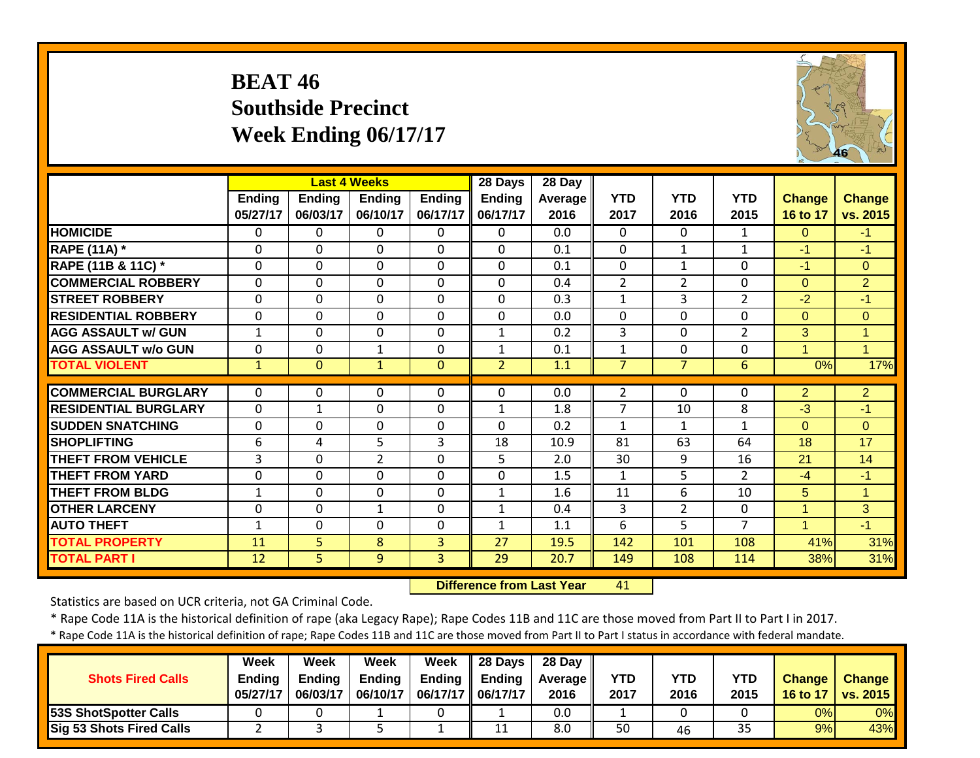# **BEAT 46 Southside Precinct Week Ending 06/17/17**



|                             |                           |                           | <b>Last 4 Weeks</b>       |                           | 28 Days                   | 28 Day                 |                    |                    |                    |                           |                           |
|-----------------------------|---------------------------|---------------------------|---------------------------|---------------------------|---------------------------|------------------------|--------------------|--------------------|--------------------|---------------------------|---------------------------|
|                             | <b>Ending</b><br>05/27/17 | <b>Ending</b><br>06/03/17 | <b>Ending</b><br>06/10/17 | <b>Ending</b><br>06/17/17 | <b>Ending</b><br>06/17/17 | <b>Average</b><br>2016 | <b>YTD</b><br>2017 | <b>YTD</b><br>2016 | <b>YTD</b><br>2015 | <b>Change</b><br>16 to 17 | <b>Change</b><br>vs. 2015 |
| <b>HOMICIDE</b>             | $\mathbf{0}$              | 0                         | 0                         | $\Omega$                  | $\Omega$                  | 0.0                    | 0                  | 0                  | $\mathbf{1}$       | $\Omega$                  | $-1$                      |
| <b>RAPE (11A)</b> *         | 0                         | $\Omega$                  | $\Omega$                  | $\mathbf{0}$              | $\mathbf{0}$              | 0.1                    | $\Omega$           | $\mathbf{1}$       | $\mathbf{1}$       | $-1$                      | $-1$                      |
| RAPE (11B & 11C) *          | $\mathbf{0}$              | $\Omega$                  | $\mathbf 0$               | $\mathbf 0$               | $\Omega$                  | 0.1                    | 0                  | $\mathbf{1}$       | $\Omega$           | $-1$                      | $\Omega$                  |
| <b>COMMERCIAL ROBBERY</b>   | $\mathbf{0}$              | 0                         | $\mathbf 0$               | $\mathbf{0}$              | $\Omega$                  | 0.4                    | $\overline{2}$     | $\overline{2}$     | 0                  | $\Omega$                  | $\overline{2}$            |
| <b>STREET ROBBERY</b>       | 0                         | 0                         | $\mathbf 0$               | $\mathbf{0}$              | $\Omega$                  | 0.3                    | $\mathbf{1}$       | 3                  | $\overline{2}$     | $-2$                      | $-1$                      |
| <b>RESIDENTIAL ROBBERY</b>  | $\Omega$                  | 0                         | $\Omega$                  | $\mathbf{0}$              | $\Omega$                  | 0.0                    | $\Omega$           | $\Omega$           | 0                  | $\Omega$                  | $\Omega$                  |
| <b>AGG ASSAULT w/ GUN</b>   | $\mathbf{1}$              | 0                         | $\mathbf 0$               | $\mathbf 0$               | $\mathbf{1}$              | 0.2                    | 3                  | $\mathbf 0$        | $\overline{2}$     | 3                         | $\overline{1}$            |
| <b>AGG ASSAULT w/o GUN</b>  | $\mathbf 0$               | 0                         | $\mathbf{1}$              | $\mathbf 0$               | 1                         | 0.1                    | $\mathbf 1$        | $\mathbf 0$        | 0                  | $\mathbf{1}$              | $\overline{1}$            |
| <b>TOTAL VIOLENT</b>        | $\mathbf{1}$              | $\mathbf{0}$              | $\mathbf{1}$              | $\mathbf{0}$              | $\overline{2}$            | 1.1                    | $\overline{7}$     | $\overline{7}$     | 6                  | 0%                        | 17%                       |
| <b>COMMERCIAL BURGLARY</b>  | $\Omega$                  | 0                         | 0                         | $\mathbf{0}$              | $\Omega$                  | 0.0                    | $\overline{2}$     | $\Omega$           | 0                  | $\overline{2}$            | $\overline{2}$            |
| <b>RESIDENTIAL BURGLARY</b> | $\mathbf{0}$              | 1                         | 0                         | $\Omega$                  | 1                         | 1.8                    | $\overline{7}$     | 10                 | 8                  | $-3$                      | $-1$                      |
| <b>ISUDDEN SNATCHING</b>    | 0                         | $\Omega$                  | 0                         | $\mathbf{0}$              | $\Omega$                  | 0.2                    | $\mathbf{1}$       | $\mathbf{1}$       | 1                  | $\Omega$                  | $\Omega$                  |
| <b>SHOPLIFTING</b>          | 6                         | 4                         | 5                         | 3                         | 18                        | 10.9                   | 81                 | 63                 | 64                 | 18                        | 17                        |
| <b>THEFT FROM VEHICLE</b>   | 3                         | $\Omega$                  | $\overline{2}$            | 0                         | 5                         | 2.0                    | 30                 | 9                  | 16                 | 21                        | 14                        |
| <b>THEFT FROM YARD</b>      | 0                         | $\Omega$                  | 0                         | $\mathbf 0$               | $\mathbf 0$               | 1.5                    | $\mathbf{1}$       | 5                  | $\overline{2}$     | $-4$                      | $-1$                      |
| <b>THEFT FROM BLDG</b>      | 1                         | $\Omega$                  | $\mathbf 0$               | $\Omega$                  | 1                         | 1.6                    | 11                 | 6                  | 10                 | 5                         | 1                         |
| <b>OTHER LARCENY</b>        | $\mathbf{0}$              | 0                         | $\mathbf{1}$              | $\mathbf{0}$              | $\mathbf{1}$              | 0.4                    | 3                  | $\overline{2}$     | 0                  | $\mathbf{1}$              | 3                         |
| <b>AUTO THEFT</b>           | 1                         | 0                         | $\Omega$                  | $\mathbf{0}$              | 1                         | 1.1                    | 6                  | 5                  | 7                  | $\mathbf{1}$              | $-1$                      |
| <b>TOTAL PROPERTY</b>       | 11                        | 5.                        | 8                         | 3                         | 27                        | 19.5                   | 142                | 101                | 108                | 41%                       | 31%                       |
| <b>TOTAL PART I</b>         | 12                        | 5                         | 9                         | 3                         | 29                        | 20.7                   | 149                | 108                | 114                | 38%                       | 31%                       |

 **Difference from Last Year**41

Statistics are based on UCR criteria, not GA Criminal Code.

\* Rape Code 11A is the historical definition of rape (aka Legacy Rape); Rape Codes 11B and 11C are those moved from Part II to Part I in 2017.

| <b>Shots Fired Calls</b>        | <b>Week</b><br><b>Ending</b><br>05/27/17 | Week<br>Endina<br>06/03/17 | Week<br><b>Ending</b><br>06/10/17 | Week<br><b>Ending</b><br>06/17/17 | <b>28 Davs</b><br><b>Ending</b><br>06/17/17 | 28 Day<br><b>Average II</b><br>2016 | <b>YTD</b><br>2017 | <b>YTD</b><br>2016 | YTD<br>2015 | <b>Change</b><br>16 to 17 | <b>Change</b><br><b>vs. 2015</b> |
|---------------------------------|------------------------------------------|----------------------------|-----------------------------------|-----------------------------------|---------------------------------------------|-------------------------------------|--------------------|--------------------|-------------|---------------------------|----------------------------------|
| 53S ShotSpotter Calls           |                                          |                            |                                   |                                   |                                             | 0.0                                 |                    |                    |             | 0%                        | 0%                               |
| <b>Sig 53 Shots Fired Calls</b> |                                          |                            |                                   |                                   | 11                                          | 8.0                                 | 50                 | 46                 | 35          | 9%                        | 43%                              |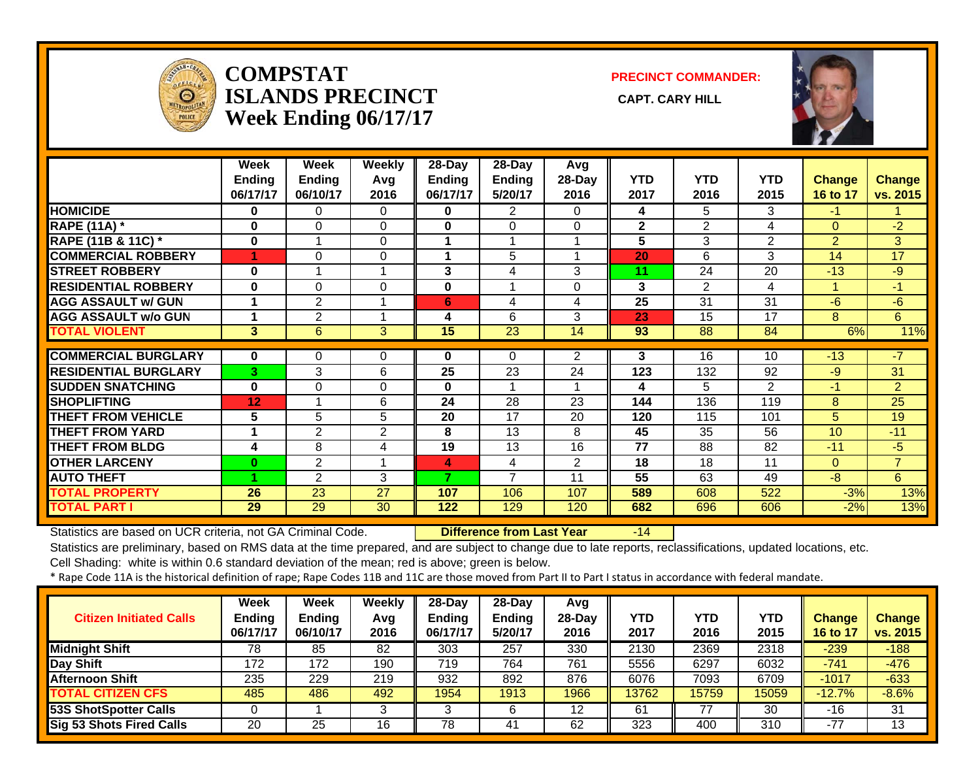

### **COMPSTATISLANDS PRECINCT** CAPT. CARY HILL **Week Ending 06/17/17**

**PRECINCT COMMANDER:**



|                             | Week          | Week          | <b>Weekly</b> | $28 - Day$ | $28 - Day$      | Avg            |              |                |                |                |                |
|-----------------------------|---------------|---------------|---------------|------------|-----------------|----------------|--------------|----------------|----------------|----------------|----------------|
|                             | <b>Ending</b> | <b>Ending</b> | Avg           | Ending     | <b>Ending</b>   | 28-Day         | <b>YTD</b>   | <b>YTD</b>     | <b>YTD</b>     | <b>Change</b>  | <b>Change</b>  |
|                             | 06/17/17      | 06/10/17      | 2016          | 06/17/17   | 5/20/17         | 2016           | 2017         | 2016           | 2015           | 16 to 17       | vs. 2015       |
| <b>HOMICIDE</b>             | $\bf{0}$      | 0             | $\Omega$      | 0          | 2               | 0              | 4            | 5              | 3              | $-1$           |                |
| <b>RAPE (11A) *</b>         | $\bf{0}$      | 0             | $\mathbf{0}$  | 0          | $\Omega$        | $\Omega$       | $\mathbf{2}$ | $\overline{2}$ | 4              | $\Omega$       | $-2$           |
| RAPE (11B & 11C) *          | $\bf{0}$      |               | 0             |            |                 |                | 5            | 3              | $\overline{2}$ | $\overline{2}$ | 3              |
| <b>COMMERCIAL ROBBERY</b>   | 1             | $\Omega$      | $\Omega$      |            | 5               |                | 20           | 6              | 3              | 14             | 17             |
| <b>STREET ROBBERY</b>       | $\bf{0}$      |               |               | 3          | 4               | 3              | 11           | 24             | 20             | $-13$          | $-9$           |
| <b>RESIDENTIAL ROBBERY</b>  | 0             | 0             | $\Omega$      | 0          |                 | $\Omega$       | 3            | $\overline{2}$ | 4              |                | $-1$           |
| <b>AGG ASSAULT w/ GUN</b>   |               | 2             |               | 6          | 4               | 4              | 25           | 31             | 31             | $-6$           | $-6$           |
| <b>AGG ASSAULT w/o GUN</b>  |               | 2             |               | 4          | 6               | 3              | 23           | 15             | 17             | 8              | 6              |
| <b>TOTAL VIOLENT</b>        | 3             | 6             | 3             | 15         | $\overline{23}$ | 14             | 93           | 88             | 84             | 6%             | 11%            |
|                             |               |               |               |            |                 |                |              |                |                |                |                |
| <b>COMMERCIAL BURGLARY</b>  | $\mathbf{0}$  | 0             | 0             | 0          | $\Omega$        | $\overline{2}$ | 3            | 16             | 10             | $-13$          | $-7$           |
| <b>RESIDENTIAL BURGLARY</b> | 3             | 3             | 6             | 25         | 23              | 24             | 123          | 132            | 92             | $-9$           | 31             |
| <b>SUDDEN SNATCHING</b>     | $\bf{0}$      | $\Omega$      | $\Omega$      | 0          |                 |                | 4            | 5              | $\overline{2}$ | $-1$           | $\overline{2}$ |
| <b>SHOPLIFTING</b>          | 12            |               | 6             | 24         | 28              | 23             | 144          | 136            | 119            | 8              | 25             |
| <b>THEFT FROM VEHICLE</b>   | 5             | 5             | 5             | 20         | 17              | 20             | 120          | 115            | 101            | 5.             | 19             |
| <b>THEFT FROM YARD</b>      |               | 2             | 2             | 8          | 13              | 8              | 45           | 35             | 56             | 10             | $-11$          |
| <b>THEFT FROM BLDG</b>      | 4             | 8             | 4             | 19         | 13              | 16             | 77           | 88             | 82             | $-11$          | $-5$           |
| <b>OTHER LARCENY</b>        | $\bf{0}$      | 2             |               | 4          | 4               | $\overline{2}$ | 18           | 18             | 11             | $\Omega$       | $\overline{7}$ |
| <b>AUTO THEFT</b>           |               | 2             | 3             | 7          | $\overline{7}$  | 11             | 55           | 63             | 49             | $-8$           | 6              |
| <b>TOTAL PROPERTY</b>       | 26            | 23            | 27            | 107        | 106             | 107            | 589          | 608            | 522            | $-3%$          | 13%            |
| <b>TOTAL PART I</b>         | 29            | 29            | 30            | 122        | 129             | 120            | 682          | 696            | 606            | $-2%$          | 13%            |

Statistics are based on UCR criteria, not GA Criminal Code. **Difference from Last Year** -14

Statistics are preliminary, based on RMS data at the time prepared, and are subject to change due to late reports, reclassifications, updated locations, etc.

Cell Shading: white is within 0.6 standard deviation of the mean; red is above; green is below.

| <b>Citizen Initiated Calls</b> | Week<br><b>Ending</b><br>06/17/17 | <b>Week</b><br><b>Ending</b><br>06/10/17 | <b>Weekly</b><br>Avg<br>2016 | 28-Dav<br><b>Ending</b><br>06/17/17 | 28-Day<br><b>Ending</b><br>5/20/17 | Avg<br>$28-Day$<br>2016 | YTD<br>2017 | YTD<br>2016 | <b>YTD</b><br>2015 | <b>Change</b><br>16 to 1 | <b>Change</b><br>vs. 2015 |
|--------------------------------|-----------------------------------|------------------------------------------|------------------------------|-------------------------------------|------------------------------------|-------------------------|-------------|-------------|--------------------|--------------------------|---------------------------|
| <b>Midnight Shift</b>          | 78                                | 85                                       | 82                           | 303                                 | 257                                | 330                     | 2130        | 2369        | 2318               | $-239$                   | $-188$                    |
| <b>Day Shift</b>               | 172                               | 172                                      | 190                          | 719                                 | 764                                | 761                     | 5556        | 6297        | 6032               | $-741$                   | $-476$                    |
| <b>Afternoon Shift</b>         | 235                               | 229                                      | 219                          | 932                                 | 892                                | 876                     | 6076        | 7093        | 6709               | $-1017$                  | $-633$                    |
| <b>TOTAL CITIZEN CFS</b>       | 485                               | 486                                      | 492                          | 1954                                | 1913                               | 1966                    | 13762       | 15759       | 15059              | $-12.7%$                 | $-8.6%$                   |
| <b>53S ShotSpotter Calls</b>   |                                   |                                          | ີ                            |                                     |                                    | 12<br>ॱ                 | 61          | 77          | 30                 | -16                      | 31                        |
| Sig 53 Shots Fired Calls       | 20                                | 25                                       | 16                           | 78                                  | 41                                 | 62                      | 323         | 400         | 310                | $-77$                    | 13                        |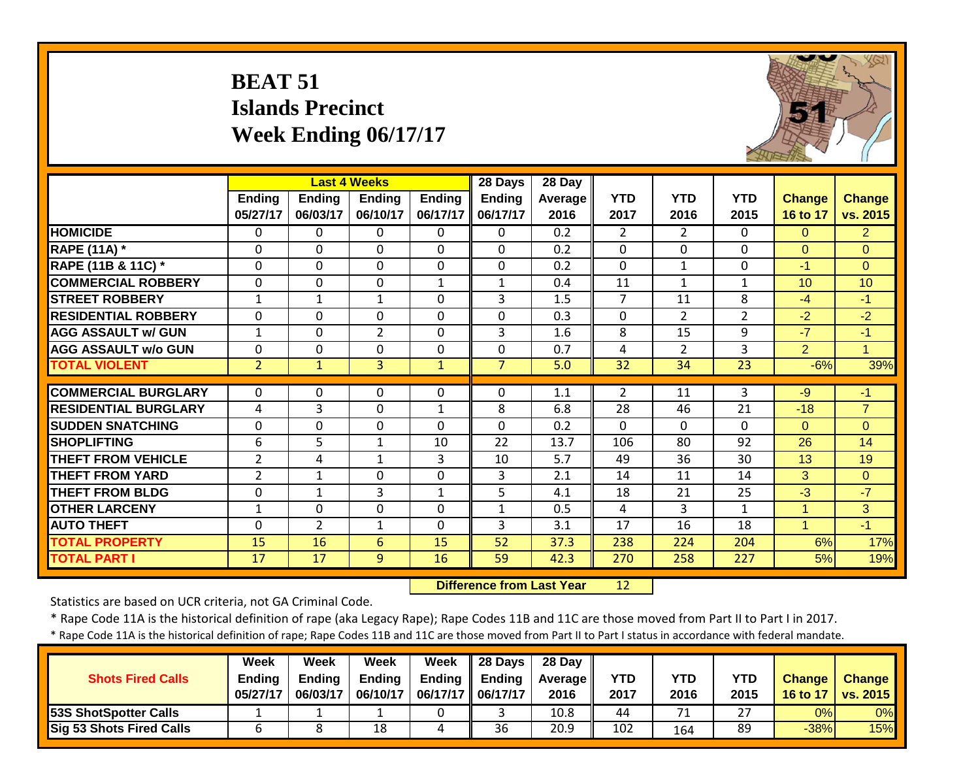|                             | <b>BEAT 51</b>            | <b>Islands Precinct</b> | Week Ending 06/17/17                             |                           |                                      |                           |                    |                    |                    |                           |                           |
|-----------------------------|---------------------------|-------------------------|--------------------------------------------------|---------------------------|--------------------------------------|---------------------------|--------------------|--------------------|--------------------|---------------------------|---------------------------|
|                             | <b>Ending</b><br>05/27/17 | Ending<br>06/03/17      | <b>Last 4 Weeks</b><br><b>Ending</b><br>06/10/17 | <b>Ending</b><br>06/17/17 | 28 Days<br><b>Ending</b><br>06/17/17 | 28 Day<br>Average<br>2016 | <b>YTD</b><br>2017 | <b>YTD</b><br>2016 | <b>YTD</b><br>2015 | <b>Change</b><br>16 to 17 | <b>Change</b><br>vs. 2015 |
| <b>HOMICIDE</b>             | $\mathbf{0}$              | $\Omega$                | 0                                                | $\Omega$                  | $\Omega$                             | $\overline{0.2}$          | $\overline{2}$     | 2                  | $\Omega$           | 0                         | $\overline{2}$            |
| <b>RAPE (11A) *</b>         | 0                         | $\Omega$                | $\mathbf 0$                                      | $\Omega$                  | $\Omega$                             | 0.2                       | $\Omega$           | $\Omega$           | $\Omega$           | $\Omega$                  | $\Omega$                  |
| RAPE (11B & 11C) *          | 0                         | $\mathbf 0$             | $\mathbf 0$                                      | $\Omega$                  | $\mathbf 0$                          | 0.2                       | $\Omega$           | $\mathbf{1}$       | $\mathbf 0$        | $-1$                      | $\Omega$                  |
| <b>COMMERCIAL ROBBERY</b>   | $\mathbf 0$               | $\Omega$                | $\mathbf 0$                                      | $\mathbf{1}$              | $\mathbf{1}$                         | 0.4                       | 11                 | $\mathbf{1}$       | $\mathbf{1}$       | 10 <sup>1</sup>           | 10                        |
| <b>STREET ROBBERY</b>       | $\mathbf{1}$              | 1                       | $\mathbf{1}$                                     | $\Omega$                  | 3                                    | 1.5                       | $\overline{7}$     | 11                 | 8                  | $-4$                      | $-1$                      |
| <b>RESIDENTIAL ROBBERY</b>  | $\Omega$                  | $\Omega$                | $\Omega$                                         | $\Omega$                  | $\Omega$                             | 0.3                       | $\Omega$           | $\overline{2}$     | $\overline{2}$     | $-2$                      | $-2$                      |
| <b>AGG ASSAULT w/ GUN</b>   | $\mathbf{1}$              | $\Omega$                | $\overline{2}$                                   | 0                         | 3                                    | 1.6                       | 8                  | 15                 | 9                  | $-7$                      | $-1$                      |
| <b>AGG ASSAULT w/o GUN</b>  | $\mathbf 0$               | $\mathbf 0$             | $\mathbf 0$                                      | $\Omega$                  | $\mathbf 0$                          | 0.7                       | 4                  | $\overline{2}$     | 3                  | $\overline{2}$            | $\mathbf{1}$              |
| <b>TOTAL VIOLENT</b>        | $\overline{2}$            | $\mathbf{1}$            | 3                                                | $\mathbf{1}$              | $\overline{7}$                       | 5.0                       | 32                 | 34                 | 23                 | $-6%$                     | 39%                       |
| <b>COMMERCIAL BURGLARY</b>  | $\mathbf{0}$              | $\Omega$                | 0                                                | $\Omega$                  | $\Omega$                             | 1.1                       | $\overline{2}$     | 11                 | 3                  | $-9$                      | $-1$                      |
| <b>RESIDENTIAL BURGLARY</b> | 4                         | 3                       | 0                                                | $\mathbf{1}$              | 8                                    | 6.8                       | 28                 | 46                 | 21                 | $-18$                     | $\overline{7}$            |
| <b>SUDDEN SNATCHING</b>     | $\mathbf 0$               | $\overline{0}$          | $\overline{0}$                                   | $\mathbf 0$               | $\Omega$                             | 0.2                       | $\overline{0}$     | $\Omega$           | $\Omega$           | $\overline{0}$            | $\overline{0}$            |
| <b>SHOPLIFTING</b>          | 6                         | 5                       | $\mathbf{1}$                                     | 10                        | 22                                   | 13.7                      | 106                | 80                 | 92                 | 26                        | 14                        |
| <b>THEFT FROM VEHICLE</b>   | $\overline{2}$            | 4                       | $\mathbf{1}$                                     | 3                         | 10                                   | 5.7                       | 49                 | 36                 | 30                 | 13                        | 19                        |
| <b>THEFT FROM YARD</b>      | $\overline{2}$            | $\mathbf{1}$            | $\mathbf 0$                                      | $\Omega$                  | 3                                    | 2.1                       | 14                 | 11                 | 14                 | 3                         | $\Omega$                  |
| <b>THEFT FROM BLDG</b>      | $\mathbf 0$               | $\mathbf{1}$            | $\overline{3}$                                   | $\mathbf{1}$              | 5                                    | 4.1                       | 18                 | 21                 | 25                 | $-3$                      | $-7$                      |
| <b>OTHER LARCENY</b>        | $\mathbf{1}$              | $\Omega$                | 0                                                | 0                         | $\mathbf{1}$                         | 0.5                       | 4                  | 3                  | 1                  | $\mathbf{1}$              | 3                         |
| <b>AUTO THEFT</b>           | $\Omega$                  | $\overline{2}$          | $\mathbf{1}$                                     | $\Omega$                  | 3                                    | 3.1                       | 17                 | 16                 | 18                 | $\mathbf{1}$              | $-1$                      |
| <b>TOTAL PROPERTY</b>       | 15                        | 16                      | $6\phantom{1}$                                   | 15                        | 52                                   | 37.3                      | 238                | 224                | 204                | 6%                        | 17%                       |
| <b>TOTAL PART I</b>         | $\overline{17}$           | $\overline{17}$         | 9                                                | 16                        | 59                                   | 42.3                      | 270                | 258                | 227                | 5%                        | 19%                       |

 **Difference from Last Year**r 12

Statistics are based on UCR criteria, not GA Criminal Code.

\* Rape Code 11A is the historical definition of rape (aka Legacy Rape); Rape Codes 11B and 11C are those moved from Part II to Part I in 2017.

| <b>Shots Fired Calls</b>        | Week<br><b>Ending</b><br>05/27/17 | Week<br><b>Ending</b><br>06/03/17 | Week<br><b>Ending</b><br>06/10/17 | <b>Week</b><br>06/17/17    06/17/17 | $\parallel$ 28 Days<br>Ending $\parallel$ Ending | 28 Day<br><b>Average</b> II<br>2016 | YTD<br>2017 | YTD<br>2016 | YTD<br>2015 | <b>Change</b><br>16 to 17 | <b>Change</b><br>vs. 2015 |
|---------------------------------|-----------------------------------|-----------------------------------|-----------------------------------|-------------------------------------|--------------------------------------------------|-------------------------------------|-------------|-------------|-------------|---------------------------|---------------------------|
| <b>53S ShotSpotter Calls</b>    |                                   |                                   |                                   |                                     |                                                  | 10.8                                | 44          | 71          | דר          | 0%                        | 0%                        |
| <b>Sig 53 Shots Fired Calls</b> |                                   |                                   | 18                                | 4                                   | 36                                               | 20.9                                | 102         | 164         | 89          | $-38%$                    | 15%                       |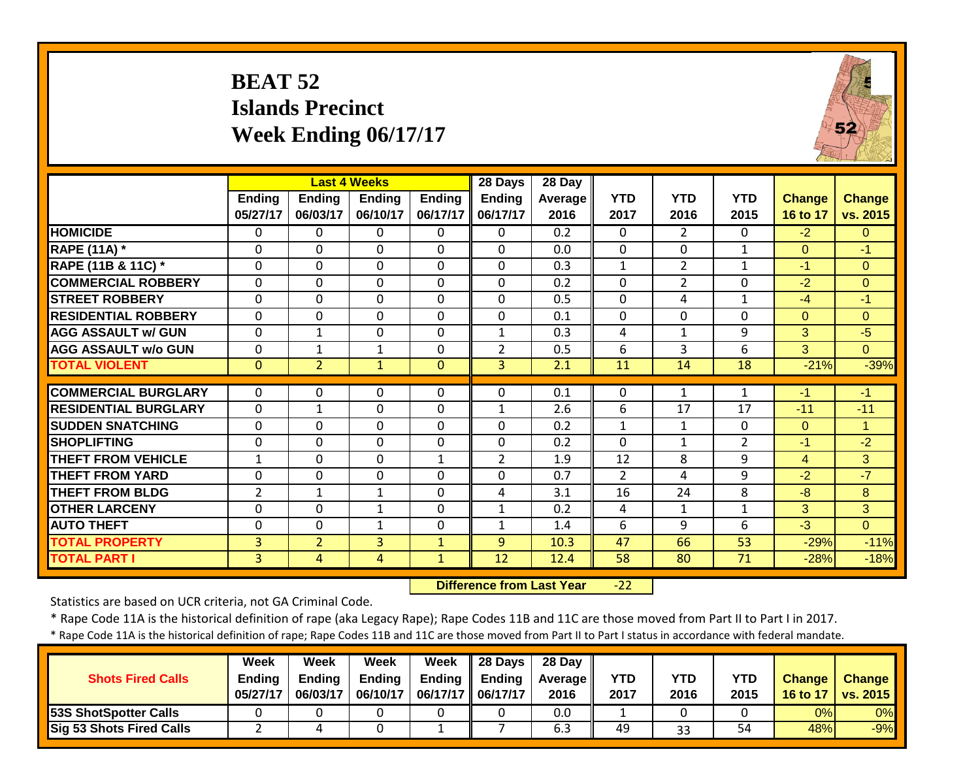# **BEAT 52 Islands Precinct Week Ending 06/17/17**



|                             |                           |                           | <b>Last 4 Weeks</b>       |                           | 28 Days                   | 28 Day          |                    |                    |                    |                           |                           |
|-----------------------------|---------------------------|---------------------------|---------------------------|---------------------------|---------------------------|-----------------|--------------------|--------------------|--------------------|---------------------------|---------------------------|
|                             | <b>Ending</b><br>05/27/17 | <b>Endina</b><br>06/03/17 | <b>Endina</b><br>06/10/17 | <b>Ending</b><br>06/17/17 | <b>Ending</b><br>06/17/17 | Average<br>2016 | <b>YTD</b><br>2017 | <b>YTD</b><br>2016 | <b>YTD</b><br>2015 | <b>Change</b><br>16 to 17 | <b>Change</b><br>vs. 2015 |
| <b>HOMICIDE</b>             | $\mathbf{0}$              | 0                         | 0                         | $\Omega$                  | $\Omega$                  | 0.2             | $\Omega$           | 2                  | 0                  | $-2$                      | $\Omega$                  |
| <b>RAPE (11A) *</b>         | 0                         | $\Omega$                  | 0                         | $\mathbf{0}$              | $\mathbf{0}$              | 0.0             | 0                  | $\Omega$           | 1                  | $\overline{0}$            | $-1$                      |
| RAPE (11B & 11C) *          | 0                         | 0                         | $\mathbf 0$               | $\mathbf{0}$              | $\Omega$                  | 0.3             | $\mathbf{1}$       | $\overline{2}$     | $\mathbf{1}$       | $-1$                      | $\Omega$                  |
| <b>COMMERCIAL ROBBERY</b>   | $\mathbf{0}$              | $\Omega$                  | 0                         | $\mathbf{0}$              | $\mathbf{0}$              | 0.2             | 0                  | $\overline{2}$     | 0                  | $-2$                      | $\Omega$                  |
| <b>STREET ROBBERY</b>       | $\mathbf{0}$              | $\Omega$                  | $\Omega$                  | $\mathbf 0$               | $\Omega$                  | 0.5             | $\Omega$           | 4                  | $\mathbf{1}$       | $-4$                      | $-1$                      |
| <b>RESIDENTIAL ROBBERY</b>  | $\mathbf{0}$              | $\Omega$                  | $\mathbf 0$               | $\mathbf 0$               | $\Omega$                  | 0.1             | $\mathbf 0$        | $\Omega$           | $\Omega$           | $\overline{0}$            | $\mathbf{0}$              |
| <b>AGG ASSAULT w/ GUN</b>   | $\mathbf{0}$              | $\mathbf 1$               | $\mathbf 0$               | $\mathbf 0$               | 1                         | 0.3             | 4                  | $\mathbf{1}$       | 9                  | 3                         | $-5$                      |
| <b>AGG ASSAULT w/o GUN</b>  | $\mathbf 0$               | $\mathbf{1}$              | $\mathbf{1}$              | $\mathbf 0$               | $\overline{2}$            | 0.5             | 6                  | 3                  | 6                  | 3                         | $\Omega$                  |
| <b>TOTAL VIOLENT</b>        | $\mathbf{0}$              | $\overline{2}$            | $\mathbf{1}$              | $\mathbf{0}$              | $\overline{3}$            | 2.1             | 11                 | 14                 | 18                 | $-21%$                    | $-39%$                    |
|                             |                           |                           |                           |                           |                           |                 |                    |                    |                    |                           |                           |
| <b>COMMERCIAL BURGLARY</b>  | $\mathbf{0}$              | 0                         | $\Omega$                  | $\mathbf{0}$              | $\Omega$                  | 0.1             | 0                  | $\mathbf{1}$       | 1                  | $-1$                      | $-1$                      |
| <b>RESIDENTIAL BURGLARY</b> | $\Omega$                  | $\mathbf{1}$              | $\mathbf 0$               | $\Omega$                  | $\mathbf{1}$              | 2.6             | 6                  | 17                 | 17                 | $-11$                     | $-11$                     |
| <b>SUDDEN SNATCHING</b>     | $\mathbf{0}$              | 0                         | $\Omega$                  | $\mathbf{0}$              | $\Omega$                  | 0.2             | $\mathbf{1}$       | $\mathbf{1}$       | 0                  | $\Omega$                  | $\overline{1}$            |
| <b>SHOPLIFTING</b>          | $\mathbf 0$               | $\Omega$                  | 0                         | $\mathbf 0$               | $\Omega$                  | 0.2             | $\mathbf 0$        | $\mathbf{1}$       | 2                  | $-1$                      | $-2$                      |
| <b>THEFT FROM VEHICLE</b>   | $\mathbf{1}$              | 0                         | $\mathbf 0$               | $\mathbf{1}$              | $\overline{2}$            | 1.9             | 12                 | 8                  | 9                  | $\overline{4}$            | 3                         |
| <b>THEFT FROM YARD</b>      | $\Omega$                  | $\Omega$                  | 0                         | $\mathbf 0$               | $\Omega$                  | 0.7             | $\overline{2}$     | 4                  | 9                  | $-2$                      | $-7$                      |
| <b>THEFT FROM BLDG</b>      | $\overline{2}$            | $\mathbf{1}$              | $\mathbf{1}$              | $\mathbf 0$               | 4                         | 3.1             | 16                 | 24                 | 8                  | $-8$                      | 8                         |
| <b>OTHER LARCENY</b>        | 0                         | $\Omega$                  | $\mathbf{1}$              | $\mathbf 0$               | $\mathbf{1}$              | 0.2             | 4                  | $\mathbf{1}$       | $\mathbf{1}$       | 3                         | 3 <sup>1</sup>            |
| <b>AUTO THEFT</b>           | $\mathbf{0}$              | 0                         | 1                         | $\mathbf 0$               | 1                         | 1.4             | 6                  | 9                  | 6                  | $-3$                      | $\Omega$                  |
| <b>TOTAL PROPERTY</b>       | 3                         | $\overline{2}$            | 3                         | $\mathbf{1}$              | 9                         | 10.3            | 47                 | 66                 | 53                 | $-29%$                    | $-11%$                    |
| <b>TOTAL PART I</b>         | 3                         | 4                         | $\overline{4}$            | $\mathbf{1}$              | 12                        | 12.4            | 58                 | 80                 | 71                 | $-28%$                    | $-18%$                    |

 **Difference from Last Year** $-22$ 

Statistics are based on UCR criteria, not GA Criminal Code.

\* Rape Code 11A is the historical definition of rape (aka Legacy Rape); Rape Codes 11B and 11C are those moved from Part II to Part I in 2017.

| <b>Shots Fired Calls</b>        | Week<br><b>Endina</b><br>05/27/17 | Week<br><b>Ending</b><br>06/03/17 | Week<br><b>Ending</b><br>06/10/17 | Week<br>Ending<br>06/17/17    06/17/17 | $\parallel$ 28 Davs<br><b>Ending</b> | 28 Dav<br><b>Average II</b><br>2016 | <b>YTD</b><br>2017 | YTD<br>2016 | <b>YTD</b><br>2015 | <b>Change</b><br>16 to 17 | <b>Change</b><br>vs. 2015 |
|---------------------------------|-----------------------------------|-----------------------------------|-----------------------------------|----------------------------------------|--------------------------------------|-------------------------------------|--------------------|-------------|--------------------|---------------------------|---------------------------|
| 53S ShotSpotter Calls           |                                   |                                   |                                   |                                        |                                      | 0.0                                 |                    |             |                    | 0%                        | 0%                        |
| <b>Sig 53 Shots Fired Calls</b> |                                   |                                   |                                   |                                        |                                      | 6.3                                 | 49                 | 33          | 54                 | 48%                       | $-9%$                     |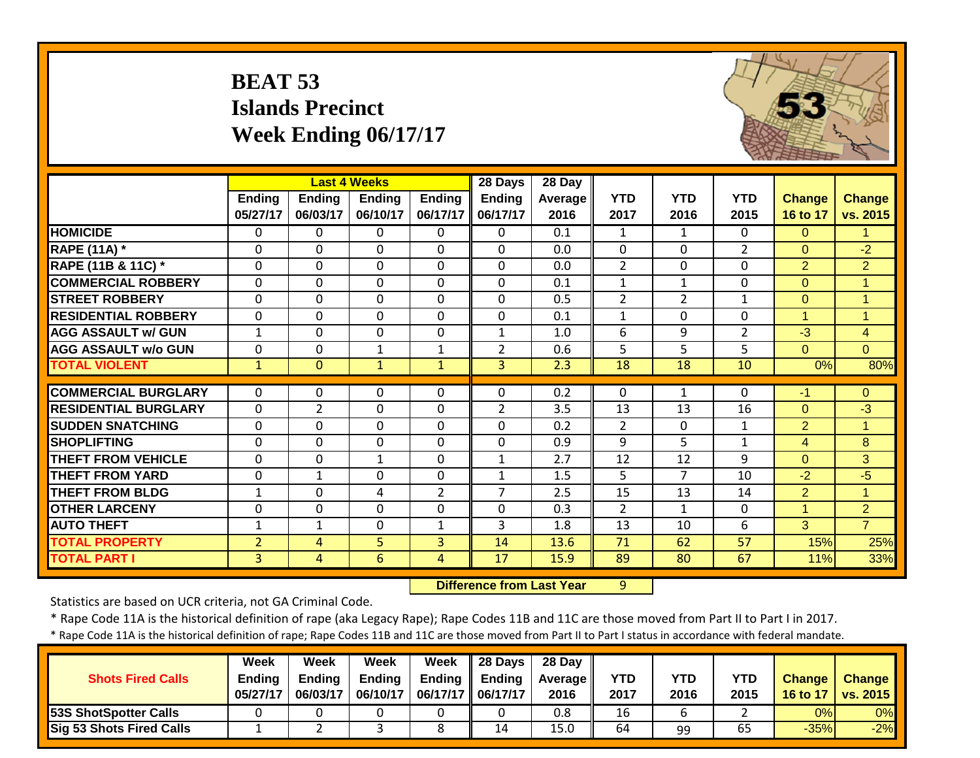|                             | <b>BEAT 53</b>            | <b>Islands Precinct</b> | Week Ending 06/17/17                      |                           |                               |                           |                    |                    |                    |                           |                           |
|-----------------------------|---------------------------|-------------------------|-------------------------------------------|---------------------------|-------------------------------|---------------------------|--------------------|--------------------|--------------------|---------------------------|---------------------------|
|                             | <b>Ending</b><br>05/27/17 | Ending<br>06/03/17      | <b>Last 4 Weeks</b><br>Ending<br>06/10/17 | <b>Ending</b><br>06/17/17 | 28 Days<br>Ending<br>06/17/17 | 28 Day<br>Average<br>2016 | <b>YTD</b><br>2017 | <b>YTD</b><br>2016 | <b>YTD</b><br>2015 | <b>Change</b><br>16 to 17 | <b>Change</b><br>vs. 2015 |
| <b>HOMICIDE</b>             | 0                         | 0                       | 0                                         | $\Omega$                  | $\Omega$                      | 0.1                       | 1                  | $\mathbf{1}$       | 0                  | $\Omega$                  | 1                         |
| <b>RAPE (11A) *</b>         | 0                         | $\Omega$                | 0                                         | 0                         | $\Omega$                      | 0.0                       | 0                  | $\mathbf{0}$       | $\overline{2}$     | $\overline{0}$            | $-2$                      |
| RAPE (11B & 11C) *          | $\mathbf 0$               | 0                       | 0                                         | $\mathbf 0$               | $\mathbf 0$                   | 0.0                       | $\overline{2}$     | $\mathbf{0}$       | $\mathbf 0$        | $\overline{2}$            | $\overline{2}$            |
| <b>COMMERCIAL ROBBERY</b>   | $\mathbf 0$               | $\mathbf 0$             | 0                                         | $\mathbf 0$               | $\mathbf{0}$                  | 0.1                       | $\mathbf{1}$       | $\mathbf{1}$       | $\mathbf{0}$       | $\overline{0}$            | $\overline{1}$            |
| <b>STREET ROBBERY</b>       | $\mathbf 0$               | $\Omega$                | $\mathbf 0$                               | $\mathbf 0$               | $\mathbf{0}$                  | 0.5                       | $\overline{2}$     | $\overline{2}$     | $\mathbf{1}$       | $\overline{0}$            | $\blacktriangleleft$      |
| <b>RESIDENTIAL ROBBERY</b>  | $\mathbf 0$               | $\Omega$                | $\Omega$                                  | $\Omega$                  | $\Omega$                      | 0.1                       | $\mathbf{1}$       | $\Omega$           | $\Omega$           | $\mathbf{1}$              | $\mathbf{1}$              |
| <b>AGG ASSAULT w/ GUN</b>   | 1                         | $\Omega$                | $\mathbf 0$                               | 0                         | $\mathbf{1}$                  | 1.0                       | 6                  | 9                  | $\overline{2}$     | $-3$                      | $\overline{4}$            |
| <b>AGG ASSAULT w/o GUN</b>  | $\mathbf 0$               | $\Omega$                | $\mathbf{1}$                              | $\mathbf{1}$              | $\overline{2}$                | 0.6                       | 5                  | 5                  | 5                  | $\Omega$                  | $\Omega$                  |
| <b>TOTAL VIOLENT</b>        | $\mathbf{1}$              | $\Omega$                | $\mathbf{1}$                              | $\mathbf{1}$              | $\overline{3}$                | 2.3                       | 18                 | 18                 | 10                 | 0%                        | 80%                       |
| <b>COMMERCIAL BURGLARY</b>  | $\mathbf 0$               | $\Omega$                | 0                                         | $\mathbf 0$               | $\Omega$                      | 0.2                       | 0                  | $\mathbf{1}$       | $\Omega$           | $-1$                      | $\overline{0}$            |
| <b>RESIDENTIAL BURGLARY</b> | $\mathbf 0$               | $\overline{2}$          | 0                                         | 0                         | $\overline{2}$                | 3.5                       | 13                 | 13                 | 16                 | $\Omega$                  | $-3$                      |
| <b>SUDDEN SNATCHING</b>     | $\mathbf 0$               | $\overline{0}$          | $\overline{0}$                            | $\mathbf{0}$              | $\mathbf 0$                   | 0.2                       | $\overline{2}$     | $\mathbf{0}$       | $\mathbf{1}$       | $\overline{2}$            | $\overline{1}$            |
| <b>SHOPLIFTING</b>          | 0                         | $\Omega$                | $\Omega$                                  | $\mathbf{0}$              | $\mathbf{0}$                  | 0.9                       | 9                  | 5                  | $\mathbf{1}$       | $\overline{4}$            | 8                         |
| <b>THEFT FROM VEHICLE</b>   | $\Omega$                  | $\Omega$                | $\mathbf{1}$                              | $\Omega$                  | $\mathbf{1}$                  | $\overline{2.7}$          | 12                 | $\overline{12}$    | 9                  | $\Omega$                  | 3                         |
| <b>THEFT FROM YARD</b>      | $\mathbf 0$               | 1                       | $\mathbf 0$                               | $\mathbf 0$               | $\mathbf{1}$                  | 1.5                       | 5                  | $\overline{7}$     | 10                 | $-2$                      | $-5$                      |
| <b>THEFT FROM BLDG</b>      | $\mathbf{1}$              | $\Omega$                | 4                                         | $\overline{2}$            | $\overline{7}$                | 2.5                       | 15                 | 13                 | 14                 | $\overline{2}$            | $\mathbf{1}$              |
| <b>OTHER LARCENY</b>        | $\mathbf 0$               | $\mathbf 0$             | 0                                         | $\mathbf 0$               | $\mathbf 0$                   | 0.3                       | $\overline{2}$     | $\mathbf{1}$       | $\mathbf 0$        | $\overline{1}$            | $\overline{2}$            |
| <b>AUTO THEFT</b>           | $\mathbf{1}$              | $\mathbf{1}$            | 0                                         | $\mathbf{1}$              | $\overline{3}$                | 1.8                       | 13                 | 10                 | 6                  | 3                         | $\overline{7}$            |
| <b>TOTAL PROPERTY</b>       | $\overline{2}$            | 4                       | 5                                         | $\overline{3}$            | 14                            | 13.6                      | 71                 | 62                 | 57                 | 15%                       | 25%                       |
| <b>TOTAL PART I</b>         | $\overline{3}$            | $\overline{4}$          | $\overline{6}$                            | $\overline{4}$            | $\overline{17}$               | 15.9                      | 89                 | $\overline{80}$    | 67                 | 11%                       | 33%                       |

 $H_{\mathcal{S}}$ 

 **Difference from Last Year**r 9

Statistics are based on UCR criteria, not GA Criminal Code.

\* Rape Code 11A is the historical definition of rape (aka Legacy Rape); Rape Codes 11B and 11C are those moved from Part II to Part I in 2017.

| <b>Shots Fired Calls</b>        | Week<br><b>Ending</b><br>05/27/17 | Week<br><b>Ending</b><br>06/03/17 | Week<br><b>Ending</b><br>06/10/17 | <b>Week</b><br>06/17/17    06/17/17 | $\parallel$ 28 Days<br>Ending $\parallel$ Ending | 28 Day<br><b>Average</b> II<br>2016 | <b>YTD</b><br>2017 | YTD<br>2016 | YTD<br>2015 | <b>Change</b><br>16 to 17 | <b>Change</b><br>vs. 2015 |
|---------------------------------|-----------------------------------|-----------------------------------|-----------------------------------|-------------------------------------|--------------------------------------------------|-------------------------------------|--------------------|-------------|-------------|---------------------------|---------------------------|
| <b>53S ShotSpotter Calls</b>    |                                   |                                   |                                   |                                     |                                                  | 0.8                                 | 16                 |             |             | 0%                        | 0%                        |
| <b>Sig 53 Shots Fired Calls</b> |                                   |                                   |                                   |                                     | 14                                               | 15.0                                | 64                 | 99          | 65          | $-35%$                    | $-2%$                     |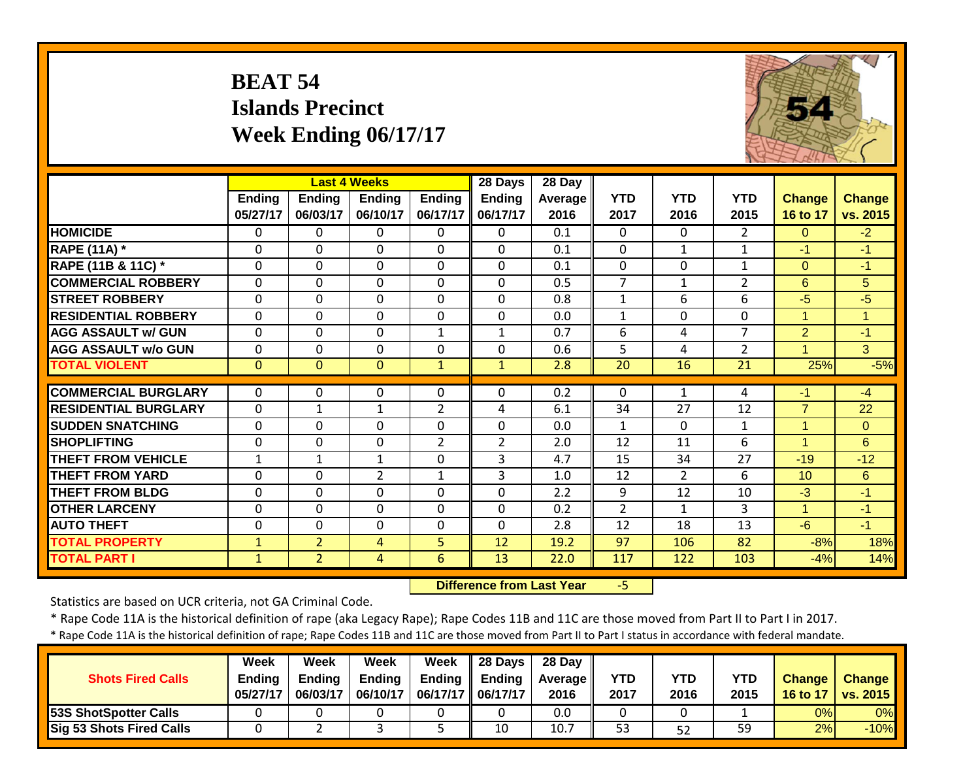|                             | <b>BEAT 54</b>     | <b>Islands Precinct</b><br>Week Ending 06/17/17 |                                                  |                           |                               |                           |                    |                    |                    |                           |                           |
|-----------------------------|--------------------|-------------------------------------------------|--------------------------------------------------|---------------------------|-------------------------------|---------------------------|--------------------|--------------------|--------------------|---------------------------|---------------------------|
|                             | Ending<br>05/27/17 | <b>Ending</b><br>06/03/17                       | <b>Last 4 Weeks</b><br><b>Ending</b><br>06/10/17 | <b>Ending</b><br>06/17/17 | 28 Days<br>Ending<br>06/17/17 | 28 Day<br>Average<br>2016 | <b>YTD</b><br>2017 | <b>YTD</b><br>2016 | <b>YTD</b><br>2015 | <b>Change</b><br>16 to 17 | <b>Change</b><br>vs. 2015 |
| <b>HOMICIDE</b>             | 0                  | $\Omega$                                        | 0                                                | $\mathbf{0}$              | $\Omega$                      | 0.1                       | $\mathbf 0$        | $\Omega$           | $\overline{2}$     | $\mathbf{0}$              | $-2$                      |
| <b>RAPE (11A)</b> *         | $\Omega$           | $\Omega$                                        | $\mathbf 0$                                      | $\Omega$                  | $\Omega$                      | 0.1                       | $\Omega$           | $\mathbf{1}$       | $\mathbf{1}$       | $-1$                      | $-1$                      |
| RAPE (11B & 11C) *          | $\mathbf 0$        | $\Omega$                                        | $\mathbf 0$                                      | $\Omega$                  | $\Omega$                      | 0.1                       | $\mathbf 0$        | $\Omega$           | $\mathbf{1}$       | $\Omega$                  | $-1$                      |
| <b>COMMERCIAL ROBBERY</b>   | 0                  | $\mathbf 0$                                     | 0                                                | 0                         | $\Omega$                      | 0.5                       | $\overline{7}$     | $\mathbf{1}$       | $\overline{2}$     | 6                         | 5                         |
| <b>STREET ROBBERY</b>       | $\mathbf 0$        | $\Omega$                                        | $\Omega$                                         | $\Omega$                  | $\Omega$                      | 0.8                       | $\mathbf{1}$       | 6                  | 6                  | $-5$                      | $-5$                      |
| <b>RESIDENTIAL ROBBERY</b>  | 0                  | $\Omega$                                        | $\Omega$                                         | $\mathbf{0}$              | $\mathbf{0}$                  | 0.0                       | 1                  | $\Omega$           | 0                  | 1                         | 1                         |
| <b>AGG ASSAULT W/ GUN</b>   | $\Omega$           | $\Omega$                                        | $\Omega$                                         | $\mathbf{1}$              | $\mathbf{1}$                  | 0.7                       | 6                  | 4                  | $\overline{7}$     | $\overline{2}$            | $-1$                      |
| <b>AGG ASSAULT w/o GUN</b>  | $\mathbf 0$        | 0                                               | 0                                                | $\mathbf 0$               | $\mathbf 0$                   | 0.6                       | 5                  | 4                  | $\overline{2}$     | $\overline{1}$            | 3 <sup>1</sup>            |
| <b>TOTAL VIOLENT</b>        | $\mathbf{0}$       | $\Omega$                                        | $\overline{0}$                                   | $\mathbf{1}$              | $\mathbf{1}$                  | 2.8                       | 20                 | 16                 | 21                 | 25%                       | $-5%$                     |
| <b>COMMERCIAL BURGLARY</b>  | $\mathbf{0}$       | $\Omega$                                        | 0                                                | $\mathbf{0}$              | $\Omega$                      | 0.2                       | $\mathbf{0}$       | $\mathbf{1}$       | 4                  | $-1$                      | $-4$                      |
| <b>RESIDENTIAL BURGLARY</b> | $\mathbf 0$        | $\mathbf{1}$                                    | $\mathbf{1}$                                     | $\overline{2}$            | 4                             | 6.1                       | 34                 | 27                 | 12                 | $\overline{7}$            | 22                        |
| <b>SUDDEN SNATCHING</b>     | 0                  | $\mathbf 0$                                     | 0                                                | $\mathbf{0}$              | $\mathbf 0$                   | 0.0                       | $\mathbf{1}$       | $\Omega$           | $\mathbf{1}$       | 1                         | $\overline{0}$            |
| <b>SHOPLIFTING</b>          | $\mathbf 0$        | 0                                               | $\mathbf 0$                                      | $\overline{2}$            | $\overline{2}$                | 2.0                       | 12                 | 11                 | 6                  | $\mathbf{1}$              | 6                         |
| <b>THEFT FROM VEHICLE</b>   | $\mathbf{1}$       | $\mathbf{1}$                                    | $\mathbf{1}$                                     | $\Omega$                  | 3                             | 4.7                       | 15                 | 34                 | $\overline{27}$    | $-19$                     | $-12$                     |
| <b>THEFT FROM YARD</b>      | $\mathbf 0$        | 0                                               | $\overline{2}$                                   | $\mathbf{1}$              | $\overline{3}$                | 1.0                       | 12                 | $\overline{2}$     | 6                  | 10 <sup>°</sup>           | 6                         |
| <b>THEFT FROM BLDG</b>      | 0                  | $\Omega$                                        | $\mathbf 0$                                      | $\mathbf 0$               | $\mathbf 0$                   | 2.2                       | 9                  | 12                 | 10                 | $-3$                      | $-1$                      |
| <b>OTHER LARCENY</b>        | 0                  | $\Omega$                                        | $\Omega$                                         | $\mathbf{0}$              | $\mathbf{0}$                  | 0.2                       | $\overline{2}$     | $\mathbf{1}$       | 3                  | $\mathbf{1}$              | $-1$                      |
| <b>AUTO THEFT</b>           | $\mathbf 0$        | $\Omega$                                        | $\Omega$                                         | $\Omega$                  | $\Omega$                      | 2.8                       | 12                 | 18                 | 13                 | $-6$                      | $-1$                      |
| <b>TOTAL PROPERTY</b>       | $\mathbf{1}$       | $\overline{2}$                                  | $\overline{4}$                                   | 5                         | 12                            | 19.2                      | 97                 | 106                | 82                 | $-8%$                     | 18%                       |
| <b>TOTAL PART I</b>         | $\mathbf{1}$       | $\overline{2}$                                  | $\overline{4}$                                   | $\overline{6}$            | $\overline{13}$               | 22.0                      | 117                | 122                | 103                | $-4%$                     | 14%                       |

 **Difference from Last Year**‐5 THE A BELL

Statistics are based on UCR criteria, not GA Criminal Code.

\* Rape Code 11A is the historical definition of rape (aka Legacy Rape); Rape Codes 11B and 11C are those moved from Part II to Part I in 2017.

| <b>Shots Fired Calls</b>        | Week<br><b>Ending</b><br>05/27/17 | Week<br><b>Ending</b><br>06/03/17 | Week<br><b>Ending</b><br>06/10/17 | Week<br><b>Ending</b><br>06/17/17   06/17/17 | $\parallel$ 28 Days<br>Endina | 28 Day<br><b>Average</b> II<br>2016 | <b>YTD</b><br>2017 | YTD<br>2016 | YTD<br>2015 | <b>Change</b><br>16 to 17 | <b>Change</b><br><b>vs. 2015</b> |
|---------------------------------|-----------------------------------|-----------------------------------|-----------------------------------|----------------------------------------------|-------------------------------|-------------------------------------|--------------------|-------------|-------------|---------------------------|----------------------------------|
| <b>53S ShotSpotter Calls</b>    |                                   |                                   |                                   |                                              |                               | 0.0                                 |                    |             |             | 0%                        | 0%                               |
| <b>Sig 53 Shots Fired Calls</b> |                                   |                                   |                                   |                                              | 10                            | 10.7                                | 53                 | 52          | 59          | 2%                        | $-10%$                           |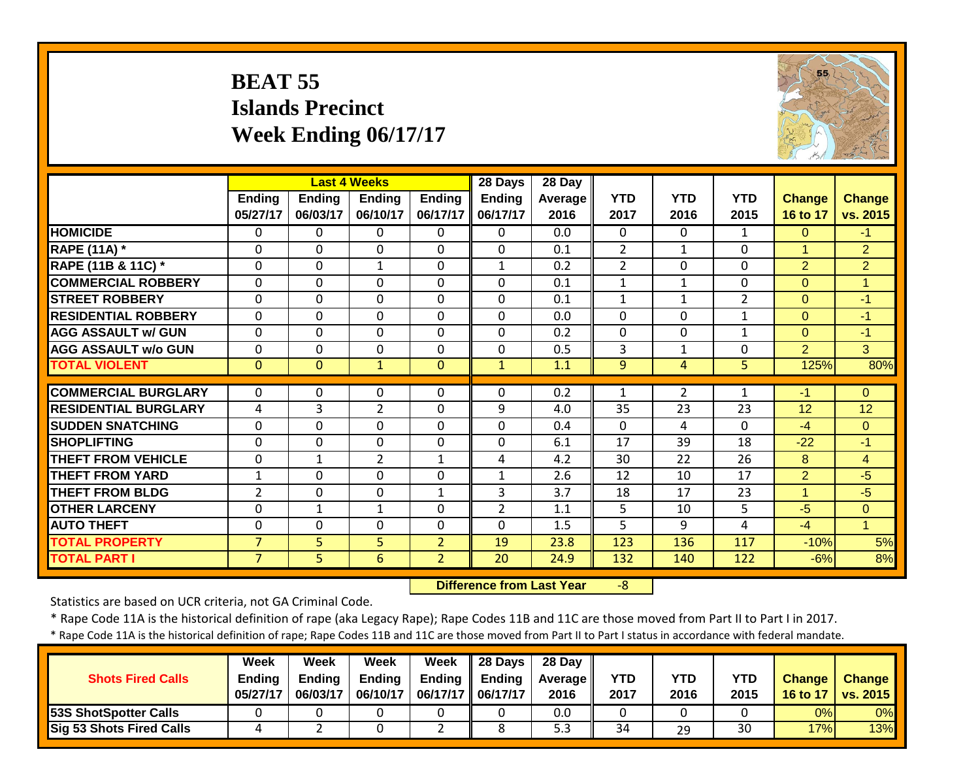# **BEAT 55 Islands Precinct Week Ending 06/17/17**



|                             |                |                | <b>Last 4 Weeks</b> |                | 28 Days        | 28 Day  |                |                |                |                |                |
|-----------------------------|----------------|----------------|---------------------|----------------|----------------|---------|----------------|----------------|----------------|----------------|----------------|
|                             | <b>Ending</b>  | <b>Ending</b>  | <b>Ending</b>       | <b>Ending</b>  | <b>Ending</b>  | Average | <b>YTD</b>     | <b>YTD</b>     | <b>YTD</b>     | <b>Change</b>  | <b>Change</b>  |
|                             | 05/27/17       | 06/03/17       | 06/10/17            | 06/17/17       | 06/17/17       | 2016    | 2017           | 2016           | 2015           | 16 to 17       | vs. 2015       |
| <b>HOMICIDE</b>             | $\Omega$       | 0              | $\Omega$            | $\Omega$       | $\Omega$       | 0.0     | $\Omega$       | $\Omega$       | 1              | $\Omega$       | $-1$           |
| <b>RAPE (11A)</b> *         | $\Omega$       | $\Omega$       | $\mathbf 0$         | $\Omega$       | $\Omega$       | 0.1     | $\overline{2}$ | $\mathbf{1}$   | $\Omega$       | $\mathbf{1}$   | $\overline{2}$ |
| RAPE (11B & 11C) *          | $\mathbf 0$    | 0              | $\mathbf{1}$        | $\mathbf 0$    | $\mathbf{1}$   | 0.2     | $\overline{2}$ | $\mathbf 0$    | 0              | $\overline{2}$ | $\overline{2}$ |
| <b>COMMERCIAL ROBBERY</b>   | $\mathbf 0$    | 0              | $\mathbf 0$         | $\mathbf 0$    | $\mathbf 0$    | 0.1     | $\mathbf{1}$   | $\mathbf{1}$   | 0              | $\overline{0}$ | $\overline{1}$ |
| <b>STREET ROBBERY</b>       | 0              | $\Omega$       | $\mathbf 0$         | $\mathbf{0}$   | $\Omega$       | 0.1     | $\mathbf{1}$   | $\mathbf{1}$   | $\overline{2}$ | $\overline{0}$ | $-1$           |
| <b>RESIDENTIAL ROBBERY</b>  | $\mathbf 0$    | $\Omega$       | 0                   | $\mathbf 0$    | $\Omega$       | 0.0     | $\Omega$       | $\Omega$       | 1              | $\Omega$       | $-1$           |
| <b>AGG ASSAULT w/ GUN</b>   | $\mathbf 0$    | $\Omega$       | 0                   | $\mathbf 0$    | $\Omega$       | 0.2     | $\mathbf 0$    | $\Omega$       | 1              | $\overline{0}$ | $-1$           |
| <b>AGG ASSAULT w/o GUN</b>  | $\mathbf{0}$   | 0              | 0                   | $\Omega$       | $\Omega$       | 0.5     | $\overline{3}$ | $\mathbf{1}$   | $\Omega$       | $\overline{2}$ | 3              |
| <b>TOTAL VIOLENT</b>        | $\mathbf{0}$   | $\Omega$       | $\mathbf{1}$        | $\mathbf{0}$   | $\mathbf{1}$   | 1.1     | 9              | 4              | 5.             | 125%           | 80%            |
|                             |                |                |                     |                |                |         |                |                |                |                |                |
| <b>COMMERCIAL BURGLARY</b>  | $\mathbf{0}$   | 0              | 0                   | 0              | $\Omega$       | 0.2     | 1              | $\overline{2}$ | 1              | -1             | $\Omega$       |
| <b>RESIDENTIAL BURGLARY</b> | 4              | 3              | $\overline{2}$      | 0              | 9              | 4.0     | 35             | 23             | 23             | 12             | 12             |
| <b>ISUDDEN SNATCHING</b>    | $\mathbf{0}$   | 0              | 0                   | $\Omega$       | $\Omega$       | 0.4     | $\Omega$       | 4              | $\Omega$       | $-4$           | $\Omega$       |
| <b>SHOPLIFTING</b>          | 0              | $\Omega$       | 0                   | $\mathbf 0$    | $\Omega$       | 6.1     | 17             | 39             | 18             | $-22$          | $-1$           |
| <b>THEFT FROM VEHICLE</b>   | $\mathbf{0}$   | $\mathbf{1}$   | $\overline{2}$      | $\mathbf{1}$   | 4              | 4.2     | 30             | 22             | 26             | 8              | $\overline{4}$ |
| <b>THEFT FROM YARD</b>      | $\mathbf{1}$   | 0              | $\mathbf 0$         | $\mathbf 0$    | $\mathbf{1}$   | 2.6     | 12             | 10             | 17             | $\overline{2}$ | $-5$           |
| <b>THEFT FROM BLDG</b>      | $\overline{2}$ | 0              | $\Omega$            | $\mathbf{1}$   | 3              | 3.7     | 18             | 17             | 23             | $\mathbf{1}$   | $-5$           |
| <b>OTHER LARCENY</b>        | 0              | $\mathbf{1}$   | 1                   | 0              | $\overline{2}$ | 1.1     | 5              | 10             | 5              | $-5$           | $\Omega$       |
| <b>AUTO THEFT</b>           | 0              | 0              | $\Omega$            | $\Omega$       | $\Omega$       | 1.5     | 5              | 9              | 4              | $-4$           | 1              |
| <b>TOTAL PROPERTY</b>       | $\overline{7}$ | 5 <sup>1</sup> | 5                   | $\overline{2}$ | 19             | 23.8    | 123            | 136            | 117            | $-10%$         | 5%             |
| <b>TOTAL PART I</b>         | $\overline{7}$ | 5              | 6                   | $\overline{2}$ | 20             | 24.9    | 132            | 140            | 122            | $-6%$          | 8%             |

 **Difference from Last Year** $-8$ 

Statistics are based on UCR criteria, not GA Criminal Code.

\* Rape Code 11A is the historical definition of rape (aka Legacy Rape); Rape Codes 11B and 11C are those moved from Part II to Part I in 2017.

| <b>Shots Fired Calls</b>        | Week<br><b>Ending</b><br>05/27/17 | Week<br><b>Ending</b><br>06/03/17 | Week<br><b>Ending</b><br>06/10/17 | Week<br><b>Ending</b> | $\parallel$ 28 Days<br><b>Ending</b><br>06/17/17    06/17/17 | 28 Dav<br><b>Average</b> I<br>2016 | <b>YTD</b><br>2017 | YTD<br>2016 | YTD<br>2015 | <b>Change</b><br>16 to 17 | <b>Change</b><br>vs. 2015 |
|---------------------------------|-----------------------------------|-----------------------------------|-----------------------------------|-----------------------|--------------------------------------------------------------|------------------------------------|--------------------|-------------|-------------|---------------------------|---------------------------|
| 53S ShotSpotter Calls           |                                   |                                   |                                   |                       |                                                              | 0.0                                |                    |             |             | 0%                        | 0%                        |
| <b>Sig 53 Shots Fired Calls</b> |                                   |                                   |                                   |                       |                                                              | 5.3                                | 34                 | 29          | 30          | 17%                       | 13%                       |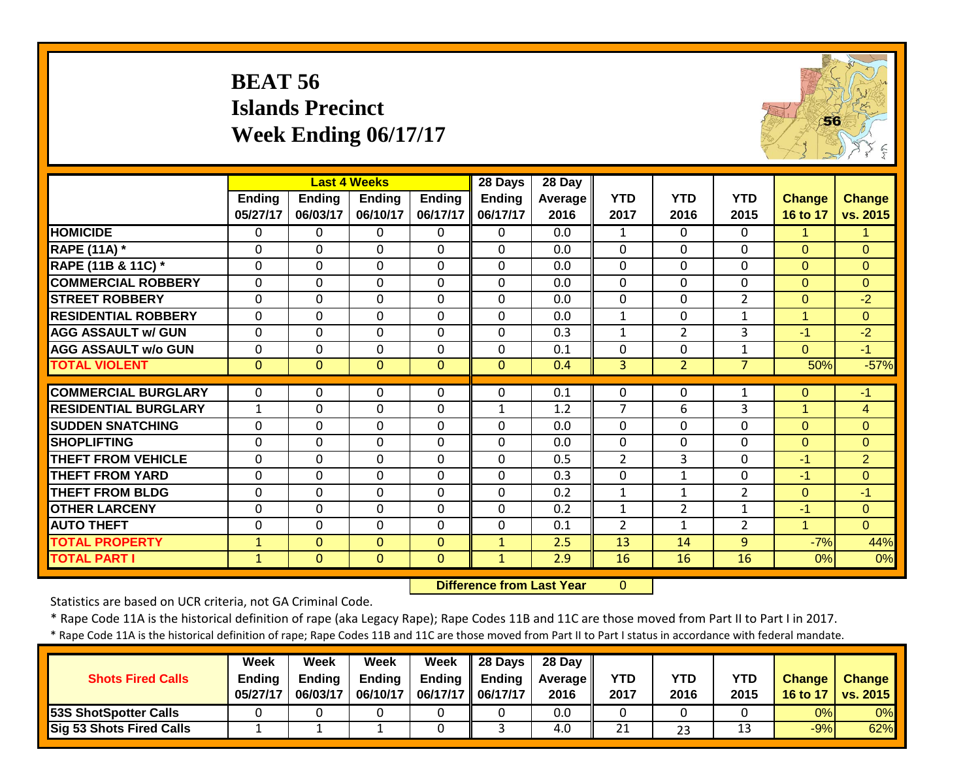# **BEAT 56 Islands Precinct Week Ending 06/17/17**



|                             |               |                | <b>Last 4 Weeks</b> |               | 28 Days                          | 28 Day         |                |                |                |                      |                |
|-----------------------------|---------------|----------------|---------------------|---------------|----------------------------------|----------------|----------------|----------------|----------------|----------------------|----------------|
|                             | <b>Ending</b> | <b>Ending</b>  | <b>Ending</b>       | <b>Ending</b> | Ending                           | <b>Average</b> | <b>YTD</b>     | <b>YTD</b>     | <b>YTD</b>     | Change               | <b>Change</b>  |
|                             | 05/27/17      | 06/03/17       | 06/10/17            | 06/17/17      | 06/17/17                         | 2016           | 2017           | 2016           | 2015           | 16 to 17             | vs. 2015       |
| <b>HOMICIDE</b>             | 0             | 0              | $\Omega$            | 0             | $\Omega$                         | 0.0            | 1              | $\Omega$       | $\Omega$       |                      |                |
| <b>RAPE (11A)</b> *         | 0             | $\Omega$       | 0                   | 0             | $\mathbf 0$                      | 0.0            | $\mathbf 0$    | $\mathbf{0}$   | 0              | $\overline{0}$       | $\Omega$       |
| RAPE (11B & 11C) *          | $\mathbf{0}$  | $\Omega$       | 0                   | $\mathbf 0$   | $\Omega$                         | 0.0            | $\mathbf 0$    | $\Omega$       | $\Omega$       | $\mathbf{0}$         | $\Omega$       |
| <b>COMMERCIAL ROBBERY</b>   | $\mathbf 0$   | $\mathbf 0$    | 0                   | 0             | $\mathbf 0$                      | 0.0            | $\mathbf 0$    | $\mathbf{0}$   | 0              | $\overline{0}$       | $\mathbf{0}$   |
| <b>ISTREET ROBBERY</b>      | $\Omega$      | $\Omega$       | 0                   | 0             | $\mathbf{0}$                     | 0.0            | 0              | 0              | $\overline{2}$ | $\mathbf{0}$         | $-2$           |
| <b>RESIDENTIAL ROBBERY</b>  | $\mathbf 0$   | $\Omega$       | 0                   | 0             | $\mathbf 0$                      | 0.0            | $\mathbf{1}$   | $\mathbf{0}$   | $\mathbf{1}$   | $\mathbf{1}$         | $\overline{0}$ |
| <b>AGG ASSAULT w/ GUN</b>   | $\mathbf 0$   | $\Omega$       | 0                   | $\mathbf 0$   | $\Omega$                         | 0.3            | $\mathbf{1}$   | $\overline{2}$ | 3              | $-1$                 | $-2$           |
| <b>AGG ASSAULT w/o GUN</b>  | $\mathbf 0$   | $\Omega$       | 0                   | 0             | $\mathbf 0$                      | 0.1            | $\mathbf 0$    | 0              | $\mathbf{1}$   | $\overline{0}$       | $-1$           |
| <b>TOTAL VIOLENT</b>        | $\mathbf{0}$  | $\mathbf{0}$   | $\overline{0}$      | $\mathbf{0}$  | $\mathbf{0}$                     | 0.4            | $\overline{3}$ | $\overline{2}$ | $\overline{7}$ | 50%                  | $-57%$         |
| <b>COMMERCIAL BURGLARY</b>  | 0             | 0              | 0                   | 0             | 0                                | 0.1            | 0              | 0              | $\mathbf{1}$   | $\mathbf 0$          | $-1$           |
| <b>RESIDENTIAL BURGLARY</b> | $\mathbf{1}$  | $\Omega$       | 0                   | $\Omega$      | $\mathbf{1}$                     | 1.2            | $\overline{7}$ | 6              | 3              | 1                    | 4              |
| <b>SUDDEN SNATCHING</b>     | $\mathbf 0$   | $\Omega$       | 0                   | 0             | $\Omega$                         | 0.0            | $\mathbf 0$    | $\Omega$       | $\Omega$       | $\overline{0}$       | $\mathbf{0}$   |
| <b>SHOPLIFTING</b>          | $\Omega$      | $\Omega$       | 0                   | $\Omega$      | $\mathbf{0}$                     | 0.0            | $\Omega$       | 0              | $\Omega$       | $\Omega$             | $\Omega$       |
| <b>THEFT FROM VEHICLE</b>   | $\Omega$      | $\mathbf 0$    | 0                   | $\Omega$      | $\Omega$                         | 0.5            | $\overline{2}$ | 3              | 0              | -1                   | $\overline{2}$ |
| <b>THEFT FROM YARD</b>      | $\Omega$      | $\Omega$       | 0                   | 0             | $\Omega$                         | 0.3            | $\mathbf 0$    | 1              | 0              | -1                   | $\mathbf{0}$   |
| <b>THEFT FROM BLDG</b>      | $\Omega$      | $\Omega$       | 0                   | $\Omega$      | $\Omega$                         | 0.2            | $\mathbf{1}$   | 1              | $\overline{2}$ | $\overline{0}$       | $-1$           |
| <b>OTHER LARCENY</b>        | 0             | $\Omega$       | 0                   | 0             | $\Omega$                         | 0.2            | $\mathbf{1}$   | $\overline{2}$ | $\mathbf{1}$   | -1                   | $\mathbf{0}$   |
| <b>AUTO THEFT</b>           | 0             | $\Omega$       | 0                   | $\Omega$      | $\Omega$                         | 0.1            | $\overline{2}$ | 1              | $\overline{2}$ | $\blacktriangleleft$ | $\Omega$       |
| <b>TOTAL PROPERTY</b>       | $\mathbf{1}$  | $\overline{0}$ | $\overline{0}$      | $\mathbf{0}$  | $\mathbf{1}$                     | 2.5            | 13             | 14             | 9              | $-7%$                | 44%            |
| <b>TOTAL PART I</b>         | $\mathbf{1}$  | $\mathbf{0}$   | $\mathbf{0}$        | $\mathbf{0}$  | $\mathbf{1}$                     | 2.9            | 16             | 16             | 16             | 0%                   | 0%             |
|                             |               |                |                     |               | <b>Difference from Last Year</b> |                | $\overline{0}$ |                |                |                      |                |

 **Difference from Last Year**

Statistics are based on UCR criteria, not GA Criminal Code.

\* Rape Code 11A is the historical definition of rape (aka Legacy Rape); Rape Codes 11B and 11C are those moved from Part II to Part I in 2017.

| <b>Shots Fired Calls</b>        | Week<br><b>Endina</b><br>05/27/17 | Week<br><b>Ending</b><br>06/03/17 | Week<br><b>Ending</b><br>06/10/17 | Week<br><b>Ending</b><br>06/17/17    06/17/17 | $\parallel$ 28 Davs<br><b>Ending</b> | 28 Dav<br><b>Average II</b><br>2016 | <b>YTD</b><br>2017 | YTD<br>2016 | <b>YTD</b><br>2015 | <b>Change</b><br>16 to 17 | <b>Change</b><br>vs. 2015 |
|---------------------------------|-----------------------------------|-----------------------------------|-----------------------------------|-----------------------------------------------|--------------------------------------|-------------------------------------|--------------------|-------------|--------------------|---------------------------|---------------------------|
| 53S ShotSpotter Calls           |                                   |                                   |                                   |                                               |                                      | 0.0                                 |                    |             |                    | 0%                        | 0%                        |
| <b>Sig 53 Shots Fired Calls</b> |                                   |                                   |                                   |                                               |                                      | 4.0                                 | 21                 | 23          | 13                 | $-9%$                     | 62%                       |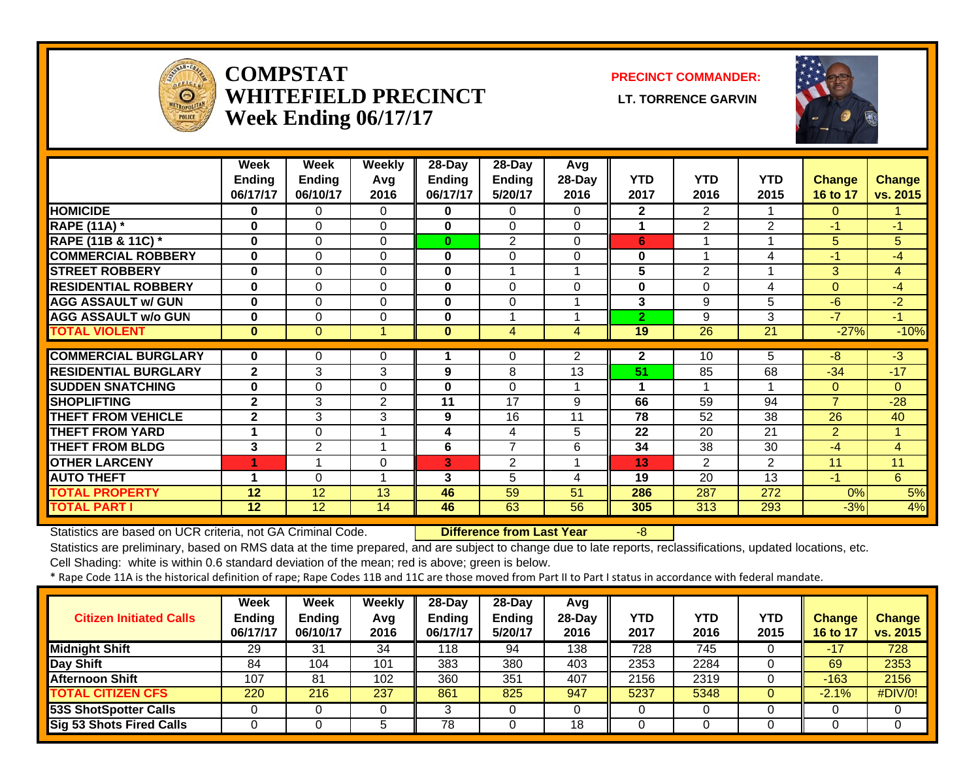

#### **COMPSTATWHITEFIELD PRECINCT LT. TORRENCE GARVINWeek Ending 06/17/17**

#### **PRECINCT COMMANDER:**



|                             | Week<br><b>Ending</b> | Week<br>Ending | <b>Weekly</b><br>Avg | 28-Day<br><b>Ending</b> | 28-Day<br><b>Ending</b> | <b>Avg</b><br>28-Day | <b>YTD</b>     | <b>YTD</b>     | <b>YTD</b> | <b>Change</b>   | <b>Change</b>  |
|-----------------------------|-----------------------|----------------|----------------------|-------------------------|-------------------------|----------------------|----------------|----------------|------------|-----------------|----------------|
|                             | 06/17/17              | 06/10/17       | 2016                 | 06/17/17                | 5/20/17                 | 2016                 | 2017           | 2016           | 2015       | <b>16 to 17</b> | vs. 2015       |
| <b>HOMICIDE</b>             | 0                     | 0              | 0                    | 0                       | $\Omega$                | 0                    | $\mathbf{2}$   | $\overline{2}$ |            | $\Omega$        |                |
| <b>RAPE (11A) *</b>         | 0                     | 0              | 0                    | 0                       | $\Omega$                | $\Omega$             | 1              | $\overline{2}$ | 2          | $-1$            | $-1$           |
| RAPE (11B & 11C) *          | $\bf{0}$              | $\Omega$       | 0                    | $\bf{0}$                | $\overline{2}$          | $\Omega$             | 6              |                |            | 5               | 5              |
| <b>COMMERCIAL ROBBERY</b>   | $\bf{0}$              | $\Omega$       | 0                    | $\bf{0}$                | $\Omega$                | $\Omega$             | 0              | ٠              | 4          | $-1$            | $-4$           |
| <b>STREET ROBBERY</b>       | $\bf{0}$              | $\Omega$       | 0                    | 0                       |                         |                      | 5              | 2              |            | $\overline{3}$  | $\overline{4}$ |
| <b>RESIDENTIAL ROBBERY</b>  | $\bf{0}$              | $\Omega$       | 0                    | 0                       | $\Omega$                | 0                    | 0              | 0              | 4          | $\Omega$        | $-4$           |
| <b>AGG ASSAULT w/ GUN</b>   | $\bf{0}$              | 0              | 0                    | 0                       | $\Omega$                |                      | 3              | 9              | 5          | -6              | $-2$           |
| <b>AGG ASSAULT w/o GUN</b>  | 0                     | $\Omega$       | 0                    | 0                       |                         |                      | $\overline{2}$ | 9              | 3          | -7              | $-1$           |
| <b>TOTAL VIOLENT</b>        | $\bf{0}$              | $\Omega$       | 4                    | 0                       | $\overline{4}$          | $\overline{4}$       | 19             | 26             | 21         | $-27%$          | $-10%$         |
| <b>COMMERCIAL BURGLARY</b>  | 0                     | 0              | 0                    |                         | 0                       | $\overline{2}$       | $\mathbf{2}$   | 10             | 5          | -8              | $-3$           |
| <b>RESIDENTIAL BURGLARY</b> | $\mathbf{2}$          | 3              | 3                    | 9                       | 8                       | 13                   | 51             | 85             | 68         | $-34$           | $-17$          |
| <b>SUDDEN SNATCHING</b>     | $\bf{0}$              | $\Omega$       | 0                    | 0                       | $\Omega$                |                      | 1              |                |            | $\Omega$        | $\Omega$       |
| <b>SHOPLIFTING</b>          | $\mathbf{2}$          | 3              | $\overline{2}$       | 11                      | 17                      | 9                    | 66             | 59             | 94         | $\overline{7}$  | $-28$          |
| <b>THEFT FROM VEHICLE</b>   | $\mathbf{2}$          | 3              | 3                    | 9                       | 16                      | 11                   | 78             | 52             | 38         | 26              | 40             |
| <b>THEFT FROM YARD</b>      | 4                     | $\Omega$       | 1                    | 4                       | 4                       | 5                    | 22             | 20             | 21         | $\overline{2}$  | 1              |
| <b>THEFT FROM BLDG</b>      | 3                     | 2              | 1                    | 6                       | $\overline{7}$          | 6                    | 34             | 38             | 30         | $-4$            | $\overline{4}$ |
| <b>OTHER LARCENY</b>        | 1                     |                | $\Omega$             | 3                       | 2                       |                      | 13             | $\overline{2}$ | 2          | 11              | 11             |
| <b>AUTO THEFT</b>           | 4                     | $\Omega$       | 1                    | 3                       | 5                       | 4                    | 19             | 20             | 13         | $-1$            | 6              |
| <b>TOTAL PROPERTY</b>       | 12                    | 12             | 13                   | 46                      | 59                      | 51                   | 286            | 287            | 272        | 0%              | 5%             |
| <b>TOTAL PART I</b>         | 12                    | 12             | 14                   | 46                      | 63                      | 56                   | 305            | 313            | 293        | $-3%$           | 4%             |

Statistics are based on UCR criteria, not GA Criminal Code. **Difference from Last Year** -8

Statistics are preliminary, based on RMS data at the time prepared, and are subject to change due to late reports, reclassifications, updated locations, etc.

Cell Shading: white is within 0.6 standard deviation of the mean; red is above; green is below.

| <b>Citizen Initiated Calls</b>  | Week<br>Ending<br>06/17/17 | <b>Week</b><br><b>Ending</b><br>06/10/17 | Weekly<br>Avg<br>2016 | 28-Day<br>Ending<br>06/17/17 | $28-Day$<br><b>Ending</b><br>5/20/17 | Avg<br>$28$ -Day<br>2016 | YTD<br>2017 | <b>YTD</b><br>2016 | YTD<br>2015 | Change<br>16 to 17 | <b>Change</b><br>vs. 2015 |
|---------------------------------|----------------------------|------------------------------------------|-----------------------|------------------------------|--------------------------------------|--------------------------|-------------|--------------------|-------------|--------------------|---------------------------|
| <b>Midnight Shift</b>           | 29                         | 31                                       | 34                    | 118                          | 94                                   | 138                      | 728         | 745                |             | $-17$              | 728                       |
| <b>Day Shift</b>                | 84                         | 104                                      | 101                   | 383                          | 380                                  | 403                      | 2353        | 2284               |             | 69                 | 2353                      |
| <b>Afternoon Shift</b>          | 107                        | 81                                       | 102                   | 360                          | 351                                  | 407                      | 2156        | 2319               |             | $-163$             | 2156                      |
| <b>TOTAL CITIZEN CFS</b>        | 220                        | 216                                      | 237                   | 861                          | 825                                  | 947                      | 5237        | 5348               |             | $-2.1%$            | #DIV/0!                   |
| <b>53S ShotSpotter Calls</b>    |                            |                                          |                       | ົ<br>. .                     |                                      |                          |             |                    |             |                    |                           |
| <b>Sig 53 Shots Fired Calls</b> |                            |                                          |                       | 78                           |                                      | 18                       |             |                    |             |                    |                           |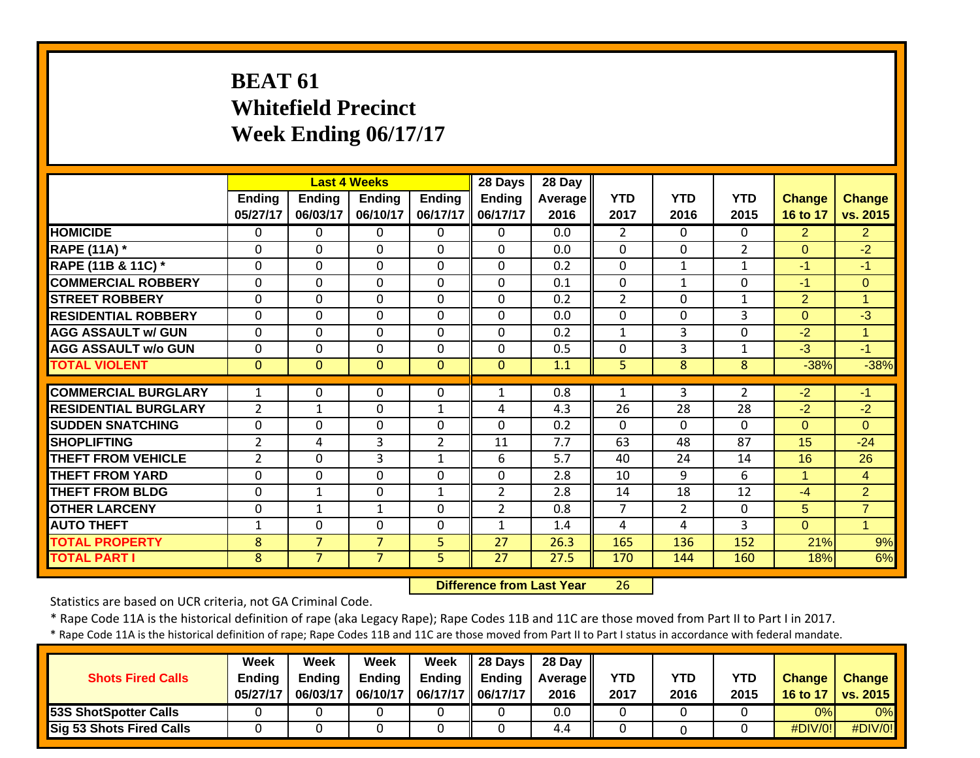# **BEAT 61 Whitefield Precinct Week Ending 06/17/17**

|                             |                |                | <b>Last 4 Weeks</b> |                | 28 Days        | 28 Day         |                |                |                |                |                      |
|-----------------------------|----------------|----------------|---------------------|----------------|----------------|----------------|----------------|----------------|----------------|----------------|----------------------|
|                             | <b>Ending</b>  | <b>Ending</b>  | <b>Ending</b>       | <b>Ending</b>  | <b>Ending</b>  | <b>Average</b> | <b>YTD</b>     | <b>YTD</b>     | <b>YTD</b>     | <b>Change</b>  | <b>Change</b>        |
|                             | 05/27/17       | 06/03/17       | 06/10/17            | 06/17/17       | 06/17/17       | 2016           | 2017           | 2016           | 2015           | 16 to 17       | vs. 2015             |
| <b>HOMICIDE</b>             | $\Omega$       | $\Omega$       | 0                   | $\Omega$       | $\mathbf{0}$   | 0.0            | $\overline{2}$ | 0              | 0              | $\overline{2}$ | $\overline{2}$       |
| <b>RAPE (11A) *</b>         | $\Omega$       | $\mathbf{0}$   | $\Omega$            | $\mathbf 0$    | $\mathbf 0$    | 0.0            | $\mathbf{0}$   | 0              | $\overline{2}$ | $\Omega$       | $-2$                 |
| RAPE (11B & 11C) *          | 0              | $\Omega$       | $\Omega$            | $\Omega$       | $\Omega$       | 0.2            | 0              | $\mathbf{1}$   | $\mathbf{1}$   | $-1$           | $-1$                 |
| <b>COMMERCIAL ROBBERY</b>   | $\Omega$       | $\mathbf{0}$   | $\Omega$            | $\Omega$       | $\Omega$       | 0.1            | 0              | $\mathbf{1}$   | $\Omega$       | $-1$           | $\mathbf{0}$         |
| <b>STREET ROBBERY</b>       | $\Omega$       | $\Omega$       | $\Omega$            | $\mathbf 0$    | $\Omega$       | 0.2            | $\overline{2}$ | 0              | $\mathbf{1}$   | $\overline{2}$ | 1                    |
| <b>RESIDENTIAL ROBBERY</b>  | $\Omega$       | $\Omega$       | $\Omega$            | $\Omega$       | $\mathbf 0$    | 0.0            | $\mathbf{0}$   | 0              | 3              | $\Omega$       | $-3$                 |
| <b>AGG ASSAULT w/ GUN</b>   | $\Omega$       | $\Omega$       | $\mathbf 0$         | 0              | $\mathbf 0$    | 0.2            | $\mathbf{1}$   | 3              | $\Omega$       | $-2$           | $\mathbf{1}$         |
| <b>AGG ASSAULT w/o GUN</b>  | $\Omega$       | $\Omega$       | $\Omega$            | $\Omega$       | $\Omega$       | 0.5            | $\mathbf{0}$   | 3              | $\mathbf{1}$   | $-3$           | -1                   |
| <b>TOTAL VIOLENT</b>        | $\mathbf{0}$   | $\mathbf{0}$   | $\overline{0}$      | $\mathbf{0}$   | $\overline{0}$ | 1.1            | 5              | 8              | 8              | $-38%$         | $-38%$               |
|                             |                |                |                     |                |                |                |                |                |                |                |                      |
| <b>COMMERCIAL BURGLARY</b>  | 1              | 0              | $\Omega$            | 0              | $\mathbf{1}$   | 0.8            | 1              | 3              | $\overline{2}$ | $-2$           | -1                   |
| <b>RESIDENTIAL BURGLARY</b> | $\overline{2}$ | $\mathbf{1}$   | 0                   | $\mathbf{1}$   | 4              | 4.3            | 26             | 28             | 28             | $-2$           | $-2$                 |
| <b>ISUDDEN SNATCHING</b>    | $\mathbf 0$    | $\Omega$       | $\mathbf 0$         | $\mathbf 0$    | $\Omega$       | 0.2            | $\Omega$       | $\Omega$       | $\Omega$       | $\Omega$       | $\Omega$             |
| <b>SHOPLIFTING</b>          | $\overline{2}$ | 4              | 3                   | $\overline{2}$ | 11             | 7.7            | 63             | 48             | 87             | 15             | $-24$                |
| <b>THEFT FROM VEHICLE</b>   | $\overline{2}$ | $\Omega$       | 3                   | $\mathbf{1}$   | 6              | 5.7            | 40             | 24             | 14             | 16             | 26                   |
| <b>THEFT FROM YARD</b>      | $\mathbf 0$    | $\mathbf 0$    | 0                   | $\mathbf 0$    | $\mathbf 0$    | 2.8            | 10             | 9              | 6              | 1              | 4                    |
| <b>THEFT FROM BLDG</b>      | 0              | $\mathbf{1}$   | 0                   | $\mathbf 1$    | $\overline{2}$ | 2.8            | 14             | 18             | 12             | $-4$           | $\overline{2}$       |
| <b>OTHER LARCENY</b>        | 0              | $\mathbf{1}$   | $\mathbf{1}$        | 0              | $\overline{2}$ | 0.8            | 7              | $\overline{2}$ | $\Omega$       | 5              | $\overline{7}$       |
| <b>AUTO THEFT</b>           | 1              | $\Omega$       | 0                   | $\Omega$       | $\mathbf{1}$   | 1.4            | 4              | 4              | 3              | $\overline{0}$ | $\blacktriangleleft$ |
| <b>TOTAL PROPERTY</b>       | 8              | $\overline{7}$ | $\overline{7}$      | 5              | 27             | 26.3           | 165            | 136            | 152            | 21%            | 9%                   |
| <b>TOTAL PART I</b>         | 8              | $\overline{7}$ | $\overline{7}$      | 5              | 27             | 27.5           | 170            | 144            | 160            | 18%            | 6%                   |

 **Difference from Last Year**26

Statistics are based on UCR criteria, not GA Criminal Code.

\* Rape Code 11A is the historical definition of rape (aka Legacy Rape); Rape Codes 11B and 11C are those moved from Part II to Part I in 2017.

| <b>Shots Fired Calls</b>        | Week<br><b>Ending</b><br>05/27/17 | Week<br><b>Ending</b><br>06/03/17 | <b>Week</b><br><b>Ending</b><br>06/10/17 | Week<br>06/17/17   06/17/17 | $\parallel$ 28 Days<br>Ending $\parallel$ Ending | 28 Day<br><b>Average</b><br>2016 | YTD<br>2017 | YTD<br>2016 | YTD<br>2015 | <b>Change</b><br>16 to 17 | <b>Change</b><br>vs. 2015 |
|---------------------------------|-----------------------------------|-----------------------------------|------------------------------------------|-----------------------------|--------------------------------------------------|----------------------------------|-------------|-------------|-------------|---------------------------|---------------------------|
| <b>53S ShotSpotter Calls</b>    |                                   |                                   |                                          |                             |                                                  | 0.0                              |             |             |             | 0%                        | 0%                        |
| <b>Sig 53 Shots Fired Calls</b> |                                   |                                   |                                          |                             |                                                  | 4.4                              |             |             |             | #DIV/0!                   | #DIV/0!                   |